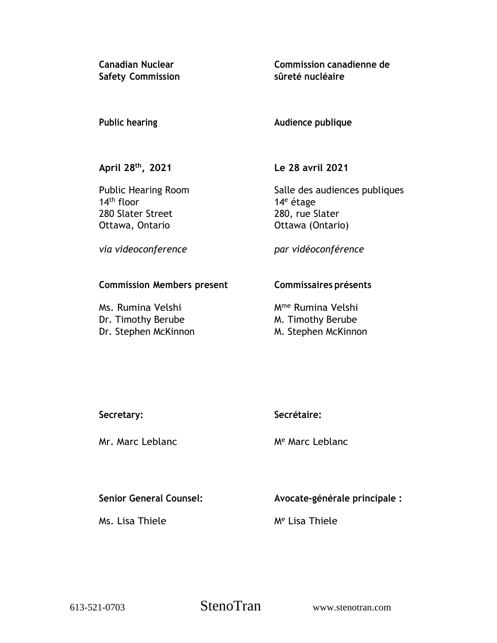**Safety Commission**

**Canadian Nuclear Commission canadienne de sûreté nucléaire**

Salle des audiences publiques

# **Public hearing**

## **Audience publique**

**Le 28 avril 2021**

**April 28 th , 2021**

Public Hearing Room 14th floor 280 Slater Street Ottawa, Ontario

280, rue Slater Ottawa (Ontario)

14<sup>e</sup> étage

*via videoconference*

*par vidéoconférence*

## **Commission Members present**

Ms. Rumina Velshi Dr. Timothy Berube Dr. Stephen McKinnon

# **Commissaires présents**

Mme Rumina Velshi M. Timothy Berube M. Stephen McKinnon

**Secretary:**

Mr. Marc Leblanc

**Secrétaire:**

M<sup>e</sup> Marc Leblanc

# **Senior General Counsel:**

Ms. Lisa Thiele

**Avocate-générale principale :**

M<sup>e</sup> Lisa Thiele

613-521-0703 StenoTran www.stenotran.com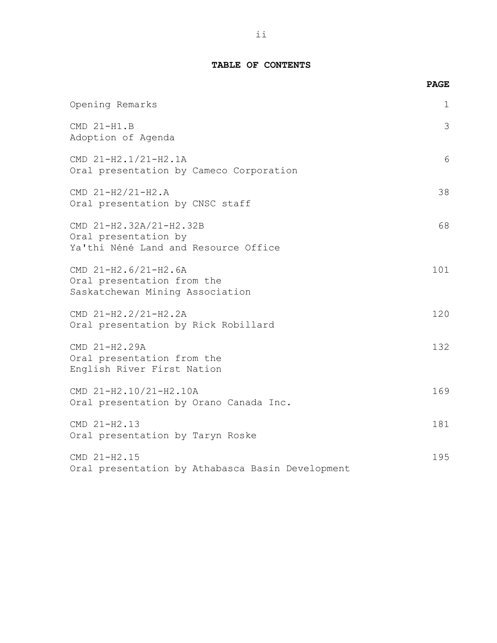## **TABLE OF CONTENTS**

|                                                                                         | <b>PAGE</b> |
|-----------------------------------------------------------------------------------------|-------------|
| Opening Remarks                                                                         | 1           |
| CMD 21-H1.B<br>Adoption of Agenda                                                       | 3           |
| CMD 21-H2.1/21-H2.1A<br>Oral presentation by Cameco Corporation                         | 6           |
| CMD 21-H2/21-H2.A<br>Oral presentation by CNSC staff                                    | 38          |
| CMD 21-H2.32A/21-H2.32B<br>Oral presentation by<br>Ya'thi Néné Land and Resource Office | 68          |
| CMD 21-H2.6/21-H2.6A<br>Oral presentation from the<br>Saskatchewan Mining Association   | 101         |
| CMD 21-H2.2/21-H2.2A<br>Oral presentation by Rick Robillard                             | 120         |
| CMD 21-H2.29A<br>Oral presentation from the<br>English River First Nation               | 132         |
| CMD 21-H2.10/21-H2.10A<br>Oral presentation by Orano Canada Inc.                        | 169         |
| CMD 21-H2.13<br>Oral presentation by Taryn Roske                                        | 181         |
| CMD 21-H2.15<br>Oral presentation by Athabasca Basin Development                        | 195         |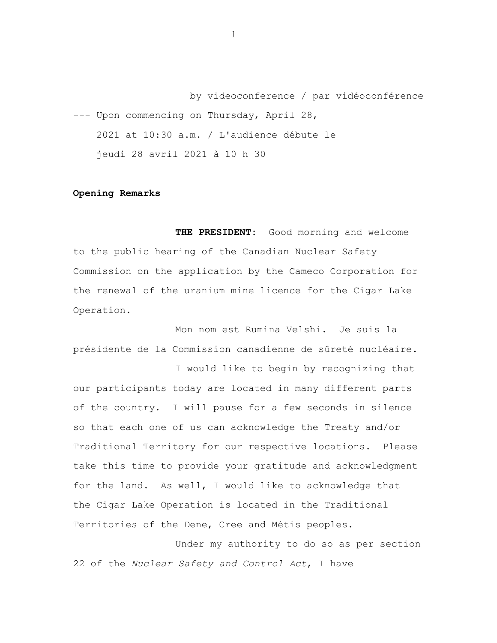by videoconference / par vidéoconférence --- Upon commencing on Thursday, April 28, 2021 at 10:30 a.m. / L'audience débute le jeudi 28 avril 2021 à 10 h 30

### **Opening Remarks**

**THE PRESIDENT:** Good morning and welcome to the public hearing of the Canadian Nuclear Safety Commission on the application by the Cameco Corporation for the renewal of the uranium mine licence for the Cigar Lake Operation.

Mon nom est Rumina Velshi. Je suis la présidente de la Commission canadienne de sûreté nucléaire.

I would like to begin by recognizing that our participants today are located in many different parts of the country. I will pause for a few seconds in silence so that each one of us can acknowledge the Treaty and/or Traditional Territory for our respective locations. Please take this time to provide your gratitude and acknowledgment for the land. As well, I would like to acknowledge that the Cigar Lake Operation is located in the Traditional Territories of the Dene, Cree and Métis peoples.

Under my authority to do so as per section 22 of the *Nuclear Safety and Control Act*, I have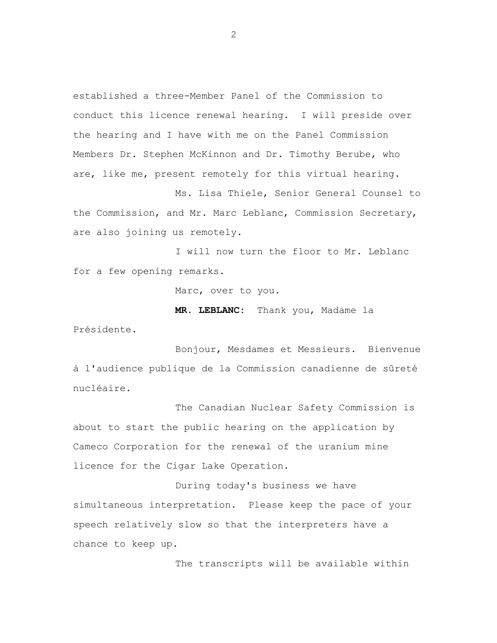established a three-Member Panel of the Commission to conduct this licence renewal hearing. I will preside over the hearing and I have with me on the Panel Commission Members Dr. Stephen McKinnon and Dr. Timothy Berube, who are, like me, present remotely for this virtual hearing.

Ms. Lisa Thiele, Senior General Counsel to the Commission, and Mr. Marc Leblanc, Commission Secretary, are also joining us remotely.

I will now turn the floor to Mr. Leblanc for a few opening remarks.

Marc, over to you.

**MR. LEBLANC:** Thank you, Madame la

Présidente.

Bonjour, Mesdames et Messieurs. Bienvenue à l'audience publique de la Commission canadienne de sûreté nucléaire.

The Canadian Nuclear Safety Commission is about to start the public hearing on the application by Cameco Corporation for the renewal of the uranium mine licence for the Cigar Lake Operation.

During today's business we have simultaneous interpretation. Please keep the pace of your speech relatively slow so that the interpreters have a chance to keep up.

The transcripts will be available within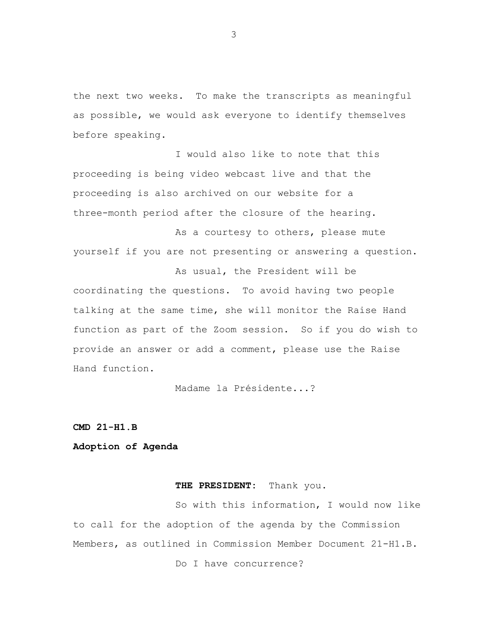the next two weeks. To make the transcripts as meaningful as possible, we would ask everyone to identify themselves before speaking.

I would also like to note that this proceeding is being video webcast live and that the proceeding is also archived on our website for a three-month period after the closure of the hearing.

As a courtesy to others, please mute yourself if you are not presenting or answering a question.

As usual, the President will be coordinating the questions. To avoid having two people talking at the same time, she will monitor the Raise Hand function as part of the Zoom session. So if you do wish to provide an answer or add a comment, please use the Raise Hand function.

Madame la Présidente...?

### **CMD 21-H1.B**

# **Adoption of Agenda**

### **THE PRESIDENT:** Thank you.

So with this information, I would now like to call for the adoption of the agenda by the Commission Members, as outlined in Commission Member Document 21-H1.B. Do I have concurrence?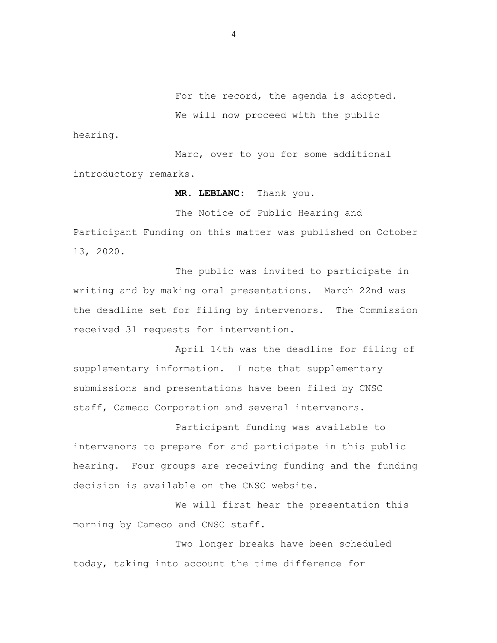For the record, the agenda is adopted. We will now proceed with the public

hearing.

Marc, over to you for some additional introductory remarks.

**MR. LEBLANC:** Thank you.

The Notice of Public Hearing and Participant Funding on this matter was published on October 13, 2020.

The public was invited to participate in writing and by making oral presentations. March 22nd was the deadline set for filing by intervenors. The Commission received 31 requests for intervention.

April 14th was the deadline for filing of supplementary information. I note that supplementary submissions and presentations have been filed by CNSC staff, Cameco Corporation and several intervenors.

Participant funding was available to intervenors to prepare for and participate in this public hearing. Four groups are receiving funding and the funding decision is available on the CNSC website.

We will first hear the presentation this morning by Cameco and CNSC staff.

Two longer breaks have been scheduled today, taking into account the time difference for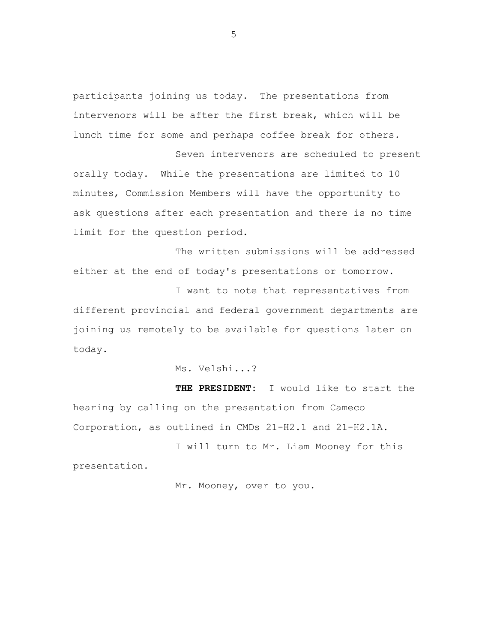participants joining us today. The presentations from intervenors will be after the first break, which will be lunch time for some and perhaps coffee break for others.

Seven intervenors are scheduled to present orally today. While the presentations are limited to 10 minutes, Commission Members will have the opportunity to ask questions after each presentation and there is no time limit for the question period.

The written submissions will be addressed either at the end of today's presentations or tomorrow.

I want to note that representatives from different provincial and federal government departments are joining us remotely to be available for questions later on today.

Ms. Velshi...?

**THE PRESIDENT:** I would like to start the hearing by calling on the presentation from Cameco Corporation, as outlined in CMDs 21-H2.1 and 21-H2.1A.

I will turn to Mr. Liam Mooney for this presentation.

Mr. Mooney, over to you.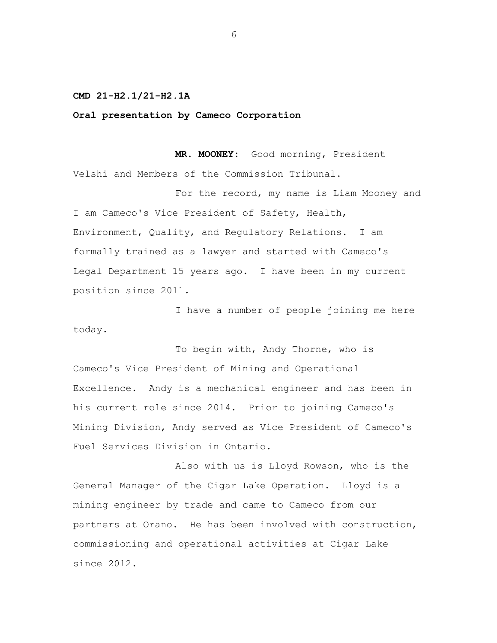### **CMD 21-H2.1/21-H2.1A**

### **Oral presentation by Cameco Corporation**

**MR. MOONEY:** Good morning, President Velshi and Members of the Commission Tribunal.

For the record, my name is Liam Mooney and I am Cameco's Vice President of Safety, Health, Environment, Quality, and Regulatory Relations. I am formally trained as a lawyer and started with Cameco's Legal Department 15 years ago. I have been in my current position since 2011.

I have a number of people joining me here today.

To begin with, Andy Thorne, who is Cameco's Vice President of Mining and Operational Excellence. Andy is a mechanical engineer and has been in his current role since 2014. Prior to joining Cameco's Mining Division, Andy served as Vice President of Cameco's Fuel Services Division in Ontario.

Also with us is Lloyd Rowson, who is the General Manager of the Cigar Lake Operation. Lloyd is a mining engineer by trade and came to Cameco from our partners at Orano. He has been involved with construction, commissioning and operational activities at Cigar Lake since 2012.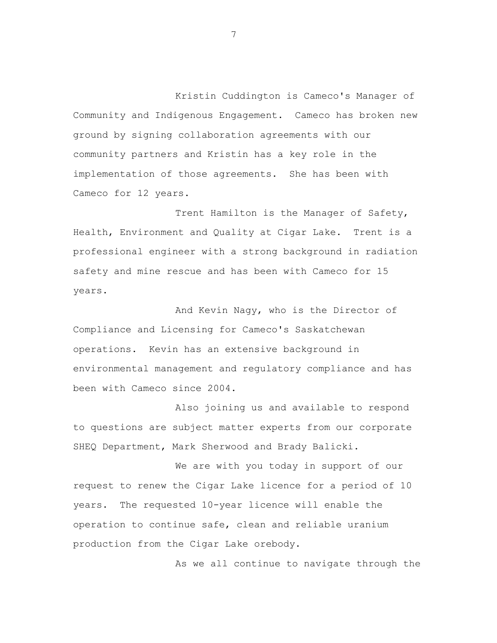Kristin Cuddington is Cameco's Manager of Community and Indigenous Engagement. Cameco has broken new ground by signing collaboration agreements with our community partners and Kristin has a key role in the implementation of those agreements. She has been with Cameco for 12 years.

Trent Hamilton is the Manager of Safety, Health, Environment and Quality at Cigar Lake. Trent is a professional engineer with a strong background in radiation safety and mine rescue and has been with Cameco for 15 years.

And Kevin Nagy, who is the Director of Compliance and Licensing for Cameco's Saskatchewan operations. Kevin has an extensive background in environmental management and regulatory compliance and has been with Cameco since 2004.

Also joining us and available to respond to questions are subject matter experts from our corporate SHEQ Department, Mark Sherwood and Brady Balicki.

We are with you today in support of our request to renew the Cigar Lake licence for a period of 10 years. The requested 10-year licence will enable the operation to continue safe, clean and reliable uranium production from the Cigar Lake orebody.

As we all continue to navigate through the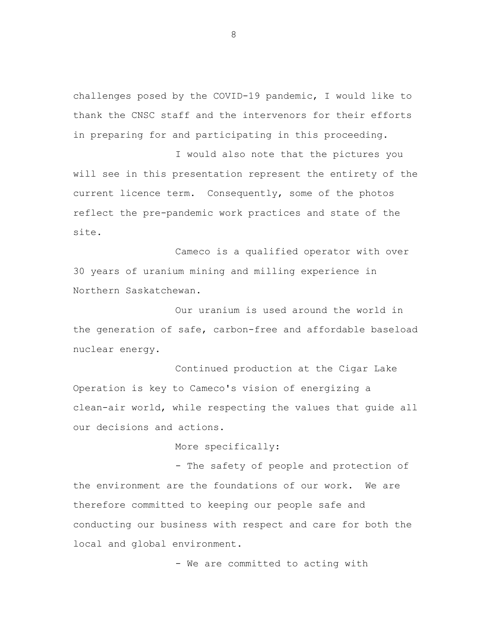challenges posed by the COVID-19 pandemic, I would like to thank the CNSC staff and the intervenors for their efforts in preparing for and participating in this proceeding.

I would also note that the pictures you will see in this presentation represent the entirety of the current licence term. Consequently, some of the photos reflect the pre-pandemic work practices and state of the site.

Cameco is a qualified operator with over 30 years of uranium mining and milling experience in Northern Saskatchewan.

Our uranium is used around the world in the generation of safe, carbon-free and affordable baseload nuclear energy.

Continued production at the Cigar Lake Operation is key to Cameco's vision of energizing a clean-air world, while respecting the values that guide all our decisions and actions.

More specifically:

- The safety of people and protection of the environment are the foundations of our work. We are therefore committed to keeping our people safe and conducting our business with respect and care for both the local and global environment.

- We are committed to acting with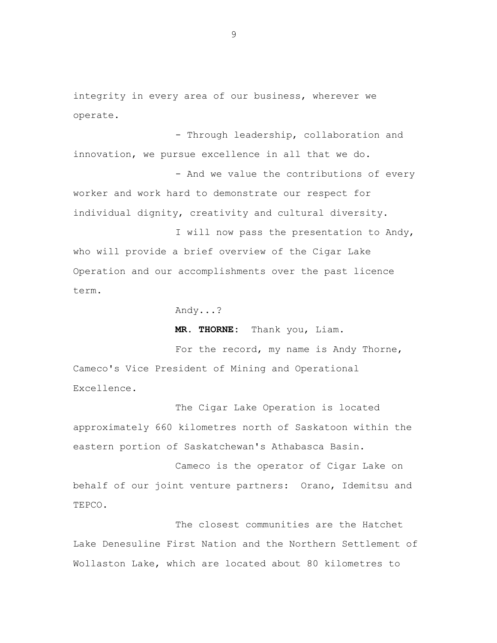integrity in every area of our business, wherever we operate.

- Through leadership, collaboration and innovation, we pursue excellence in all that we do.

- And we value the contributions of every worker and work hard to demonstrate our respect for individual dignity, creativity and cultural diversity.

I will now pass the presentation to Andy, who will provide a brief overview of the Cigar Lake Operation and our accomplishments over the past licence term.

Andy...?

**MR. THORNE:** Thank you, Liam.

For the record, my name is Andy Thorne, Cameco's Vice President of Mining and Operational Excellence.

The Cigar Lake Operation is located approximately 660 kilometres north of Saskatoon within the eastern portion of Saskatchewan's Athabasca Basin.

Cameco is the operator of Cigar Lake on behalf of our joint venture partners: Orano, Idemitsu and TEPCO.

The closest communities are the Hatchet Lake Denesuline First Nation and the Northern Settlement of Wollaston Lake, which are located about 80 kilometres to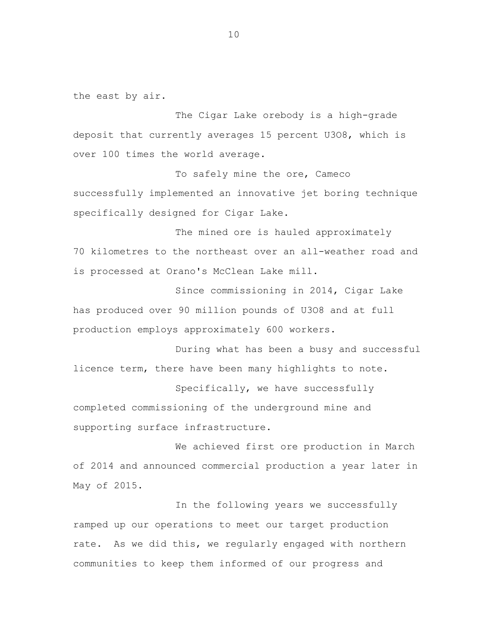the east by air.

The Cigar Lake orebody is a high-grade deposit that currently averages 15 percent U3O8, which is over 100 times the world average.

To safely mine the ore, Cameco successfully implemented an innovative jet boring technique specifically designed for Cigar Lake.

The mined ore is hauled approximately 70 kilometres to the northeast over an all-weather road and is processed at Orano's McClean Lake mill.

Since commissioning in 2014, Cigar Lake has produced over 90 million pounds of U3O8 and at full production employs approximately 600 workers.

During what has been a busy and successful licence term, there have been many highlights to note.

Specifically, we have successfully completed commissioning of the underground mine and supporting surface infrastructure.

We achieved first ore production in March of 2014 and announced commercial production a year later in May of 2015.

In the following years we successfully ramped up our operations to meet our target production rate. As we did this, we regularly engaged with northern communities to keep them informed of our progress and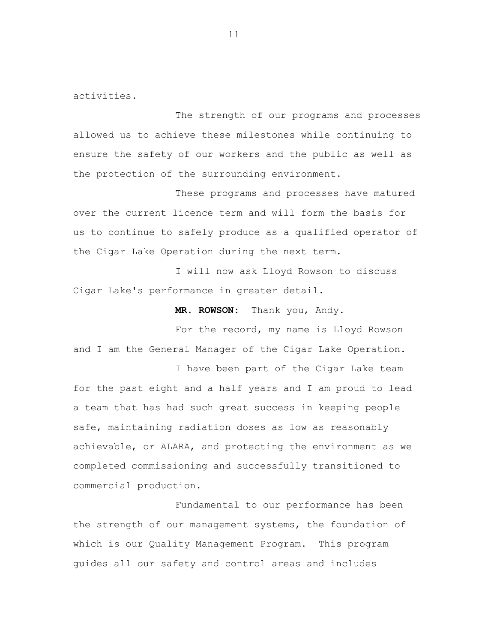activities.

The strength of our programs and processes allowed us to achieve these milestones while continuing to ensure the safety of our workers and the public as well as the protection of the surrounding environment.

These programs and processes have matured over the current licence term and will form the basis for us to continue to safely produce as a qualified operator of the Cigar Lake Operation during the next term.

I will now ask Lloyd Rowson to discuss Cigar Lake's performance in greater detail.

**MR. ROWSON:** Thank you, Andy.

For the record, my name is Lloyd Rowson and I am the General Manager of the Cigar Lake Operation.

I have been part of the Cigar Lake team for the past eight and a half years and I am proud to lead a team that has had such great success in keeping people safe, maintaining radiation doses as low as reasonably achievable, or ALARA, and protecting the environment as we completed commissioning and successfully transitioned to commercial production.

Fundamental to our performance has been the strength of our management systems, the foundation of which is our Quality Management Program. This program guides all our safety and control areas and includes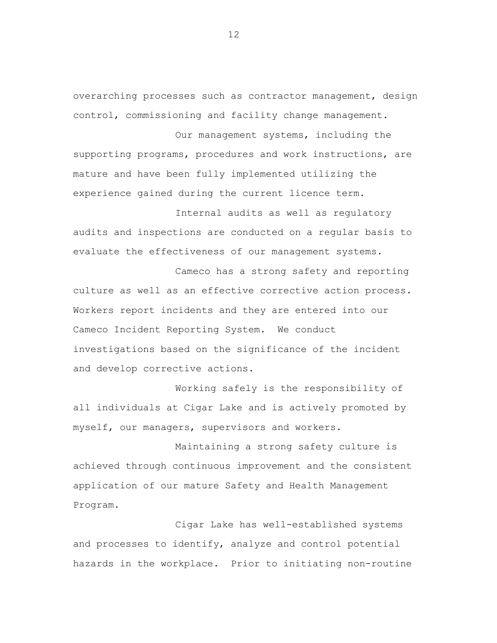overarching processes such as contractor management, design control, commissioning and facility change management.

Our management systems, including the supporting programs, procedures and work instructions, are mature and have been fully implemented utilizing the experience gained during the current licence term.

Internal audits as well as regulatory audits and inspections are conducted on a regular basis to evaluate the effectiveness of our management systems.

Cameco has a strong safety and reporting culture as well as an effective corrective action process. Workers report incidents and they are entered into our Cameco Incident Reporting System. We conduct investigations based on the significance of the incident and develop corrective actions.

Working safely is the responsibility of all individuals at Cigar Lake and is actively promoted by myself, our managers, supervisors and workers.

Maintaining a strong safety culture is achieved through continuous improvement and the consistent application of our mature Safety and Health Management Program.

Cigar Lake has well-established systems and processes to identify, analyze and control potential hazards in the workplace. Prior to initiating non-routine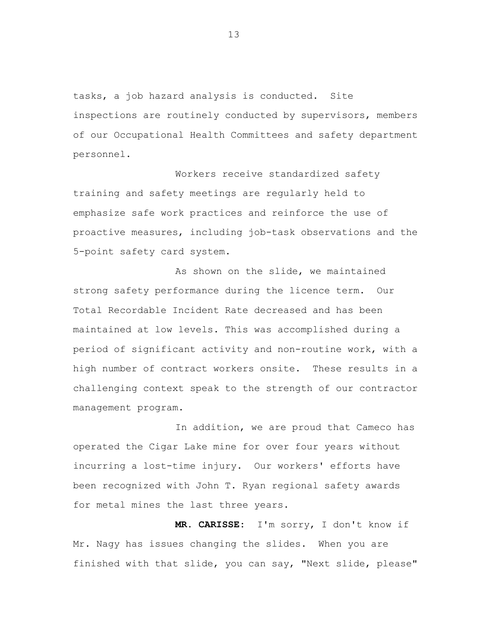tasks, a job hazard analysis is conducted. Site inspections are routinely conducted by supervisors, members of our Occupational Health Committees and safety department personnel.

Workers receive standardized safety training and safety meetings are regularly held to emphasize safe work practices and reinforce the use of proactive measures, including job-task observations and the 5-point safety card system.

As shown on the slide, we maintained strong safety performance during the licence term. Our Total Recordable Incident Rate decreased and has been maintained at low levels. This was accomplished during a period of significant activity and non-routine work, with a high number of contract workers onsite. These results in a challenging context speak to the strength of our contractor management program.

In addition, we are proud that Cameco has operated the Cigar Lake mine for over four years without incurring a lost-time injury. Our workers' efforts have been recognized with John T. Ryan regional safety awards for metal mines the last three years.

**MR. CARISSE:** I'm sorry, I don't know if Mr. Nagy has issues changing the slides. When you are finished with that slide, you can say, "Next slide, please"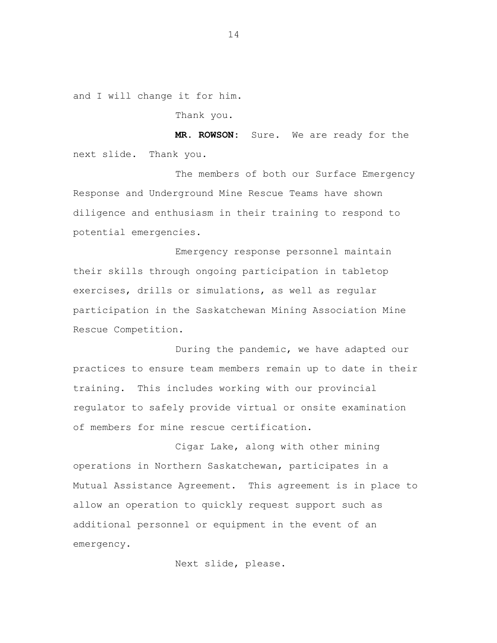and I will change it for him.

Thank you.

**MR. ROWSON:** Sure. We are ready for the next slide. Thank you.

The members of both our Surface Emergency Response and Underground Mine Rescue Teams have shown diligence and enthusiasm in their training to respond to potential emergencies.

Emergency response personnel maintain their skills through ongoing participation in tabletop exercises, drills or simulations, as well as regular participation in the Saskatchewan Mining Association Mine Rescue Competition.

During the pandemic, we have adapted our practices to ensure team members remain up to date in their training. This includes working with our provincial regulator to safely provide virtual or onsite examination of members for mine rescue certification.

Cigar Lake, along with other mining operations in Northern Saskatchewan, participates in a Mutual Assistance Agreement. This agreement is in place to allow an operation to quickly request support such as additional personnel or equipment in the event of an emergency.

Next slide, please.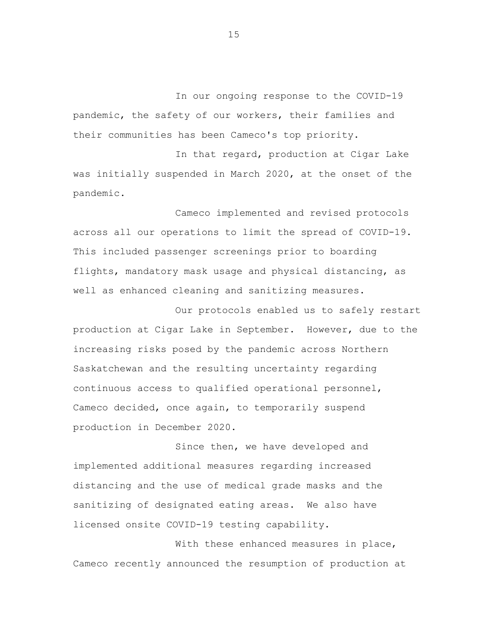In our ongoing response to the COVID-19 pandemic, the safety of our workers, their families and their communities has been Cameco's top priority.

In that regard, production at Cigar Lake was initially suspended in March 2020, at the onset of the pandemic.

Cameco implemented and revised protocols across all our operations to limit the spread of COVID-19. This included passenger screenings prior to boarding flights, mandatory mask usage and physical distancing, as well as enhanced cleaning and sanitizing measures.

Our protocols enabled us to safely restart production at Cigar Lake in September. However, due to the increasing risks posed by the pandemic across Northern Saskatchewan and the resulting uncertainty regarding continuous access to qualified operational personnel, Cameco decided, once again, to temporarily suspend production in December 2020.

Since then, we have developed and implemented additional measures regarding increased distancing and the use of medical grade masks and the sanitizing of designated eating areas. We also have licensed onsite COVID-19 testing capability.

With these enhanced measures in place, Cameco recently announced the resumption of production at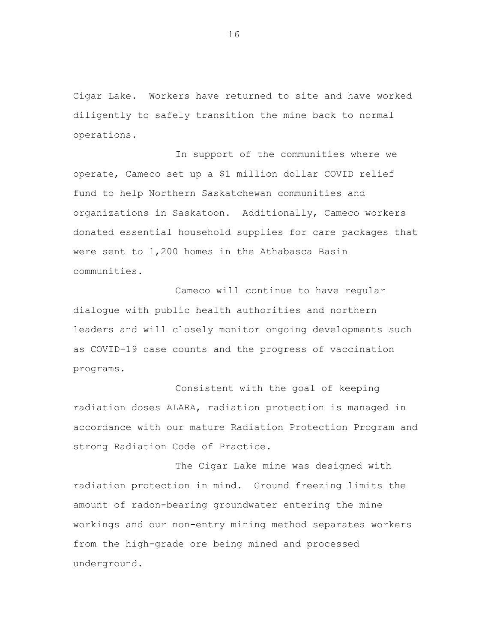Cigar Lake. Workers have returned to site and have worked diligently to safely transition the mine back to normal operations.

In support of the communities where we operate, Cameco set up a \$1 million dollar COVID relief fund to help Northern Saskatchewan communities and organizations in Saskatoon. Additionally, Cameco workers donated essential household supplies for care packages that were sent to 1,200 homes in the Athabasca Basin communities.

Cameco will continue to have regular dialogue with public health authorities and northern leaders and will closely monitor ongoing developments such as COVID-19 case counts and the progress of vaccination programs.

Consistent with the goal of keeping radiation doses ALARA, radiation protection is managed in accordance with our mature Radiation Protection Program and strong Radiation Code of Practice.

The Cigar Lake mine was designed with radiation protection in mind. Ground freezing limits the amount of radon-bearing groundwater entering the mine workings and our non-entry mining method separates workers from the high-grade ore being mined and processed underground.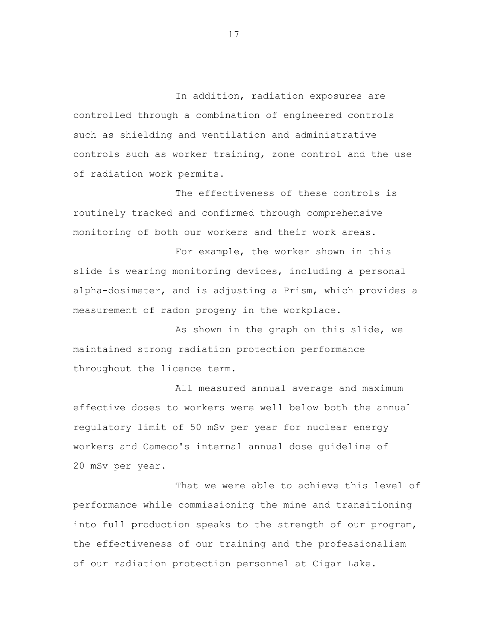In addition, radiation exposures are controlled through a combination of engineered controls such as shielding and ventilation and administrative controls such as worker training, zone control and the use of radiation work permits.

The effectiveness of these controls is routinely tracked and confirmed through comprehensive monitoring of both our workers and their work areas.

For example, the worker shown in this slide is wearing monitoring devices, including a personal alpha-dosimeter, and is adjusting a Prism, which provides a measurement of radon progeny in the workplace.

As shown in the graph on this slide, we maintained strong radiation protection performance throughout the licence term.

All measured annual average and maximum effective doses to workers were well below both the annual regulatory limit of 50 mSv per year for nuclear energy workers and Cameco's internal annual dose guideline of 20 mSv per year.

That we were able to achieve this level of performance while commissioning the mine and transitioning into full production speaks to the strength of our program, the effectiveness of our training and the professionalism of our radiation protection personnel at Cigar Lake.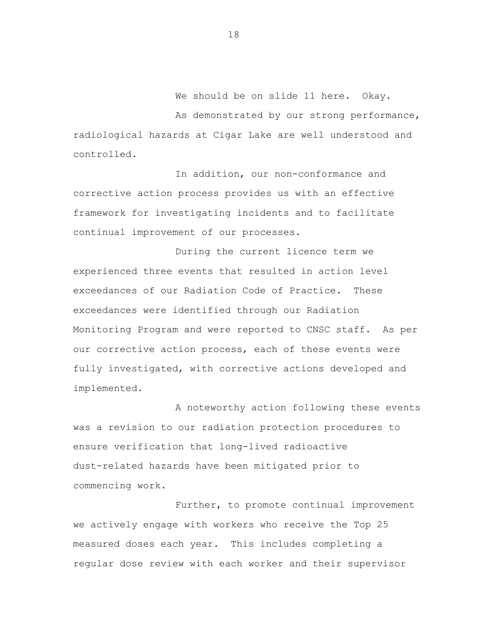We should be on slide 11 here. Okay.

As demonstrated by our strong performance, radiological hazards at Cigar Lake are well understood and controlled.

In addition, our non-conformance and corrective action process provides us with an effective framework for investigating incidents and to facilitate continual improvement of our processes.

During the current licence term we experienced three events that resulted in action level exceedances of our Radiation Code of Practice. These exceedances were identified through our Radiation Monitoring Program and were reported to CNSC staff. As per our corrective action process, each of these events were fully investigated, with corrective actions developed and implemented.

A noteworthy action following these events was a revision to our radiation protection procedures to ensure verification that long-lived radioactive dust-related hazards have been mitigated prior to commencing work.

Further, to promote continual improvement we actively engage with workers who receive the Top 25 measured doses each year. This includes completing a regular dose review with each worker and their supervisor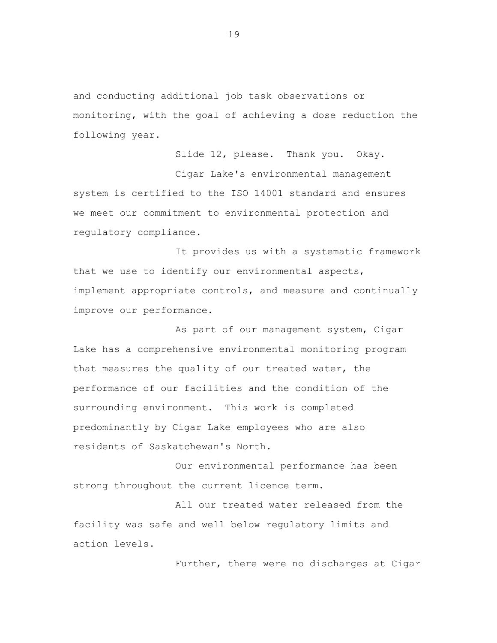and conducting additional job task observations or monitoring, with the goal of achieving a dose reduction the following year.

Slide 12, please. Thank you. Okay.

Cigar Lake's environmental management system is certified to the ISO 14001 standard and ensures we meet our commitment to environmental protection and regulatory compliance.

It provides us with a systematic framework that we use to identify our environmental aspects, implement appropriate controls, and measure and continually improve our performance.

As part of our management system, Cigar Lake has a comprehensive environmental monitoring program that measures the quality of our treated water, the performance of our facilities and the condition of the surrounding environment. This work is completed predominantly by Cigar Lake employees who are also residents of Saskatchewan's North.

Our environmental performance has been strong throughout the current licence term.

All our treated water released from the facility was safe and well below regulatory limits and action levels.

Further, there were no discharges at Cigar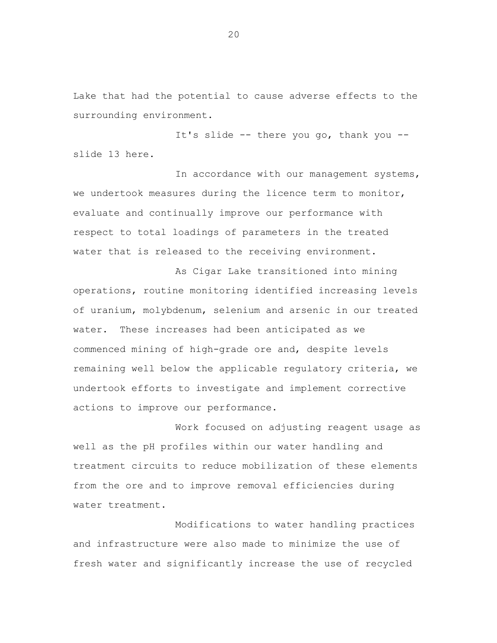Lake that had the potential to cause adverse effects to the surrounding environment.

It's slide -- there you go, thank you - slide 13 here.

In accordance with our management systems, we undertook measures during the licence term to monitor, evaluate and continually improve our performance with respect to total loadings of parameters in the treated water that is released to the receiving environment.

As Cigar Lake transitioned into mining operations, routine monitoring identified increasing levels of uranium, molybdenum, selenium and arsenic in our treated water. These increases had been anticipated as we commenced mining of high-grade ore and, despite levels remaining well below the applicable regulatory criteria, we undertook efforts to investigate and implement corrective actions to improve our performance.

Work focused on adjusting reagent usage as well as the pH profiles within our water handling and treatment circuits to reduce mobilization of these elements from the ore and to improve removal efficiencies during water treatment.

Modifications to water handling practices and infrastructure were also made to minimize the use of fresh water and significantly increase the use of recycled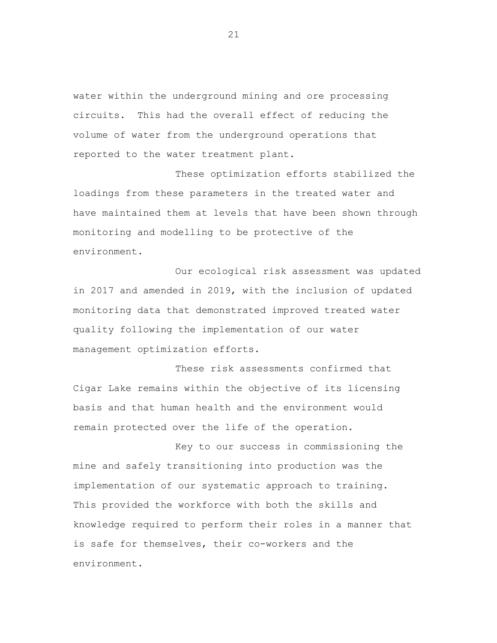water within the underground mining and ore processing circuits. This had the overall effect of reducing the volume of water from the underground operations that reported to the water treatment plant.

These optimization efforts stabilized the loadings from these parameters in the treated water and have maintained them at levels that have been shown through monitoring and modelling to be protective of the environment.

Our ecological risk assessment was updated in 2017 and amended in 2019, with the inclusion of updated monitoring data that demonstrated improved treated water quality following the implementation of our water management optimization efforts.

These risk assessments confirmed that Cigar Lake remains within the objective of its licensing basis and that human health and the environment would remain protected over the life of the operation.

Key to our success in commissioning the mine and safely transitioning into production was the implementation of our systematic approach to training. This provided the workforce with both the skills and knowledge required to perform their roles in a manner that is safe for themselves, their co-workers and the environment.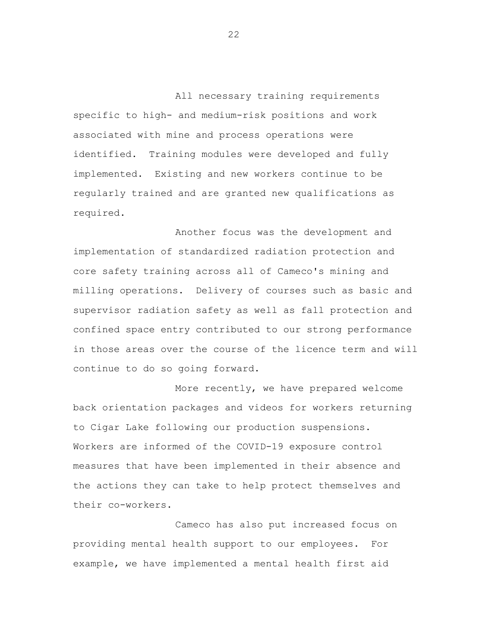All necessary training requirements specific to high- and medium-risk positions and work associated with mine and process operations were identified. Training modules were developed and fully implemented. Existing and new workers continue to be regularly trained and are granted new qualifications as required.

Another focus was the development and implementation of standardized radiation protection and core safety training across all of Cameco's mining and milling operations. Delivery of courses such as basic and supervisor radiation safety as well as fall protection and confined space entry contributed to our strong performance in those areas over the course of the licence term and will continue to do so going forward.

More recently, we have prepared welcome back orientation packages and videos for workers returning to Cigar Lake following our production suspensions. Workers are informed of the COVID-19 exposure control measures that have been implemented in their absence and the actions they can take to help protect themselves and their co-workers.

Cameco has also put increased focus on providing mental health support to our employees. For example, we have implemented a mental health first aid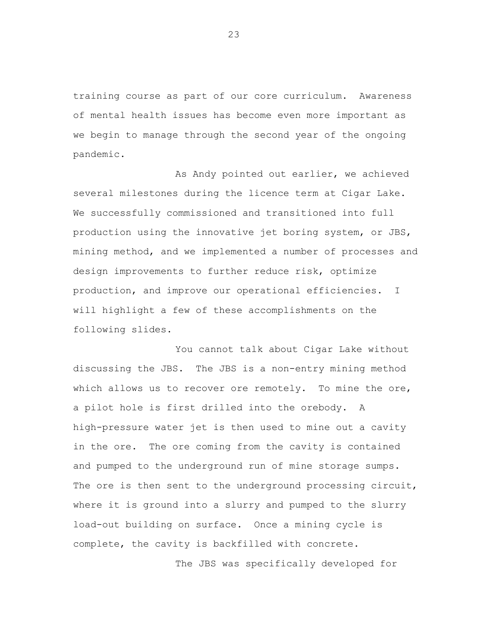training course as part of our core curriculum. Awareness of mental health issues has become even more important as we begin to manage through the second year of the ongoing pandemic.

As Andy pointed out earlier, we achieved several milestones during the licence term at Cigar Lake. We successfully commissioned and transitioned into full production using the innovative jet boring system, or JBS, mining method, and we implemented a number of processes and design improvements to further reduce risk, optimize production, and improve our operational efficiencies. I will highlight a few of these accomplishments on the following slides.

You cannot talk about Cigar Lake without discussing the JBS. The JBS is a non-entry mining method which allows us to recover ore remotely. To mine the ore, a pilot hole is first drilled into the orebody. A high-pressure water jet is then used to mine out a cavity in the ore. The ore coming from the cavity is contained and pumped to the underground run of mine storage sumps. The ore is then sent to the underground processing circuit, where it is ground into a slurry and pumped to the slurry load-out building on surface. Once a mining cycle is complete, the cavity is backfilled with concrete.

The JBS was specifically developed for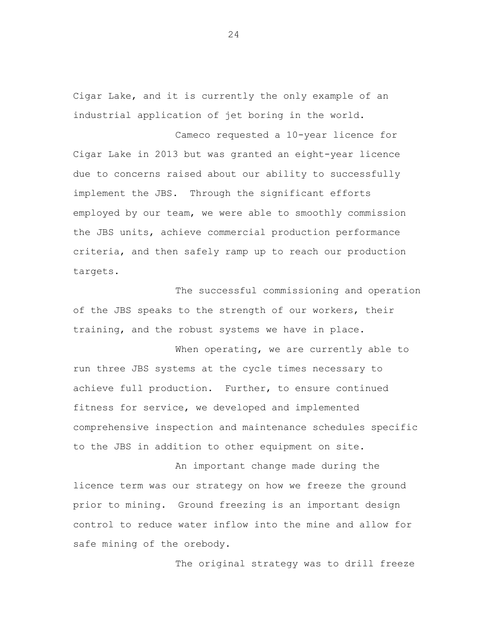Cigar Lake, and it is currently the only example of an industrial application of jet boring in the world.

Cameco requested a 10-year licence for Cigar Lake in 2013 but was granted an eight-year licence due to concerns raised about our ability to successfully implement the JBS. Through the significant efforts employed by our team, we were able to smoothly commission the JBS units, achieve commercial production performance criteria, and then safely ramp up to reach our production targets.

The successful commissioning and operation of the JBS speaks to the strength of our workers, their training, and the robust systems we have in place.

When operating, we are currently able to run three JBS systems at the cycle times necessary to achieve full production. Further, to ensure continued fitness for service, we developed and implemented comprehensive inspection and maintenance schedules specific to the JBS in addition to other equipment on site.

An important change made during the licence term was our strategy on how we freeze the ground prior to mining. Ground freezing is an important design control to reduce water inflow into the mine and allow for safe mining of the orebody.

The original strategy was to drill freeze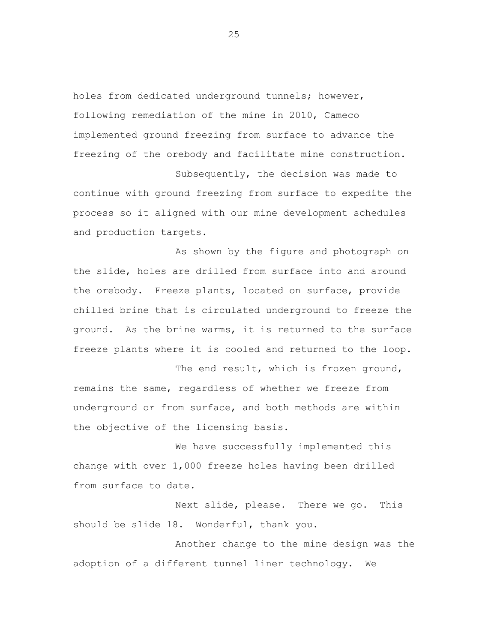holes from dedicated underground tunnels; however, following remediation of the mine in 2010, Cameco implemented ground freezing from surface to advance the freezing of the orebody and facilitate mine construction.

Subsequently, the decision was made to continue with ground freezing from surface to expedite the process so it aligned with our mine development schedules and production targets.

As shown by the figure and photograph on the slide, holes are drilled from surface into and around the orebody. Freeze plants, located on surface, provide chilled brine that is circulated underground to freeze the ground. As the brine warms, it is returned to the surface freeze plants where it is cooled and returned to the loop.

The end result, which is frozen ground, remains the same, regardless of whether we freeze from underground or from surface, and both methods are within the objective of the licensing basis.

We have successfully implemented this change with over 1,000 freeze holes having been drilled from surface to date.

Next slide, please. There we go. This should be slide 18. Wonderful, thank you.

Another change to the mine design was the adoption of a different tunnel liner technology. We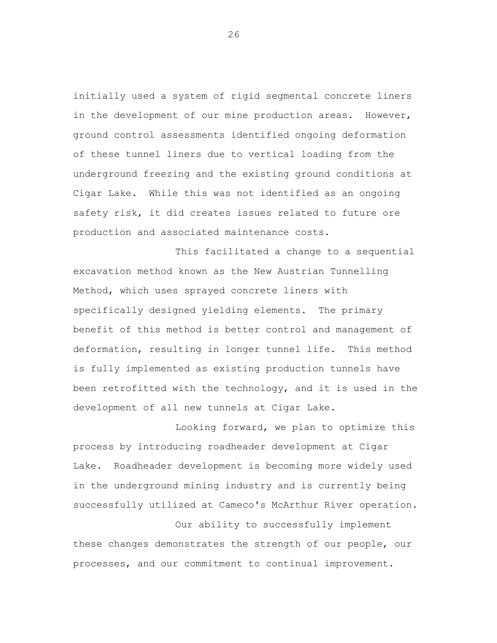initially used a system of rigid segmental concrete liners in the development of our mine production areas. However, ground control assessments identified ongoing deformation of these tunnel liners due to vertical loading from the underground freezing and the existing ground conditions at Cigar Lake. While this was not identified as an ongoing safety risk, it did creates issues related to future ore production and associated maintenance costs.

This facilitated a change to a sequential excavation method known as the New Austrian Tunnelling Method, which uses sprayed concrete liners with specifically designed yielding elements. The primary benefit of this method is better control and management of deformation, resulting in longer tunnel life. This method is fully implemented as existing production tunnels have been retrofitted with the technology, and it is used in the development of all new tunnels at Cigar Lake.

Looking forward, we plan to optimize this process by introducing roadheader development at Cigar Lake. Roadheader development is becoming more widely used in the underground mining industry and is currently being successfully utilized at Cameco's McArthur River operation.

Our ability to successfully implement these changes demonstrates the strength of our people, our processes, and our commitment to continual improvement.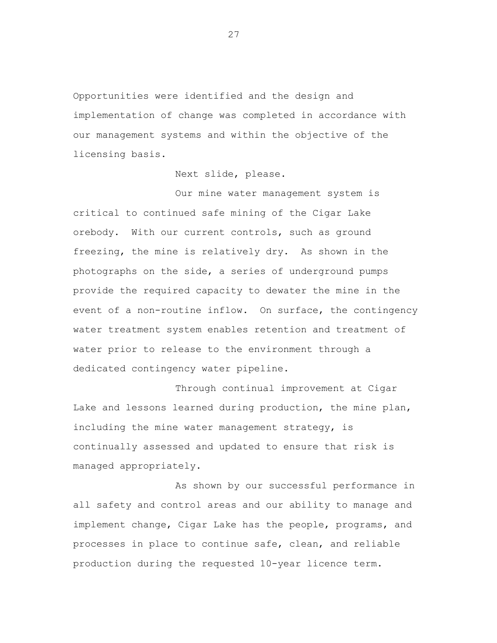Opportunities were identified and the design and implementation of change was completed in accordance with our management systems and within the objective of the licensing basis.

Next slide, please.

Our mine water management system is critical to continued safe mining of the Cigar Lake orebody. With our current controls, such as ground freezing, the mine is relatively dry. As shown in the photographs on the side, a series of underground pumps provide the required capacity to dewater the mine in the event of a non-routine inflow. On surface, the contingency water treatment system enables retention and treatment of water prior to release to the environment through a dedicated contingency water pipeline.

Through continual improvement at Cigar Lake and lessons learned during production, the mine plan, including the mine water management strategy, is continually assessed and updated to ensure that risk is managed appropriately.

As shown by our successful performance in all safety and control areas and our ability to manage and implement change, Cigar Lake has the people, programs, and processes in place to continue safe, clean, and reliable production during the requested 10-year licence term.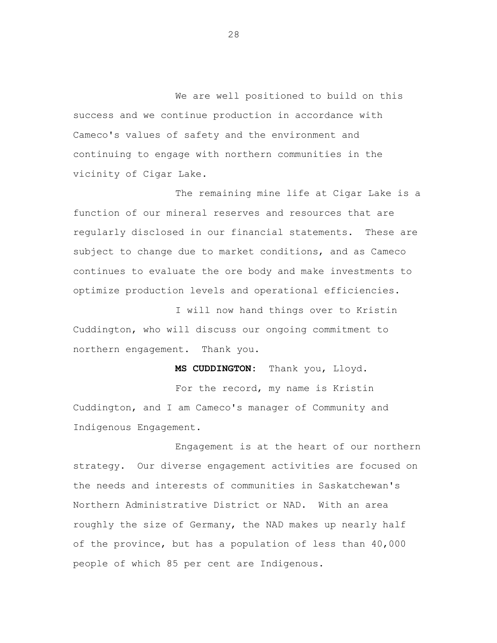We are well positioned to build on this success and we continue production in accordance with Cameco's values of safety and the environment and continuing to engage with northern communities in the vicinity of Cigar Lake.

The remaining mine life at Cigar Lake is a function of our mineral reserves and resources that are regularly disclosed in our financial statements. These are subject to change due to market conditions, and as Cameco continues to evaluate the ore body and make investments to optimize production levels and operational efficiencies.

I will now hand things over to Kristin Cuddington, who will discuss our ongoing commitment to northern engagement. Thank you.

**MS CUDDINGTON:** Thank you, Lloyd. For the record, my name is Kristin Cuddington, and I am Cameco's manager of Community and Indigenous Engagement.

Engagement is at the heart of our northern strategy. Our diverse engagement activities are focused on the needs and interests of communities in Saskatchewan's Northern Administrative District or NAD. With an area roughly the size of Germany, the NAD makes up nearly half of the province, but has a population of less than 40,000 people of which 85 per cent are Indigenous.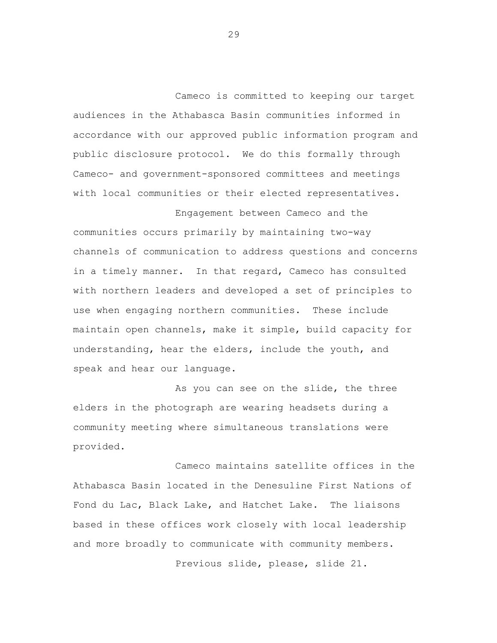Cameco is committed to keeping our target audiences in the Athabasca Basin communities informed in accordance with our approved public information program and public disclosure protocol. We do this formally through Cameco- and government-sponsored committees and meetings with local communities or their elected representatives.

Engagement between Cameco and the communities occurs primarily by maintaining two-way channels of communication to address questions and concerns in a timely manner. In that regard, Cameco has consulted with northern leaders and developed a set of principles to use when engaging northern communities. These include maintain open channels, make it simple, build capacity for understanding, hear the elders, include the youth, and speak and hear our language.

As you can see on the slide, the three elders in the photograph are wearing headsets during a community meeting where simultaneous translations were provided.

Cameco maintains satellite offices in the Athabasca Basin located in the Denesuline First Nations of Fond du Lac, Black Lake, and Hatchet Lake. The liaisons based in these offices work closely with local leadership and more broadly to communicate with community members.

Previous slide, please, slide 21.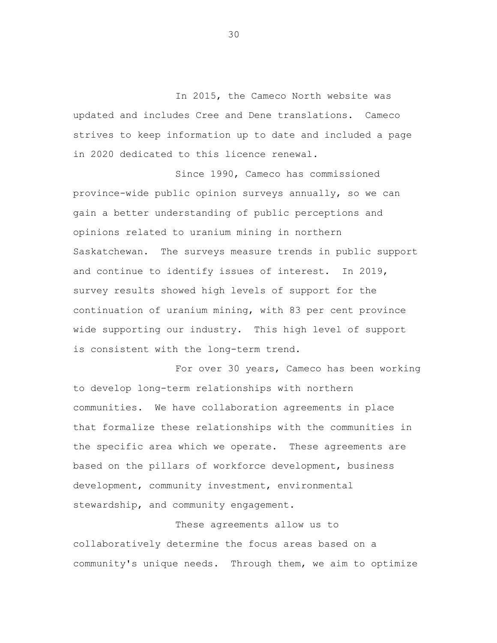In 2015, the Cameco North website was updated and includes Cree and Dene translations. Cameco strives to keep information up to date and included a page in 2020 dedicated to this licence renewal.

Since 1990, Cameco has commissioned province-wide public opinion surveys annually, so we can gain a better understanding of public perceptions and opinions related to uranium mining in northern Saskatchewan. The surveys measure trends in public support and continue to identify issues of interest. In 2019, survey results showed high levels of support for the continuation of uranium mining, with 83 per cent province wide supporting our industry. This high level of support is consistent with the long-term trend.

For over 30 years, Cameco has been working to develop long-term relationships with northern communities. We have collaboration agreements in place that formalize these relationships with the communities in the specific area which we operate. These agreements are based on the pillars of workforce development, business development, community investment, environmental stewardship, and community engagement.

These agreements allow us to collaboratively determine the focus areas based on a community's unique needs. Through them, we aim to optimize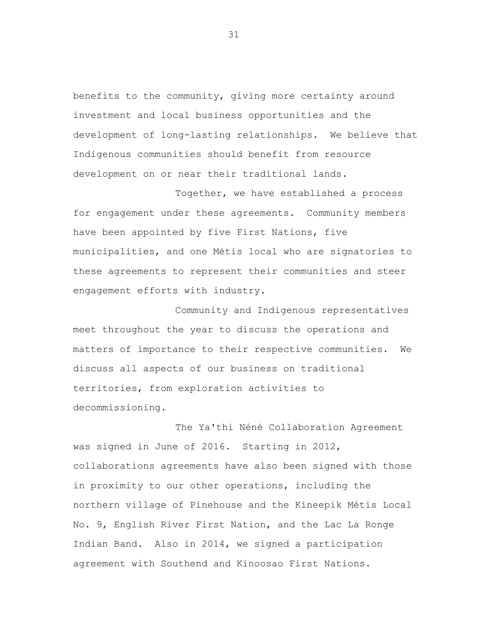benefits to the community, giving more certainty around investment and local business opportunities and the development of long-lasting relationships. We believe that Indigenous communities should benefit from resource development on or near their traditional lands.

Together, we have established a process for engagement under these agreements. Community members have been appointed by five First Nations, five municipalities, and one Métis local who are signatories to these agreements to represent their communities and steer engagement efforts with industry.

Community and Indigenous representatives meet throughout the year to discuss the operations and matters of importance to their respective communities. We discuss all aspects of our business on traditional territories, from exploration activities to decommissioning.

The Ya'thi Néné Collaboration Agreement was signed in June of 2016. Starting in 2012, collaborations agreements have also been signed with those in proximity to our other operations, including the northern village of Pinehouse and the Kineepik Métis Local No. 9, English River First Nation, and the Lac La Ronge Indian Band. Also in 2014, we signed a participation agreement with Southend and Kinoosao First Nations.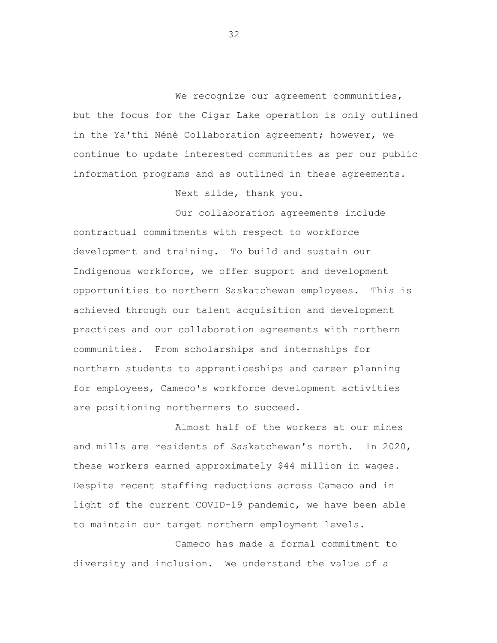We recognize our agreement communities, but the focus for the Cigar Lake operation is only outlined in the Ya'thi Néné Collaboration agreement; however, we continue to update interested communities as per our public information programs and as outlined in these agreements.

Next slide, thank you.

Our collaboration agreements include contractual commitments with respect to workforce development and training. To build and sustain our Indigenous workforce, we offer support and development opportunities to northern Saskatchewan employees. This is achieved through our talent acquisition and development practices and our collaboration agreements with northern communities. From scholarships and internships for northern students to apprenticeships and career planning for employees, Cameco's workforce development activities are positioning northerners to succeed.

Almost half of the workers at our mines and mills are residents of Saskatchewan's north. In 2020, these workers earned approximately \$44 million in wages. Despite recent staffing reductions across Cameco and in light of the current COVID-19 pandemic, we have been able to maintain our target northern employment levels.

Cameco has made a formal commitment to diversity and inclusion. We understand the value of a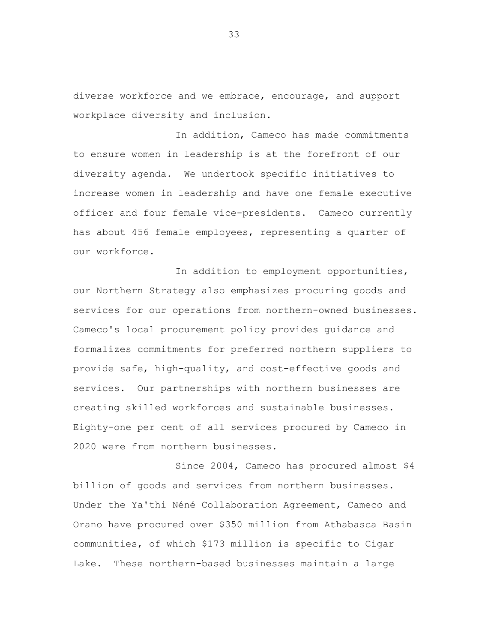diverse workforce and we embrace, encourage, and support workplace diversity and inclusion.

In addition, Cameco has made commitments to ensure women in leadership is at the forefront of our diversity agenda. We undertook specific initiatives to increase women in leadership and have one female executive officer and four female vice-presidents. Cameco currently has about 456 female employees, representing a quarter of our workforce.

In addition to employment opportunities, our Northern Strategy also emphasizes procuring goods and services for our operations from northern-owned businesses. Cameco's local procurement policy provides guidance and formalizes commitments for preferred northern suppliers to provide safe, high-quality, and cost-effective goods and services. Our partnerships with northern businesses are creating skilled workforces and sustainable businesses. Eighty-one per cent of all services procured by Cameco in 2020 were from northern businesses.

Since 2004, Cameco has procured almost \$4 billion of goods and services from northern businesses. Under the Ya'thi Néné Collaboration Agreement, Cameco and Orano have procured over \$350 million from Athabasca Basin communities, of which \$173 million is specific to Cigar Lake. These northern-based businesses maintain a large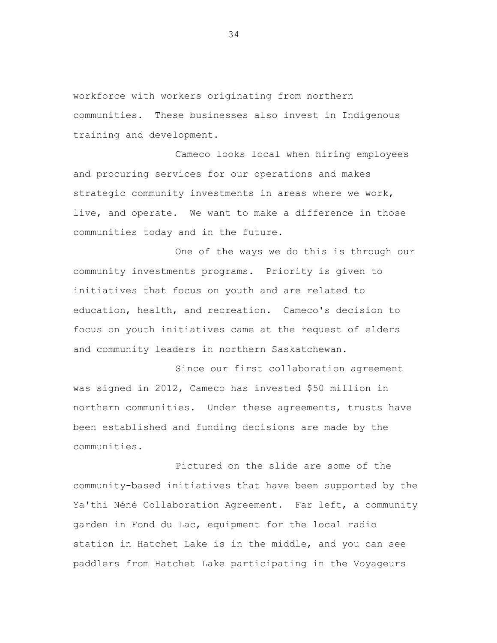workforce with workers originating from northern communities. These businesses also invest in Indigenous training and development.

Cameco looks local when hiring employees and procuring services for our operations and makes strategic community investments in areas where we work, live, and operate. We want to make a difference in those communities today and in the future.

One of the ways we do this is through our community investments programs. Priority is given to initiatives that focus on youth and are related to education, health, and recreation. Cameco's decision to focus on youth initiatives came at the request of elders and community leaders in northern Saskatchewan.

Since our first collaboration agreement was signed in 2012, Cameco has invested \$50 million in northern communities. Under these agreements, trusts have been established and funding decisions are made by the communities.

Pictured on the slide are some of the community-based initiatives that have been supported by the Ya'thi Néné Collaboration Agreement. Far left, a community garden in Fond du Lac, equipment for the local radio station in Hatchet Lake is in the middle, and you can see paddlers from Hatchet Lake participating in the Voyageurs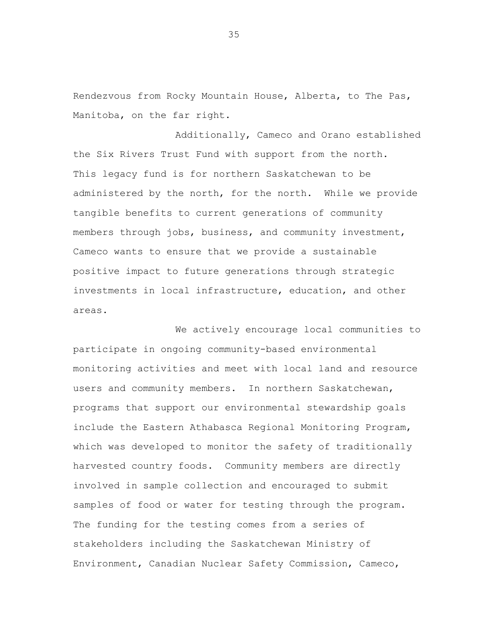Rendezvous from Rocky Mountain House, Alberta, to The Pas, Manitoba, on the far right.

Additionally, Cameco and Orano established the Six Rivers Trust Fund with support from the north. This legacy fund is for northern Saskatchewan to be administered by the north, for the north. While we provide tangible benefits to current generations of community members through jobs, business, and community investment, Cameco wants to ensure that we provide a sustainable positive impact to future generations through strategic investments in local infrastructure, education, and other areas.

We actively encourage local communities to participate in ongoing community-based environmental monitoring activities and meet with local land and resource users and community members. In northern Saskatchewan, programs that support our environmental stewardship goals include the Eastern Athabasca Regional Monitoring Program, which was developed to monitor the safety of traditionally harvested country foods. Community members are directly involved in sample collection and encouraged to submit samples of food or water for testing through the program. The funding for the testing comes from a series of stakeholders including the Saskatchewan Ministry of Environment, Canadian Nuclear Safety Commission, Cameco,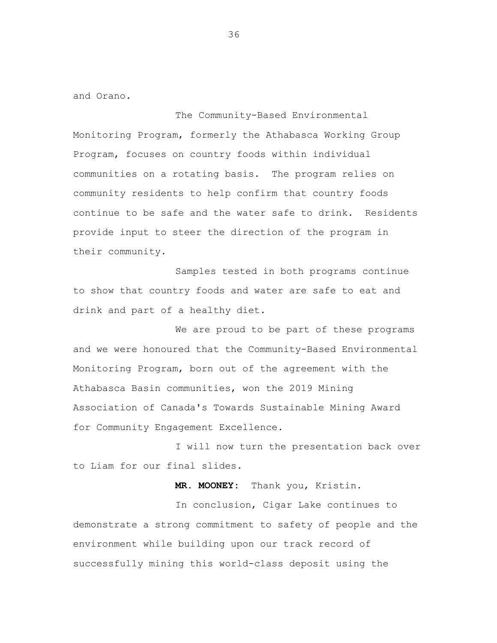and Orano.

The Community-Based Environmental Monitoring Program, formerly the Athabasca Working Group Program, focuses on country foods within individual communities on a rotating basis. The program relies on community residents to help confirm that country foods continue to be safe and the water safe to drink. Residents provide input to steer the direction of the program in their community.

Samples tested in both programs continue to show that country foods and water are safe to eat and drink and part of a healthy diet.

We are proud to be part of these programs and we were honoured that the Community-Based Environmental Monitoring Program, born out of the agreement with the Athabasca Basin communities, won the 2019 Mining Association of Canada's Towards Sustainable Mining Award for Community Engagement Excellence.

I will now turn the presentation back over to Liam for our final slides.

**MR. MOONEY:** Thank you, Kristin.

In conclusion, Cigar Lake continues to demonstrate a strong commitment to safety of people and the environment while building upon our track record of successfully mining this world-class deposit using the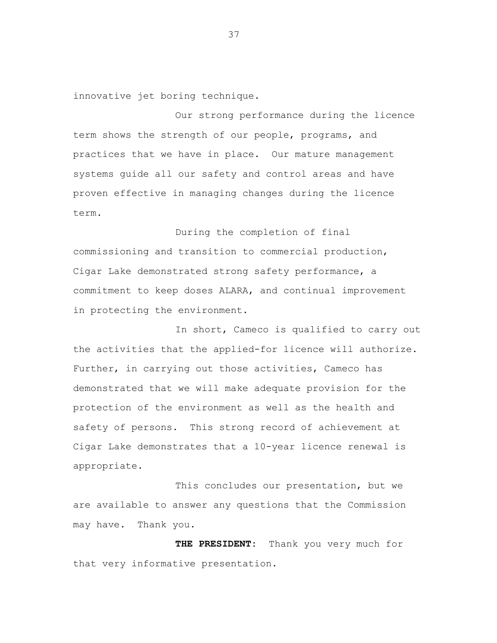innovative jet boring technique.

Our strong performance during the licence term shows the strength of our people, programs, and practices that we have in place. Our mature management systems guide all our safety and control areas and have proven effective in managing changes during the licence term.

During the completion of final commissioning and transition to commercial production, Cigar Lake demonstrated strong safety performance, a commitment to keep doses ALARA, and continual improvement in protecting the environment.

In short, Cameco is qualified to carry out the activities that the applied-for licence will authorize. Further, in carrying out those activities, Cameco has demonstrated that we will make adequate provision for the protection of the environment as well as the health and safety of persons. This strong record of achievement at Cigar Lake demonstrates that a 10-year licence renewal is appropriate.

This concludes our presentation, but we are available to answer any questions that the Commission may have. Thank you.

**THE PRESIDENT:** Thank you very much for that very informative presentation.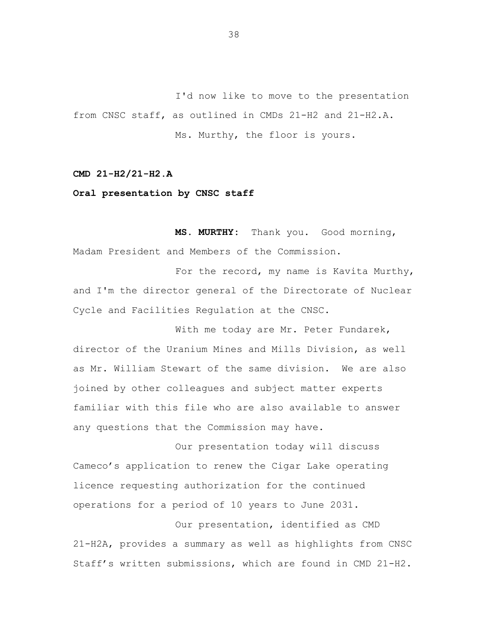I'd now like to move to the presentation from CNSC staff, as outlined in CMDs 21-H2 and 21-H2.A. Ms. Murthy, the floor is yours.

**CMD 21-H2/21-H2.A**

**Oral presentation by CNSC staff**

**MS. MURTHY:** Thank you. Good morning, Madam President and Members of the Commission.

For the record, my name is Kavita Murthy, and I'm the director general of the Directorate of Nuclear Cycle and Facilities Regulation at the CNSC.

With me today are Mr. Peter Fundarek, director of the Uranium Mines and Mills Division, as well as Mr. William Stewart of the same division. We are also joined by other colleagues and subject matter experts familiar with this file who are also available to answer any questions that the Commission may have.

Our presentation today will discuss Cameco's application to renew the Cigar Lake operating licence requesting authorization for the continued operations for a period of 10 years to June 2031.

Our presentation, identified as CMD 21-H2A, provides a summary as well as highlights from CNSC Staff's written submissions, which are found in CMD 21-H2.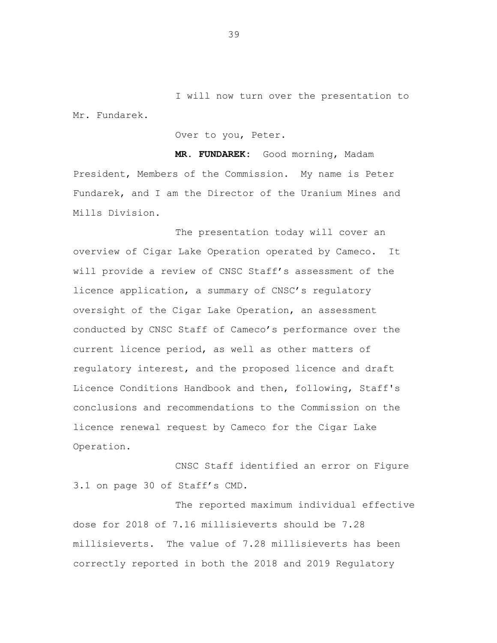I will now turn over the presentation to Mr. Fundarek.

Over to you, Peter.

**MR. FUNDAREK:** Good morning, Madam President, Members of the Commission. My name is Peter Fundarek, and I am the Director of the Uranium Mines and Mills Division.

The presentation today will cover an overview of Cigar Lake Operation operated by Cameco. It will provide a review of CNSC Staff's assessment of the licence application, a summary of CNSC's regulatory oversight of the Cigar Lake Operation, an assessment conducted by CNSC Staff of Cameco's performance over the current licence period, as well as other matters of regulatory interest, and the proposed licence and draft Licence Conditions Handbook and then, following, Staff's conclusions and recommendations to the Commission on the licence renewal request by Cameco for the Cigar Lake Operation.

CNSC Staff identified an error on Figure 3.1 on page 30 of Staff's CMD.

The reported maximum individual effective dose for 2018 of 7.16 millisieverts should be 7.28 millisieverts. The value of 7.28 millisieverts has been correctly reported in both the 2018 and 2019 Regulatory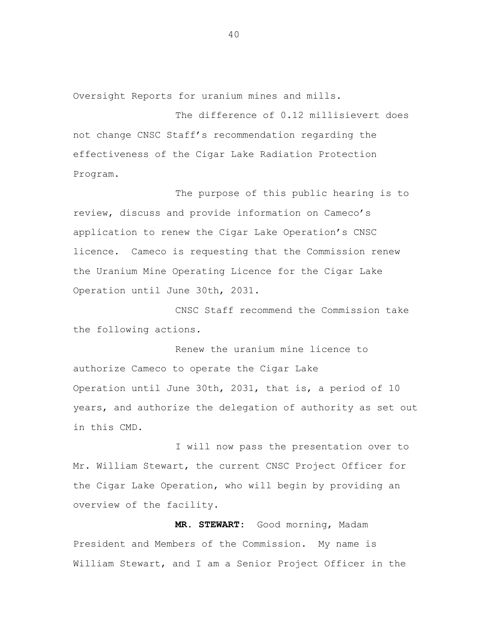Oversight Reports for uranium mines and mills.

The difference of 0.12 millisievert does not change CNSC Staff's recommendation regarding the effectiveness of the Cigar Lake Radiation Protection Program.

The purpose of this public hearing is to review, discuss and provide information on Cameco's application to renew the Cigar Lake Operation's CNSC licence. Cameco is requesting that the Commission renew the Uranium Mine Operating Licence for the Cigar Lake Operation until June 30th, 2031.

CNSC Staff recommend the Commission take the following actions.

Renew the uranium mine licence to authorize Cameco to operate the Cigar Lake Operation until June 30th, 2031, that is, a period of 10 years, and authorize the delegation of authority as set out in this CMD.

I will now pass the presentation over to Mr. William Stewart, the current CNSC Project Officer for the Cigar Lake Operation, who will begin by providing an overview of the facility.

**MR. STEWART:** Good morning, Madam President and Members of the Commission. My name is William Stewart, and I am a Senior Project Officer in the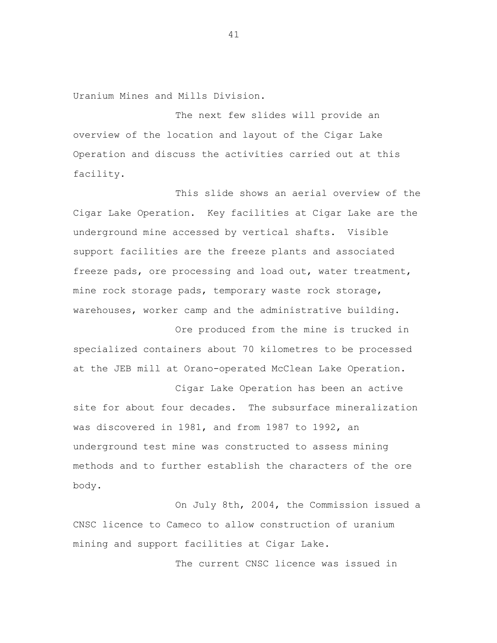Uranium Mines and Mills Division.

The next few slides will provide an overview of the location and layout of the Cigar Lake Operation and discuss the activities carried out at this facility.

This slide shows an aerial overview of the Cigar Lake Operation. Key facilities at Cigar Lake are the underground mine accessed by vertical shafts. Visible support facilities are the freeze plants and associated freeze pads, ore processing and load out, water treatment, mine rock storage pads, temporary waste rock storage, warehouses, worker camp and the administrative building.

Ore produced from the mine is trucked in specialized containers about 70 kilometres to be processed at the JEB mill at Orano-operated McClean Lake Operation.

Cigar Lake Operation has been an active site for about four decades. The subsurface mineralization was discovered in 1981, and from 1987 to 1992, an underground test mine was constructed to assess mining methods and to further establish the characters of the ore body.

On July 8th, 2004, the Commission issued a CNSC licence to Cameco to allow construction of uranium mining and support facilities at Cigar Lake.

The current CNSC licence was issued in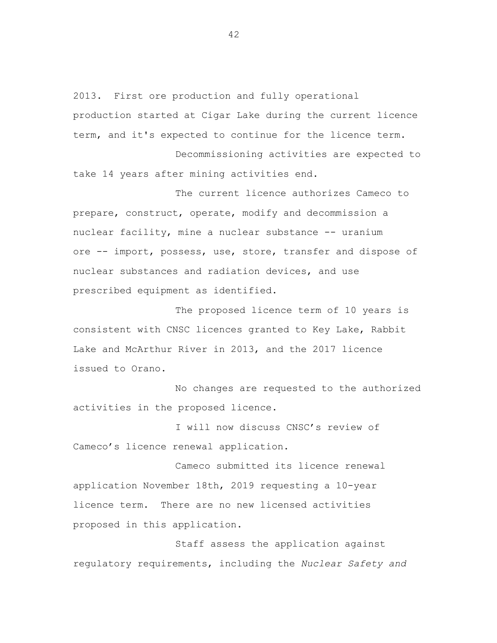2013. First ore production and fully operational production started at Cigar Lake during the current licence term, and it's expected to continue for the licence term.

Decommissioning activities are expected to take 14 years after mining activities end.

The current licence authorizes Cameco to prepare, construct, operate, modify and decommission a nuclear facility, mine a nuclear substance -- uranium ore -- import, possess, use, store, transfer and dispose of nuclear substances and radiation devices, and use prescribed equipment as identified.

The proposed licence term of 10 years is consistent with CNSC licences granted to Key Lake, Rabbit Lake and McArthur River in 2013, and the 2017 licence issued to Orano.

No changes are requested to the authorized activities in the proposed licence.

I will now discuss CNSC's review of Cameco's licence renewal application.

Cameco submitted its licence renewal application November 18th, 2019 requesting a 10-year licence term. There are no new licensed activities proposed in this application.

Staff assess the application against regulatory requirements, including the *Nuclear Safety and*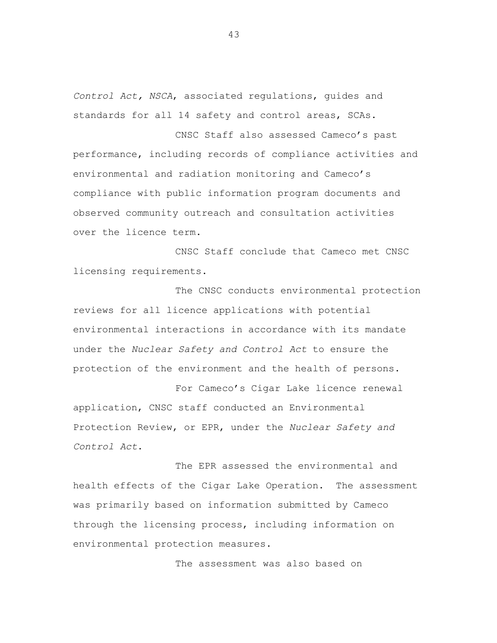*Control Act, NSCA*, associated regulations, guides and standards for all 14 safety and control areas, SCAs.

CNSC Staff also assessed Cameco's past performance, including records of compliance activities and environmental and radiation monitoring and Cameco's compliance with public information program documents and observed community outreach and consultation activities over the licence term.

CNSC Staff conclude that Cameco met CNSC licensing requirements.

The CNSC conducts environmental protection reviews for all licence applications with potential environmental interactions in accordance with its mandate under the *Nuclear Safety and Control Act* to ensure the protection of the environment and the health of persons.

For Cameco's Cigar Lake licence renewal application, CNSC staff conducted an Environmental Protection Review, or EPR, under the *Nuclear Safety and Control Act*.

The EPR assessed the environmental and health effects of the Cigar Lake Operation. The assessment was primarily based on information submitted by Cameco through the licensing process, including information on environmental protection measures.

The assessment was also based on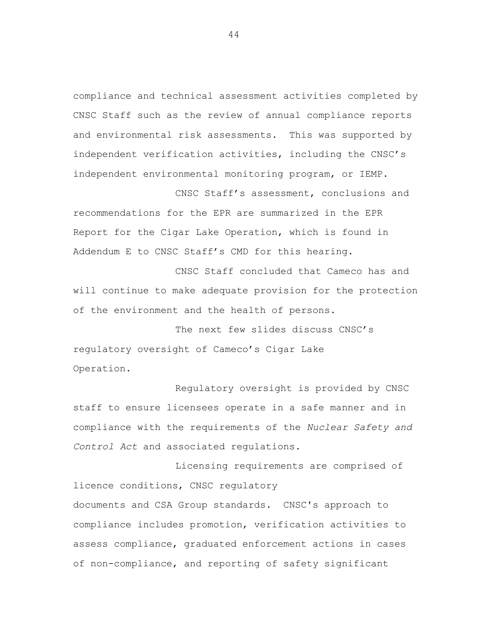compliance and technical assessment activities completed by CNSC Staff such as the review of annual compliance reports and environmental risk assessments. This was supported by independent verification activities, including the CNSC's independent environmental monitoring program, or IEMP.

CNSC Staff's assessment, conclusions and recommendations for the EPR are summarized in the EPR Report for the Cigar Lake Operation, which is found in Addendum E to CNSC Staff's CMD for this hearing.

CNSC Staff concluded that Cameco has and will continue to make adequate provision for the protection of the environment and the health of persons.

The next few slides discuss CNSC's regulatory oversight of Cameco's Cigar Lake Operation.

Regulatory oversight is provided by CNSC staff to ensure licensees operate in a safe manner and in compliance with the requirements of the *Nuclear Safety and Control Act* and associated regulations.

Licensing requirements are comprised of licence conditions, CNSC regulatory documents and CSA Group standards. CNSC's approach to compliance includes promotion, verification activities to assess compliance, graduated enforcement actions in cases of non-compliance, and reporting of safety significant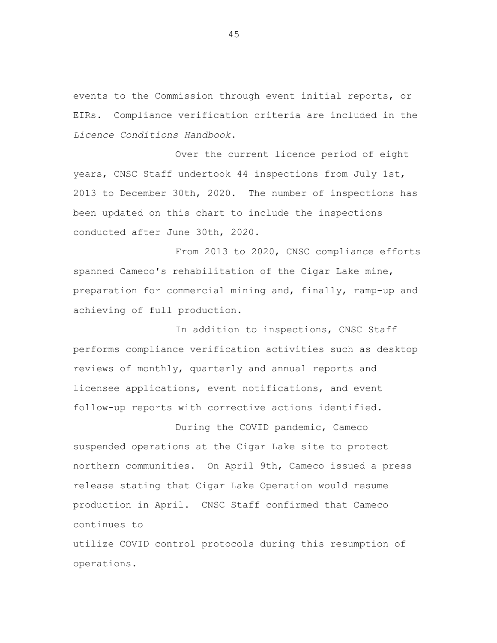events to the Commission through event initial reports, or EIRs. Compliance verification criteria are included in the *Licence Conditions Handbook*.

Over the current licence period of eight years, CNSC Staff undertook 44 inspections from July 1st, 2013 to December 30th, 2020. The number of inspections has been updated on this chart to include the inspections conducted after June 30th, 2020.

From 2013 to 2020, CNSC compliance efforts spanned Cameco's rehabilitation of the Cigar Lake mine, preparation for commercial mining and, finally, ramp-up and achieving of full production.

In addition to inspections, CNSC Staff performs compliance verification activities such as desktop reviews of monthly, quarterly and annual reports and licensee applications, event notifications, and event follow-up reports with corrective actions identified.

During the COVID pandemic, Cameco suspended operations at the Cigar Lake site to protect northern communities. On April 9th, Cameco issued a press release stating that Cigar Lake Operation would resume production in April. CNSC Staff confirmed that Cameco continues to

utilize COVID control protocols during this resumption of operations.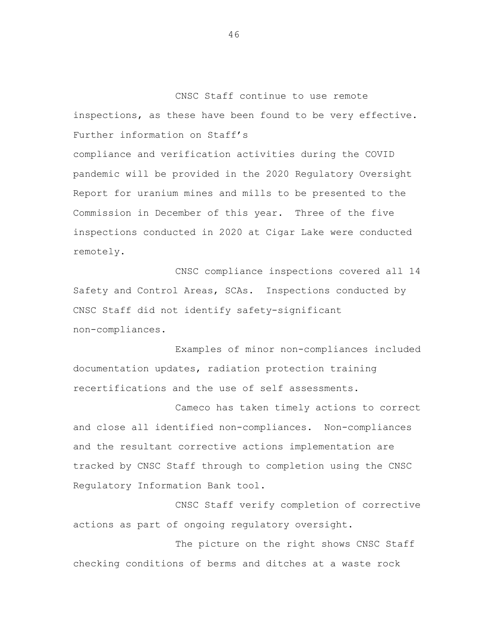CNSC Staff continue to use remote inspections, as these have been found to be very effective. Further information on Staff's

compliance and verification activities during the COVID pandemic will be provided in the 2020 Regulatory Oversight Report for uranium mines and mills to be presented to the Commission in December of this year. Three of the five inspections conducted in 2020 at Cigar Lake were conducted remotely.

CNSC compliance inspections covered all 14 Safety and Control Areas, SCAs. Inspections conducted by CNSC Staff did not identify safety-significant non-compliances.

Examples of minor non-compliances included documentation updates, radiation protection training recertifications and the use of self assessments.

Cameco has taken timely actions to correct and close all identified non-compliances. Non-compliances and the resultant corrective actions implementation are tracked by CNSC Staff through to completion using the CNSC Regulatory Information Bank tool.

CNSC Staff verify completion of corrective actions as part of ongoing regulatory oversight.

The picture on the right shows CNSC Staff checking conditions of berms and ditches at a waste rock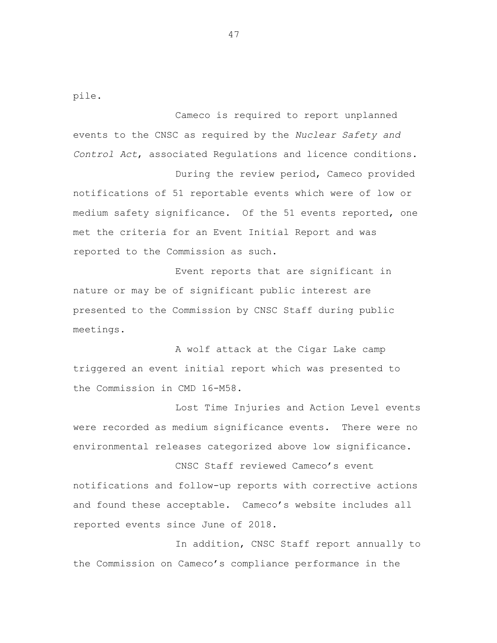pile.

Cameco is required to report unplanned events to the CNSC as required by the *Nuclear Safety and Control Act*, associated Regulations and licence conditions.

During the review period, Cameco provided notifications of 51 reportable events which were of low or medium safety significance. Of the 51 events reported, one met the criteria for an Event Initial Report and was reported to the Commission as such.

Event reports that are significant in nature or may be of significant public interest are presented to the Commission by CNSC Staff during public meetings.

A wolf attack at the Cigar Lake camp triggered an event initial report which was presented to the Commission in CMD 16-M58.

Lost Time Injuries and Action Level events were recorded as medium significance events. There were no environmental releases categorized above low significance.

CNSC Staff reviewed Cameco's event notifications and follow-up reports with corrective actions and found these acceptable. Cameco's website includes all reported events since June of 2018.

In addition, CNSC Staff report annually to the Commission on Cameco's compliance performance in the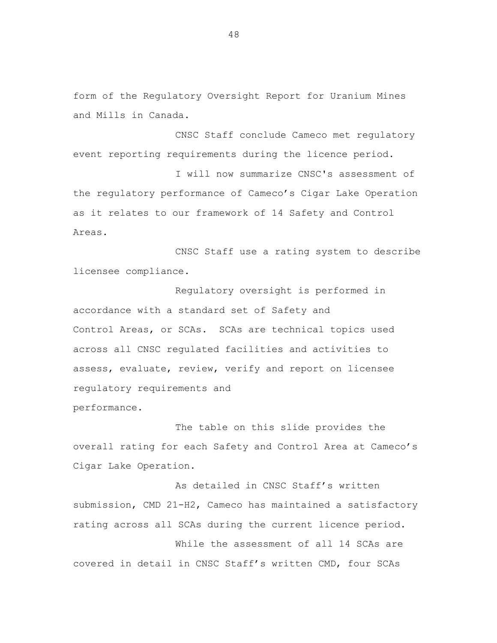form of the Regulatory Oversight Report for Uranium Mines and Mills in Canada.

CNSC Staff conclude Cameco met regulatory event reporting requirements during the licence period.

I will now summarize CNSC's assessment of the regulatory performance of Cameco's Cigar Lake Operation as it relates to our framework of 14 Safety and Control Areas.

CNSC Staff use a rating system to describe licensee compliance.

Regulatory oversight is performed in accordance with a standard set of Safety and Control Areas, or SCAs. SCAs are technical topics used across all CNSC regulated facilities and activities to assess, evaluate, review, verify and report on licensee regulatory requirements and

performance.

The table on this slide provides the overall rating for each Safety and Control Area at Cameco's Cigar Lake Operation.

As detailed in CNSC Staff's written submission, CMD 21-H2, Cameco has maintained a satisfactory rating across all SCAs during the current licence period.

While the assessment of all 14 SCAs are covered in detail in CNSC Staff's written CMD, four SCAs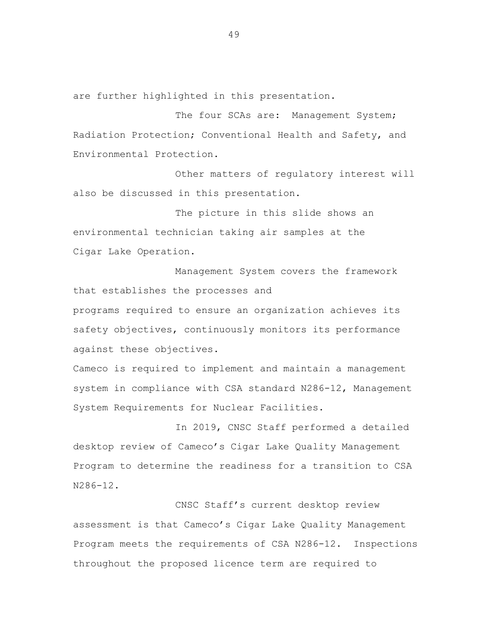are further highlighted in this presentation.

The four SCAs are: Management System; Radiation Protection; Conventional Health and Safety, and Environmental Protection.

Other matters of regulatory interest will also be discussed in this presentation.

The picture in this slide shows an environmental technician taking air samples at the Cigar Lake Operation.

Management System covers the framework that establishes the processes and programs required to ensure an organization achieves its safety objectives, continuously monitors its performance against these objectives.

Cameco is required to implement and maintain a management system in compliance with CSA standard N286-12, Management System Requirements for Nuclear Facilities.

In 2019, CNSC Staff performed a detailed desktop review of Cameco's Cigar Lake Quality Management Program to determine the readiness for a transition to CSA N286-12.

CNSC Staff's current desktop review assessment is that Cameco's Cigar Lake Quality Management Program meets the requirements of CSA N286-12. Inspections throughout the proposed licence term are required to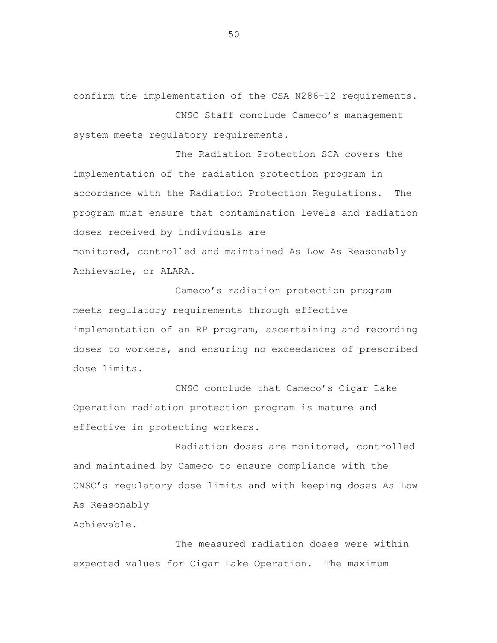confirm the implementation of the CSA N286-12 requirements. CNSC Staff conclude Cameco's management system meets regulatory requirements.

The Radiation Protection SCA covers the implementation of the radiation protection program in accordance with the Radiation Protection Regulations. The program must ensure that contamination levels and radiation doses received by individuals are monitored, controlled and maintained As Low As Reasonably Achievable, or ALARA.

Cameco's radiation protection program meets regulatory requirements through effective implementation of an RP program, ascertaining and recording doses to workers, and ensuring no exceedances of prescribed dose limits.

CNSC conclude that Cameco's Cigar Lake Operation radiation protection program is mature and effective in protecting workers.

Radiation doses are monitored, controlled and maintained by Cameco to ensure compliance with the CNSC's regulatory dose limits and with keeping doses As Low As Reasonably

Achievable.

The measured radiation doses were within expected values for Cigar Lake Operation. The maximum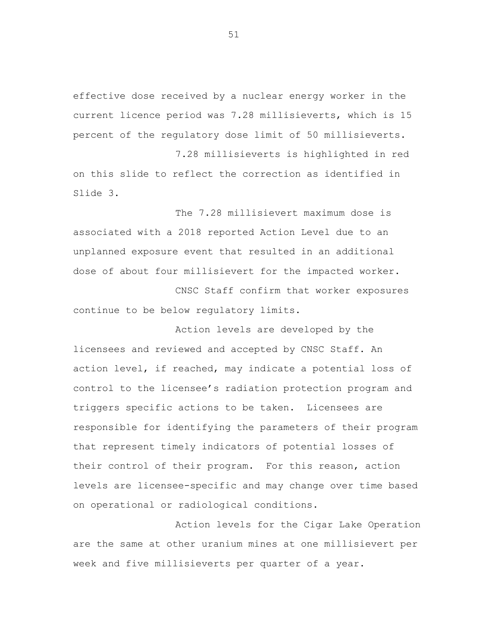effective dose received by a nuclear energy worker in the current licence period was 7.28 millisieverts, which is 15 percent of the regulatory dose limit of 50 millisieverts.

7.28 millisieverts is highlighted in red on this slide to reflect the correction as identified in Slide 3.

The 7.28 millisievert maximum dose is associated with a 2018 reported Action Level due to an unplanned exposure event that resulted in an additional dose of about four millisievert for the impacted worker.

CNSC Staff confirm that worker exposures continue to be below regulatory limits.

Action levels are developed by the licensees and reviewed and accepted by CNSC Staff. An action level, if reached, may indicate a potential loss of control to the licensee's radiation protection program and triggers specific actions to be taken. Licensees are responsible for identifying the parameters of their program that represent timely indicators of potential losses of their control of their program. For this reason, action levels are licensee-specific and may change over time based on operational or radiological conditions.

Action levels for the Cigar Lake Operation are the same at other uranium mines at one millisievert per week and five millisieverts per quarter of a year.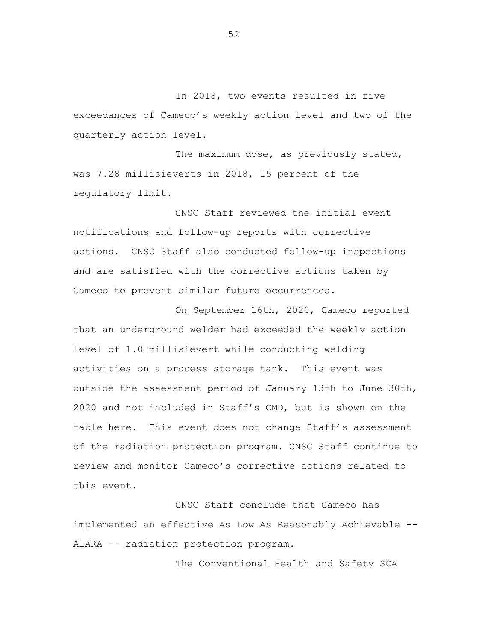In 2018, two events resulted in five exceedances of Cameco's weekly action level and two of the quarterly action level.

The maximum dose, as previously stated, was 7.28 millisieverts in 2018, 15 percent of the regulatory limit.

CNSC Staff reviewed the initial event notifications and follow-up reports with corrective actions. CNSC Staff also conducted follow-up inspections and are satisfied with the corrective actions taken by Cameco to prevent similar future occurrences.

On September 16th, 2020, Cameco reported that an underground welder had exceeded the weekly action level of 1.0 millisievert while conducting welding activities on a process storage tank. This event was outside the assessment period of January 13th to June 30th, 2020 and not included in Staff's CMD, but is shown on the table here. This event does not change Staff's assessment of the radiation protection program. CNSC Staff continue to review and monitor Cameco's corrective actions related to this event.

CNSC Staff conclude that Cameco has implemented an effective As Low As Reasonably Achievable -- ALARA -- radiation protection program.

The Conventional Health and Safety SCA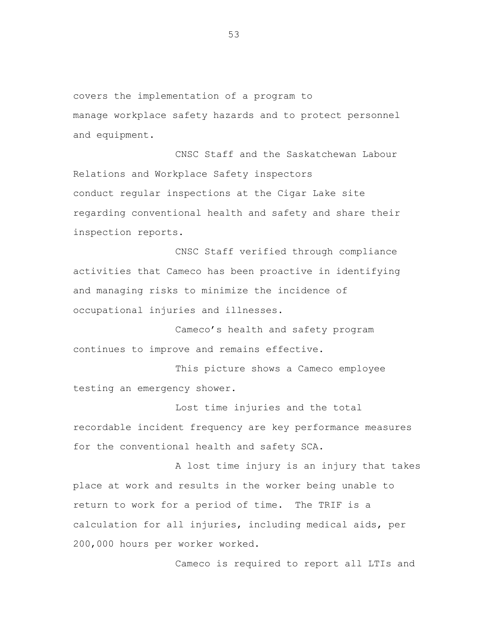covers the implementation of a program to manage workplace safety hazards and to protect personnel and equipment.

CNSC Staff and the Saskatchewan Labour Relations and Workplace Safety inspectors conduct regular inspections at the Cigar Lake site regarding conventional health and safety and share their inspection reports.

CNSC Staff verified through compliance activities that Cameco has been proactive in identifying and managing risks to minimize the incidence of occupational injuries and illnesses.

Cameco's health and safety program continues to improve and remains effective.

This picture shows a Cameco employee testing an emergency shower.

Lost time injuries and the total recordable incident frequency are key performance measures for the conventional health and safety SCA.

A lost time injury is an injury that takes place at work and results in the worker being unable to return to work for a period of time. The TRIF is a calculation for all injuries, including medical aids, per 200,000 hours per worker worked.

Cameco is required to report all LTIs and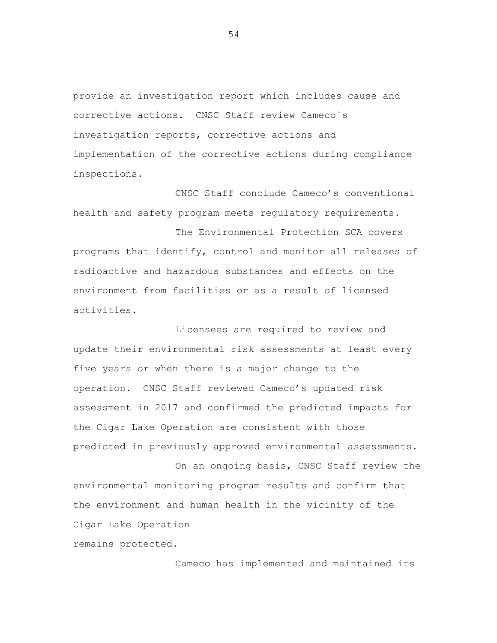provide an investigation report which includes cause and corrective actions. CNSC Staff review Cameco`s investigation reports, corrective actions and implementation of the corrective actions during compliance inspections.

CNSC Staff conclude Cameco's conventional health and safety program meets regulatory requirements.

The Environmental Protection SCA covers programs that identify, control and monitor all releases of radioactive and hazardous substances and effects on the environment from facilities or as a result of licensed activities.

Licensees are required to review and update their environmental risk assessments at least every five years or when there is a major change to the operation. CNSC Staff reviewed Cameco's updated risk assessment in 2017 and confirmed the predicted impacts for the Cigar Lake Operation are consistent with those predicted in previously approved environmental assessments.

On an ongoing basis, CNSC Staff review the environmental monitoring program results and confirm that the environment and human health in the vicinity of the Cigar Lake Operation

remains protected.

Cameco has implemented and maintained its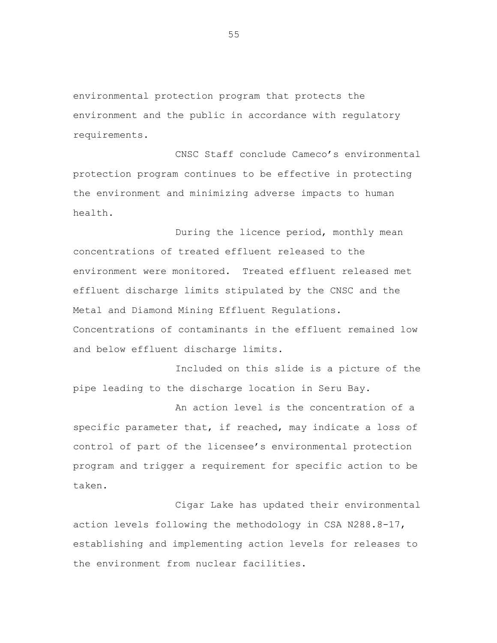environmental protection program that protects the environment and the public in accordance with regulatory requirements.

CNSC Staff conclude Cameco's environmental protection program continues to be effective in protecting the environment and minimizing adverse impacts to human health.

During the licence period, monthly mean concentrations of treated effluent released to the environment were monitored. Treated effluent released met effluent discharge limits stipulated by the CNSC and the Metal and Diamond Mining Effluent Regulations. Concentrations of contaminants in the effluent remained low and below effluent discharge limits.

Included on this slide is a picture of the pipe leading to the discharge location in Seru Bay.

An action level is the concentration of a specific parameter that, if reached, may indicate a loss of control of part of the licensee's environmental protection program and trigger a requirement for specific action to be taken.

Cigar Lake has updated their environmental action levels following the methodology in CSA N288.8-17, establishing and implementing action levels for releases to the environment from nuclear facilities.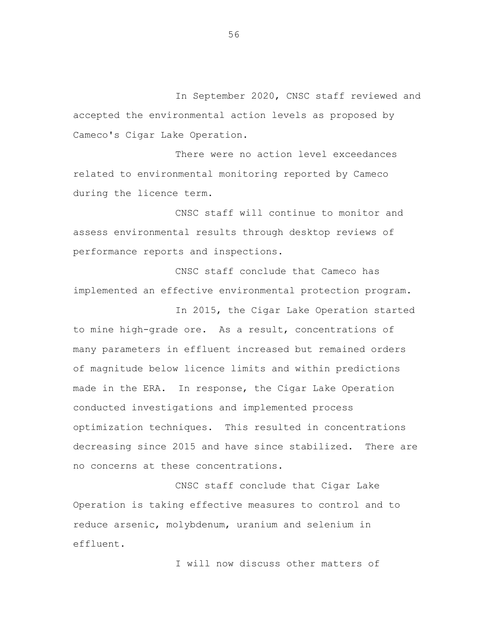In September 2020, CNSC staff reviewed and accepted the environmental action levels as proposed by Cameco's Cigar Lake Operation.

There were no action level exceedances related to environmental monitoring reported by Cameco during the licence term.

CNSC staff will continue to monitor and assess environmental results through desktop reviews of performance reports and inspections.

CNSC staff conclude that Cameco has implemented an effective environmental protection program.

In 2015, the Cigar Lake Operation started to mine high-grade ore. As a result, concentrations of many parameters in effluent increased but remained orders of magnitude below licence limits and within predictions made in the ERA. In response, the Cigar Lake Operation conducted investigations and implemented process optimization techniques. This resulted in concentrations decreasing since 2015 and have since stabilized. There are no concerns at these concentrations.

CNSC staff conclude that Cigar Lake Operation is taking effective measures to control and to reduce arsenic, molybdenum, uranium and selenium in effluent.

I will now discuss other matters of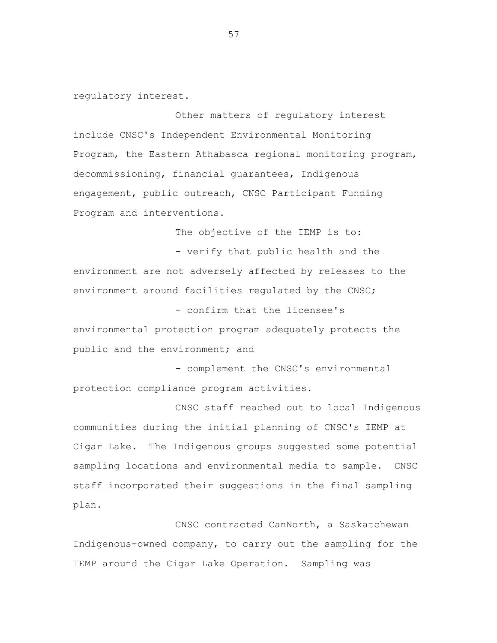regulatory interest.

Other matters of regulatory interest include CNSC's Independent Environmental Monitoring Program, the Eastern Athabasca regional monitoring program, decommissioning, financial guarantees, Indigenous engagement, public outreach, CNSC Participant Funding Program and interventions.

The objective of the IEMP is to: - verify that public health and the environment are not adversely affected by releases to the environment around facilities regulated by the CNSC;

- confirm that the licensee's environmental protection program adequately protects the public and the environment; and

- complement the CNSC's environmental protection compliance program activities.

CNSC staff reached out to local Indigenous communities during the initial planning of CNSC's IEMP at Cigar Lake. The Indigenous groups suggested some potential sampling locations and environmental media to sample. CNSC staff incorporated their suggestions in the final sampling plan.

CNSC contracted CanNorth, a Saskatchewan Indigenous-owned company, to carry out the sampling for the IEMP around the Cigar Lake Operation. Sampling was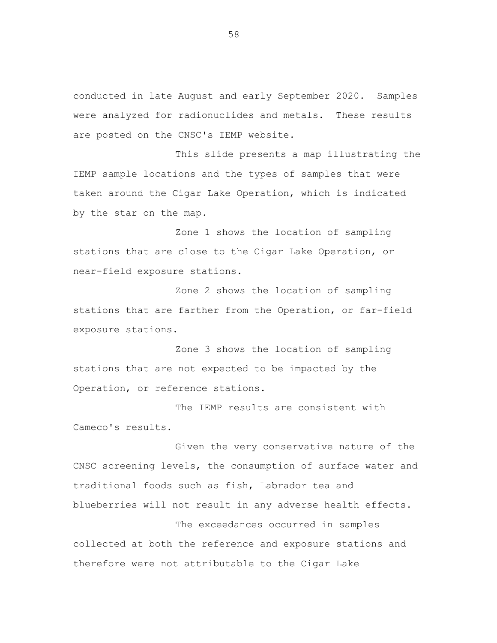conducted in late August and early September 2020. Samples were analyzed for radionuclides and metals. These results are posted on the CNSC's IEMP website.

This slide presents a map illustrating the IEMP sample locations and the types of samples that were taken around the Cigar Lake Operation, which is indicated by the star on the map.

Zone 1 shows the location of sampling stations that are close to the Cigar Lake Operation, or near-field exposure stations.

Zone 2 shows the location of sampling stations that are farther from the Operation, or far-field exposure stations.

Zone 3 shows the location of sampling stations that are not expected to be impacted by the Operation, or reference stations.

The IEMP results are consistent with Cameco's results.

Given the very conservative nature of the CNSC screening levels, the consumption of surface water and traditional foods such as fish, Labrador tea and blueberries will not result in any adverse health effects.

The exceedances occurred in samples collected at both the reference and exposure stations and therefore were not attributable to the Cigar Lake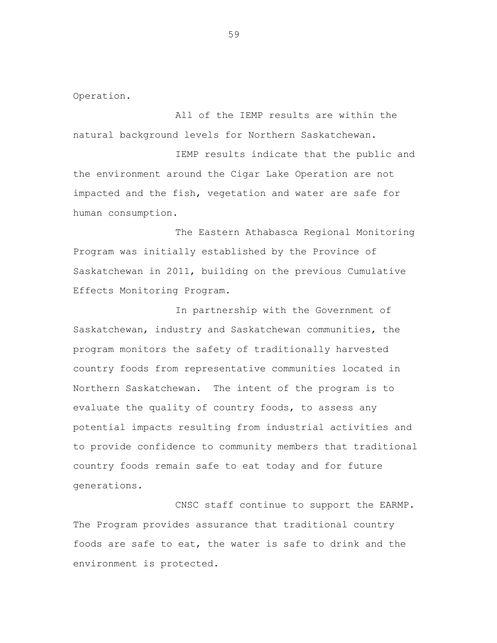Operation.

All of the IEMP results are within the natural background levels for Northern Saskatchewan.

IEMP results indicate that the public and the environment around the Cigar Lake Operation are not impacted and the fish, vegetation and water are safe for human consumption.

The Eastern Athabasca Regional Monitoring Program was initially established by the Province of Saskatchewan in 2011, building on the previous Cumulative Effects Monitoring Program.

In partnership with the Government of Saskatchewan, industry and Saskatchewan communities, the program monitors the safety of traditionally harvested country foods from representative communities located in Northern Saskatchewan. The intent of the program is to evaluate the quality of country foods, to assess any potential impacts resulting from industrial activities and to provide confidence to community members that traditional country foods remain safe to eat today and for future generations.

CNSC staff continue to support the EARMP. The Program provides assurance that traditional country foods are safe to eat, the water is safe to drink and the environment is protected.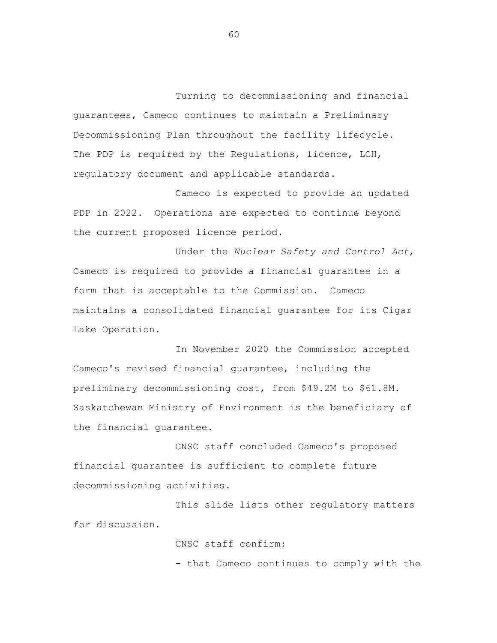Turning to decommissioning and financial guarantees, Cameco continues to maintain a Preliminary Decommissioning Plan throughout the facility lifecycle. The PDP is required by the Regulations, licence, LCH, regulatory document and applicable standards.

Cameco is expected to provide an updated PDP in 2022. Operations are expected to continue beyond the current proposed licence period.

Under the *Nuclear Safety and Control Act*, Cameco is required to provide a financial guarantee in a form that is acceptable to the Commission. Cameco maintains a consolidated financial guarantee for its Cigar Lake Operation.

In November 2020 the Commission accepted Cameco's revised financial guarantee, including the preliminary decommissioning cost, from \$49.2M to \$61.8M. Saskatchewan Ministry of Environment is the beneficiary of the financial guarantee.

CNSC staff concluded Cameco's proposed financial guarantee is sufficient to complete future decommissioning activities.

This slide lists other regulatory matters for discussion.

CNSC staff confirm:

- that Cameco continues to comply with the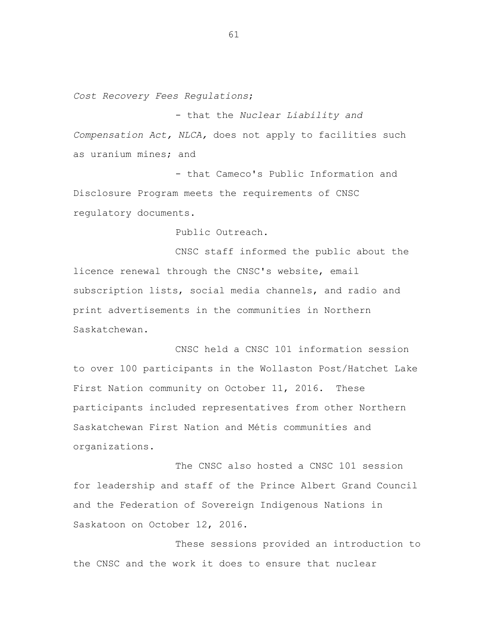*Cost Recovery Fees Regulations*;

- that the *Nuclear Liability and Compensation Act, NLCA,* does not apply to facilities such as uranium mines; and

- that Cameco's Public Information and Disclosure Program meets the requirements of CNSC regulatory documents.

Public Outreach.

CNSC staff informed the public about the licence renewal through the CNSC's website, email subscription lists, social media channels, and radio and print advertisements in the communities in Northern Saskatchewan.

CNSC held a CNSC 101 information session to over 100 participants in the Wollaston Post/Hatchet Lake First Nation community on October 11, 2016. These participants included representatives from other Northern Saskatchewan First Nation and Métis communities and organizations.

The CNSC also hosted a CNSC 101 session for leadership and staff of the Prince Albert Grand Council and the Federation of Sovereign Indigenous Nations in Saskatoon on October 12, 2016.

These sessions provided an introduction to the CNSC and the work it does to ensure that nuclear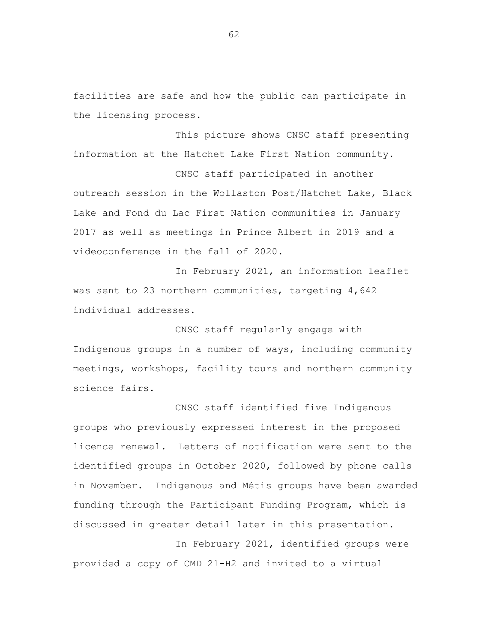facilities are safe and how the public can participate in the licensing process.

This picture shows CNSC staff presenting information at the Hatchet Lake First Nation community.

CNSC staff participated in another outreach session in the Wollaston Post/Hatchet Lake, Black Lake and Fond du Lac First Nation communities in January 2017 as well as meetings in Prince Albert in 2019 and a videoconference in the fall of 2020.

In February 2021, an information leaflet was sent to 23 northern communities, targeting 4,642 individual addresses.

CNSC staff regularly engage with Indigenous groups in a number of ways, including community meetings, workshops, facility tours and northern community science fairs.

CNSC staff identified five Indigenous groups who previously expressed interest in the proposed licence renewal. Letters of notification were sent to the identified groups in October 2020, followed by phone calls in November. Indigenous and Métis groups have been awarded funding through the Participant Funding Program, which is discussed in greater detail later in this presentation.

In February 2021, identified groups were provided a copy of CMD 21-H2 and invited to a virtual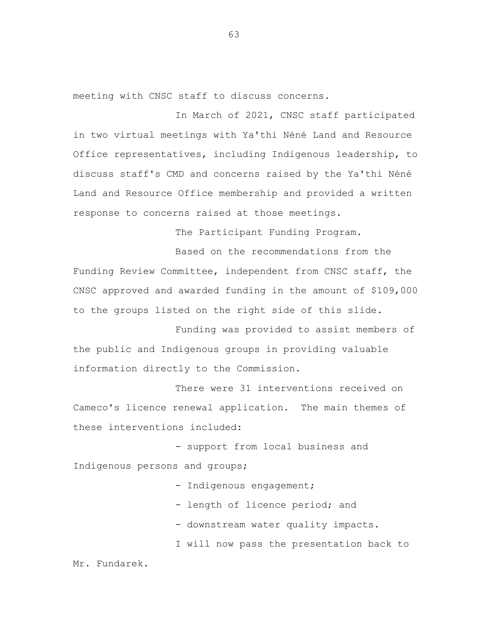meeting with CNSC staff to discuss concerns.

In March of 2021, CNSC staff participated in two virtual meetings with Ya'thi Néné Land and Resource Office representatives, including Indigenous leadership, to discuss staff's CMD and concerns raised by the Ya'thi Néné Land and Resource Office membership and provided a written response to concerns raised at those meetings.

The Participant Funding Program.

Based on the recommendations from the Funding Review Committee, independent from CNSC staff, the CNSC approved and awarded funding in the amount of \$109,000 to the groups listed on the right side of this slide.

Funding was provided to assist members of the public and Indigenous groups in providing valuable information directly to the Commission.

There were 31 interventions received on Cameco's licence renewal application. The main themes of these interventions included:

- support from local business and Indigenous persons and groups;

- Indigenous engagement;

- length of licence period; and
- downstream water quality impacts.
- I will now pass the presentation back to

Mr. Fundarek.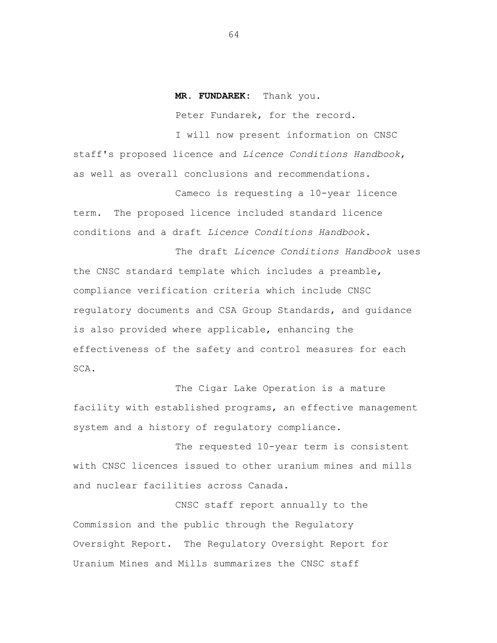## **MR. FUNDAREK:** Thank you.

Peter Fundarek, for the record.

I will now present information on CNSC staff's proposed licence and *Licence Conditions Handbook*, as well as overall conclusions and recommendations.

Cameco is requesting a 10-year licence term. The proposed licence included standard licence conditions and a draft *Licence Conditions Handbook*.

The draft *Licence Conditions Handbook* uses the CNSC standard template which includes a preamble, compliance verification criteria which include CNSC regulatory documents and CSA Group Standards, and guidance is also provided where applicable, enhancing the effectiveness of the safety and control measures for each SCA.

The Cigar Lake Operation is a mature facility with established programs, an effective management system and a history of regulatory compliance.

The requested 10-year term is consistent with CNSC licences issued to other uranium mines and mills and nuclear facilities across Canada.

CNSC staff report annually to the Commission and the public through the Regulatory Oversight Report. The Regulatory Oversight Report for Uranium Mines and Mills summarizes the CNSC staff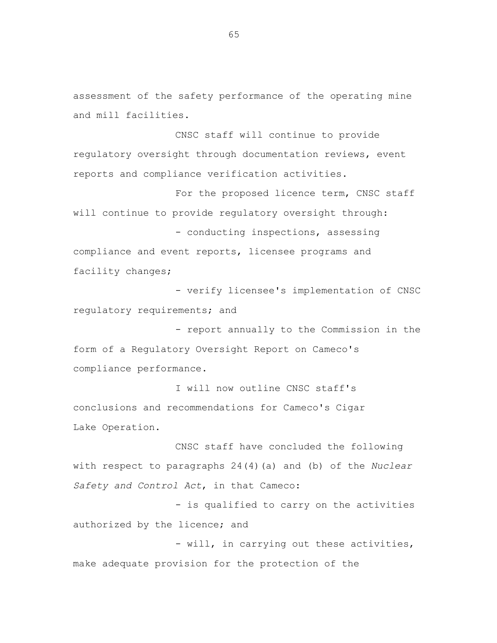assessment of the safety performance of the operating mine and mill facilities.

CNSC staff will continue to provide regulatory oversight through documentation reviews, event reports and compliance verification activities.

For the proposed licence term, CNSC staff will continue to provide regulatory oversight through: - conducting inspections, assessing

compliance and event reports, licensee programs and facility changes;

- verify licensee's implementation of CNSC regulatory requirements; and

- report annually to the Commission in the form of a Regulatory Oversight Report on Cameco's compliance performance.

I will now outline CNSC staff's conclusions and recommendations for Cameco's Cigar Lake Operation.

CNSC staff have concluded the following with respect to paragraphs 24(4)(a) and (b) of the *Nuclear Safety and Control Act*, in that Cameco:

- is qualified to carry on the activities authorized by the licence; and

- will, in carrying out these activities, make adequate provision for the protection of the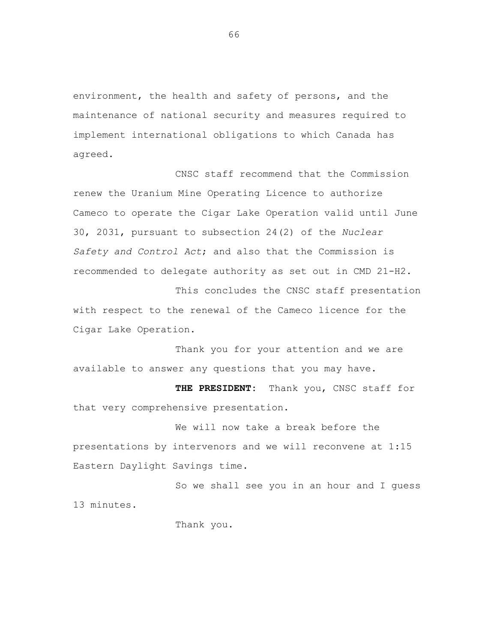environment, the health and safety of persons, and the maintenance of national security and measures required to implement international obligations to which Canada has agreed.

CNSC staff recommend that the Commission renew the Uranium Mine Operating Licence to authorize Cameco to operate the Cigar Lake Operation valid until June 30, 2031, pursuant to subsection 24(2) of the *Nuclear Safety and Control Act*; and also that the Commission is recommended to delegate authority as set out in CMD 21-H2.

This concludes the CNSC staff presentation with respect to the renewal of the Cameco licence for the Cigar Lake Operation.

Thank you for your attention and we are available to answer any questions that you may have.

**THE PRESIDENT:** Thank you, CNSC staff for that very comprehensive presentation.

We will now take a break before the presentations by intervenors and we will reconvene at 1:15 Eastern Daylight Savings time.

So we shall see you in an hour and I guess 13 minutes.

Thank you.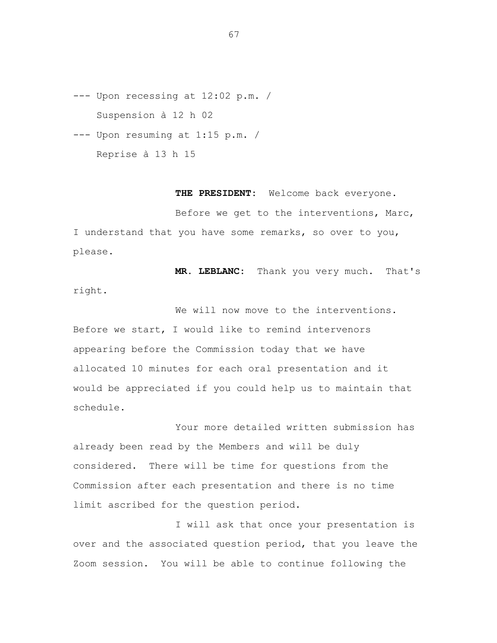--- Upon recessing at 12:02 p.m. / Suspension à 12 h 02

--- Upon resuming at 1:15 p.m. / Reprise à 13 h 15

**THE PRESIDENT:** Welcome back everyone.

Before we get to the interventions, Marc, I understand that you have some remarks, so over to you, please.

**MR. LEBLANC:** Thank you very much. That's right.

We will now move to the interventions. Before we start, I would like to remind intervenors appearing before the Commission today that we have allocated 10 minutes for each oral presentation and it would be appreciated if you could help us to maintain that schedule.

Your more detailed written submission has already been read by the Members and will be duly considered. There will be time for questions from the Commission after each presentation and there is no time limit ascribed for the question period.

I will ask that once your presentation is over and the associated question period, that you leave the Zoom session. You will be able to continue following the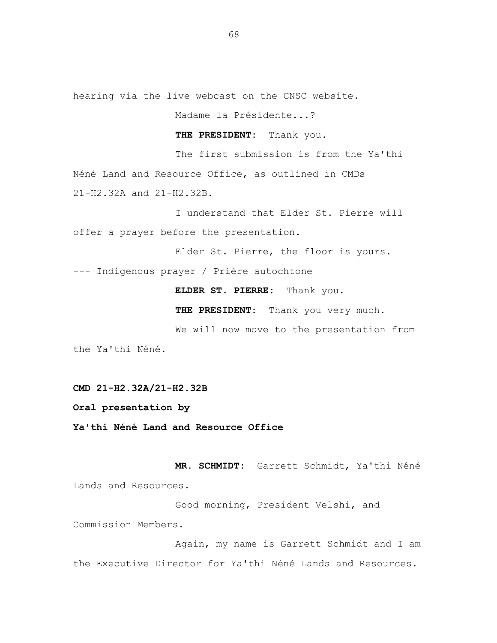hearing via the live webcast on the CNSC website.

Madame la Présidente...?

**THE PRESIDENT:** Thank you.

The first submission is from the Ya'thi Néné Land and Resource Office, as outlined in CMDs 21-H2.32A and 21-H2.32B.

I understand that Elder St. Pierre will offer a prayer before the presentation.

Elder St. Pierre, the floor is yours.

--- Indigenous prayer / Prière autochtone

**ELDER ST. PIERRE:** Thank you.

**THE PRESIDENT:** Thank you very much.

We will now move to the presentation from the Ya'thi Néné.

**CMD 21-H2.32A/21-H2.32B**

**Oral presentation by**

**Ya'thi Néné Land and Resource Office**

**MR. SCHMIDT:** Garrett Schmidt, Ya'thi Néné Lands and Resources.

Good morning, President Velshi, and Commission Members.

Again, my name is Garrett Schmidt and I am the Executive Director for Ya'thi Néné Lands and Resources.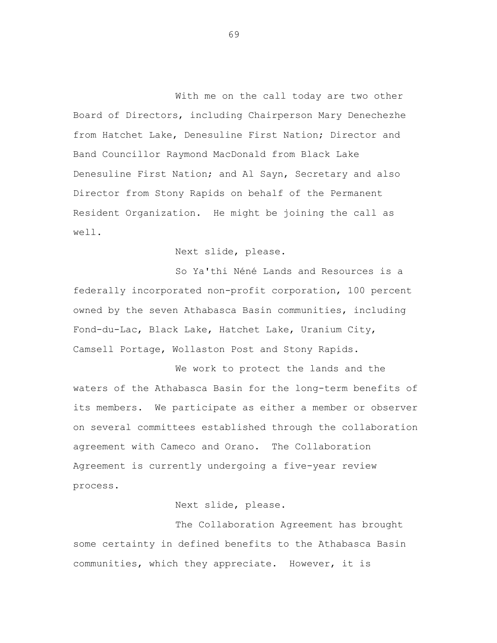With me on the call today are two other Board of Directors, including Chairperson Mary Denechezhe from Hatchet Lake, Denesuline First Nation; Director and Band Councillor Raymond MacDonald from Black Lake Denesuline First Nation; and Al Sayn, Secretary and also Director from Stony Rapids on behalf of the Permanent Resident Organization. He might be joining the call as well.

Next slide, please.

So Ya'thi Néné Lands and Resources is a federally incorporated non-profit corporation, 100 percent owned by the seven Athabasca Basin communities, including Fond-du-Lac, Black Lake, Hatchet Lake, Uranium City, Camsell Portage, Wollaston Post and Stony Rapids.

We work to protect the lands and the waters of the Athabasca Basin for the long-term benefits of its members. We participate as either a member or observer on several committees established through the collaboration agreement with Cameco and Orano. The Collaboration Agreement is currently undergoing a five-year review process.

Next slide, please.

The Collaboration Agreement has brought some certainty in defined benefits to the Athabasca Basin communities, which they appreciate. However, it is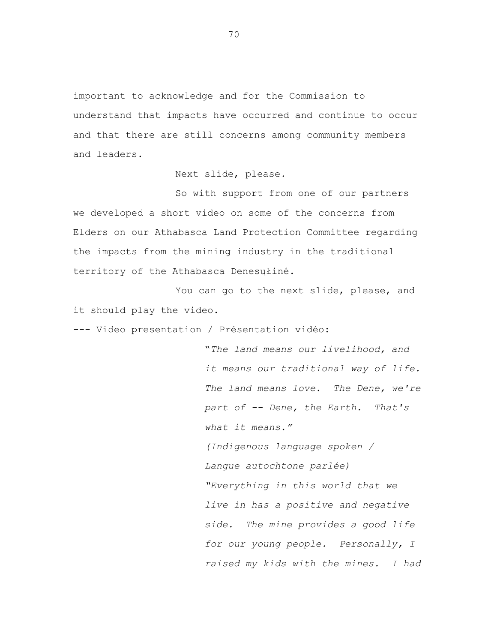important to acknowledge and for the Commission to understand that impacts have occurred and continue to occur and that there are still concerns among community members and leaders.

Next slide, please.

So with support from one of our partners we developed a short video on some of the concerns from Elders on our Athabasca Land Protection Committee regarding the impacts from the mining industry in the traditional territory of the Athabasca Denesųłiné.

You can go to the next slide, please, and it should play the video.

--- Video presentation / Présentation vidéo:

"*The land means our livelihood, and it means our traditional way of life. The land means love. The Dene, we're part of -- Dene, the Earth. That's what it means." (Indigenous language spoken / Langue autochtone parlée) "Everything in this world that we live in has a positive and negative side. The mine provides a good life for our young people. Personally, I raised my kids with the mines. I had*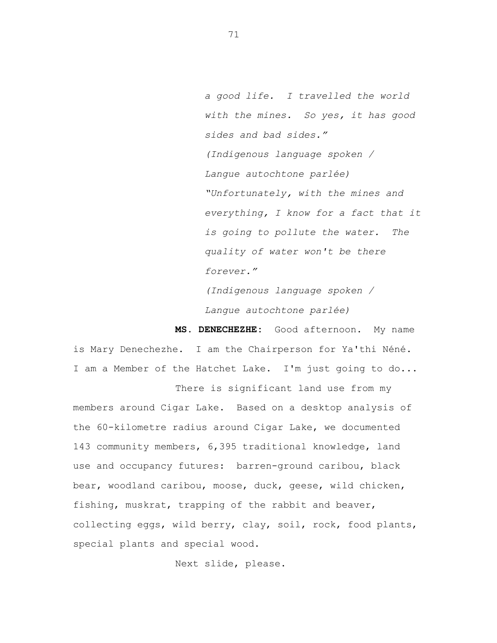*a good life. I travelled the world with the mines. So yes, it has good sides and bad sides." (Indigenous language spoken / Langue autochtone parlée) "Unfortunately, with the mines and everything, I know for a fact that it is going to pollute the water. The quality of water won't be there forever."*

*(Indigenous language spoken / Langue autochtone parlée)*

**MS. DENECHEZHE:** Good afternoon. My name is Mary Denechezhe. I am the Chairperson for Ya'thi Néné. I am a Member of the Hatchet Lake. I'm just going to do...

There is significant land use from my members around Cigar Lake. Based on a desktop analysis of the 60-kilometre radius around Cigar Lake, we documented 143 community members, 6,395 traditional knowledge, land use and occupancy futures: barren-ground caribou, black bear, woodland caribou, moose, duck, geese, wild chicken, fishing, muskrat, trapping of the rabbit and beaver, collecting eggs, wild berry, clay, soil, rock, food plants, special plants and special wood.

Next slide, please.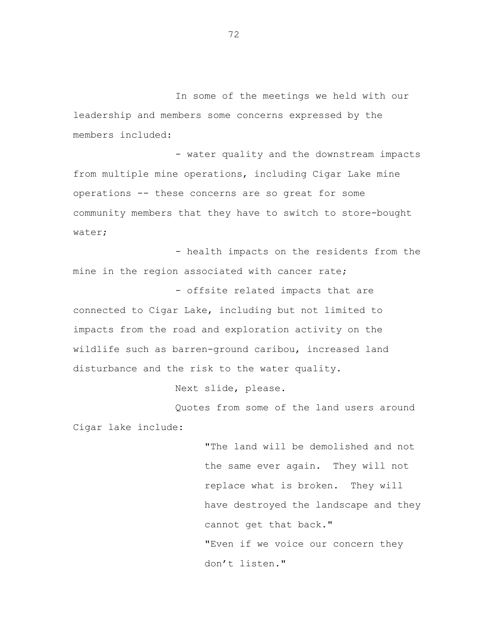In some of the meetings we held with our leadership and members some concerns expressed by the members included:

- water quality and the downstream impacts from multiple mine operations, including Cigar Lake mine operations -- these concerns are so great for some community members that they have to switch to store-bought water;

- health impacts on the residents from the mine in the region associated with cancer rate;

- offsite related impacts that are connected to Cigar Lake, including but not limited to impacts from the road and exploration activity on the wildlife such as barren-ground caribou, increased land disturbance and the risk to the water quality.

Next slide, please.

Quotes from some of the land users around Cigar lake include:

> "The land will be demolished and not the same ever again. They will not replace what is broken. They will have destroyed the landscape and they cannot get that back." "Even if we voice our concern they don't listen."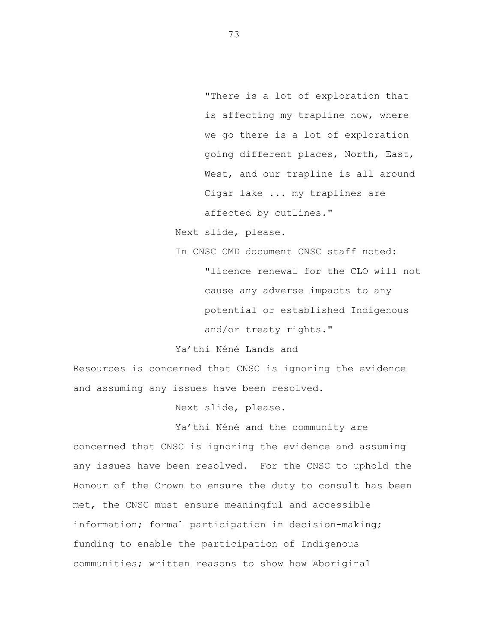"There is a lot of exploration that is affecting my trapline now, where we go there is a lot of exploration going different places, North, East, West, and our trapline is all around Cigar lake ... my traplines are affected by cutlines."

Next slide, please.

In CNSC CMD document CNSC staff noted: "licence renewal for the CLO will not cause any adverse impacts to any potential or established Indigenous and/or treaty rights."

Ya'thi Néné Lands and

Resources is concerned that CNSC is ignoring the evidence and assuming any issues have been resolved.

Next slide, please.

Ya'thi Néné and the community are

concerned that CNSC is ignoring the evidence and assuming any issues have been resolved. For the CNSC to uphold the Honour of the Crown to ensure the duty to consult has been met, the CNSC must ensure meaningful and accessible information; formal participation in decision-making; funding to enable the participation of Indigenous communities; written reasons to show how Aboriginal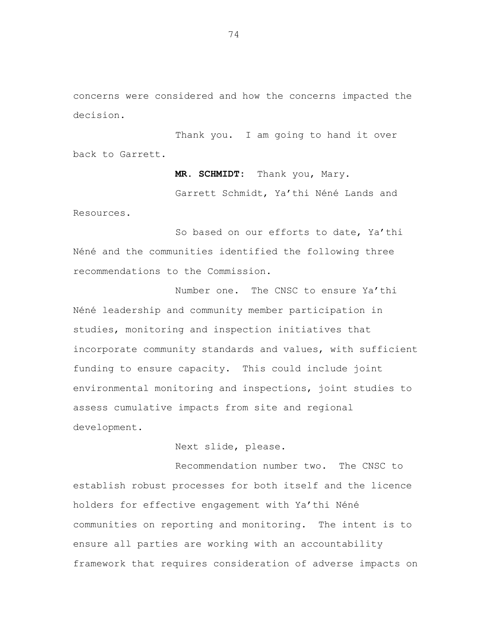concerns were considered and how the concerns impacted the decision.

Thank you. I am going to hand it over back to Garrett.

**MR. SCHMIDT:** Thank you, Mary.

Garrett Schmidt, Ya'thi Néné Lands and Resources.

So based on our efforts to date, Ya'thi Néné and the communities identified the following three recommendations to the Commission.

Number one. The CNSC to ensure Ya'thi Néné leadership and community member participation in studies, monitoring and inspection initiatives that incorporate community standards and values, with sufficient funding to ensure capacity. This could include joint environmental monitoring and inspections, joint studies to assess cumulative impacts from site and regional development.

Next slide, please.

Recommendation number two. The CNSC to establish robust processes for both itself and the licence holders for effective engagement with Ya'thi Néné communities on reporting and monitoring. The intent is to ensure all parties are working with an accountability framework that requires consideration of adverse impacts on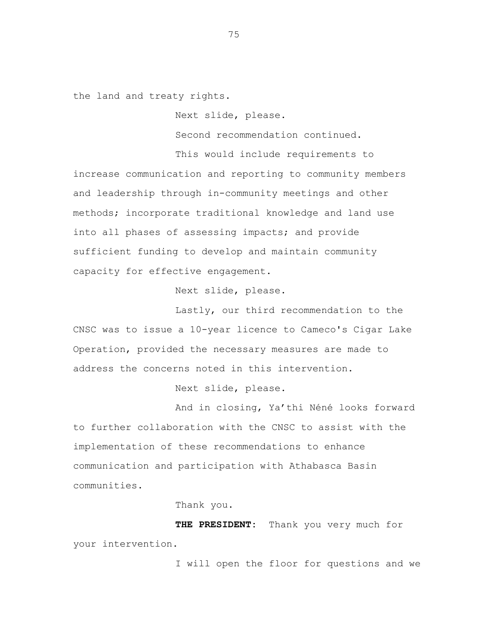the land and treaty rights.

Next slide, please.

Second recommendation continued.

This would include requirements to increase communication and reporting to community members and leadership through in-community meetings and other methods; incorporate traditional knowledge and land use into all phases of assessing impacts; and provide sufficient funding to develop and maintain community capacity for effective engagement.

Next slide, please.

Lastly, our third recommendation to the CNSC was to issue a 10-year licence to Cameco's Cigar Lake Operation, provided the necessary measures are made to address the concerns noted in this intervention.

Next slide, please.

And in closing, Ya'thi Néné looks forward to further collaboration with the CNSC to assist with the implementation of these recommendations to enhance communication and participation with Athabasca Basin communities.

Thank you.

**THE PRESIDENT:** Thank you very much for your intervention.

I will open the floor for questions and we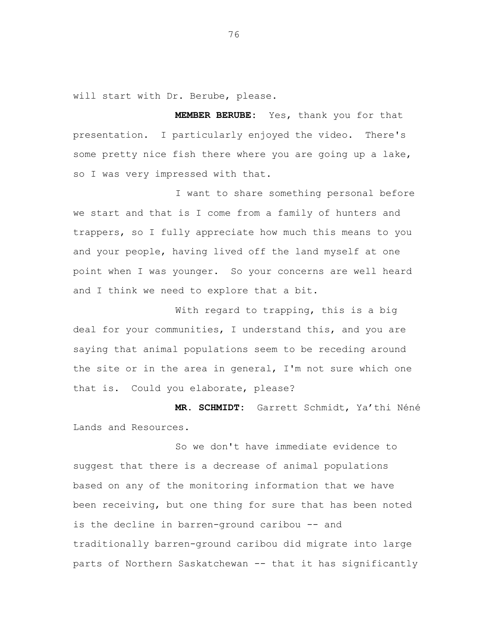will start with Dr. Berube, please.

**MEMBER BERUBE:** Yes, thank you for that presentation. I particularly enjoyed the video. There's some pretty nice fish there where you are going up a lake, so I was very impressed with that.

I want to share something personal before we start and that is I come from a family of hunters and trappers, so I fully appreciate how much this means to you and your people, having lived off the land myself at one point when I was younger. So your concerns are well heard and I think we need to explore that a bit.

With regard to trapping, this is a big deal for your communities, I understand this, and you are saying that animal populations seem to be receding around the site or in the area in general, I'm not sure which one that is. Could you elaborate, please?

**MR. SCHMIDT:** Garrett Schmidt, Ya'thi Néné Lands and Resources.

So we don't have immediate evidence to suggest that there is a decrease of animal populations based on any of the monitoring information that we have been receiving, but one thing for sure that has been noted is the decline in barren-ground caribou -- and traditionally barren-ground caribou did migrate into large parts of Northern Saskatchewan -- that it has significantly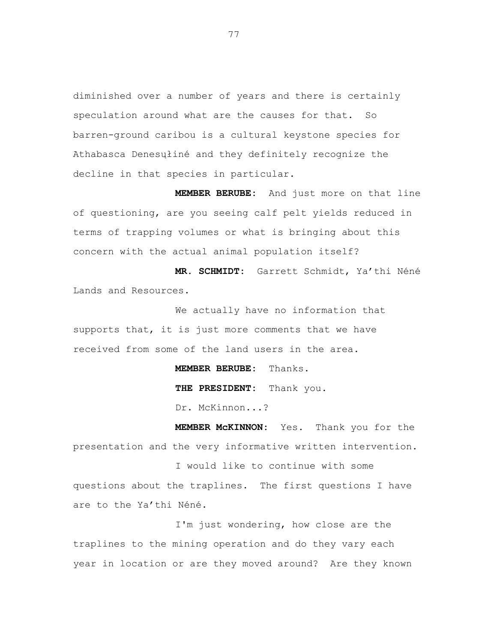diminished over a number of years and there is certainly speculation around what are the causes for that. So barren-ground caribou is a cultural keystone species for Athabasca Denesųłiné and they definitely recognize the decline in that species in particular.

**MEMBER BERUBE:** And just more on that line of questioning, are you seeing calf pelt yields reduced in terms of trapping volumes or what is bringing about this concern with the actual animal population itself?

**MR. SCHMIDT:** Garrett Schmidt, Ya'thi Néné Lands and Resources.

We actually have no information that supports that, it is just more comments that we have received from some of the land users in the area.

**MEMBER BERUBE:** Thanks.

**THE PRESIDENT:** Thank you.

Dr. McKinnon...?

**MEMBER McKINNON:** Yes. Thank you for the presentation and the very informative written intervention.

I would like to continue with some questions about the traplines. The first questions I have are to the Ya'thi Néné.

I'm just wondering, how close are the traplines to the mining operation and do they vary each year in location or are they moved around? Are they known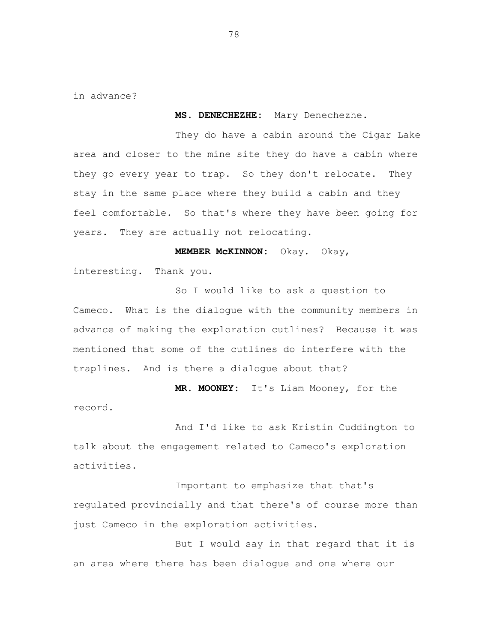in advance?

**MS. DENECHEZHE:** Mary Denechezhe.

They do have a cabin around the Cigar Lake area and closer to the mine site they do have a cabin where they go every year to trap. So they don't relocate. They stay in the same place where they build a cabin and they feel comfortable. So that's where they have been going for years. They are actually not relocating.

**MEMBER McKINNON:** Okay. Okay, interesting. Thank you.

So I would like to ask a question to Cameco. What is the dialogue with the community members in advance of making the exploration cutlines? Because it was mentioned that some of the cutlines do interfere with the traplines. And is there a dialogue about that?

**MR. MOONEY:** It's Liam Mooney, for the record.

And I'd like to ask Kristin Cuddington to talk about the engagement related to Cameco's exploration activities.

Important to emphasize that that's regulated provincially and that there's of course more than just Cameco in the exploration activities.

But I would say in that regard that it is an area where there has been dialogue and one where our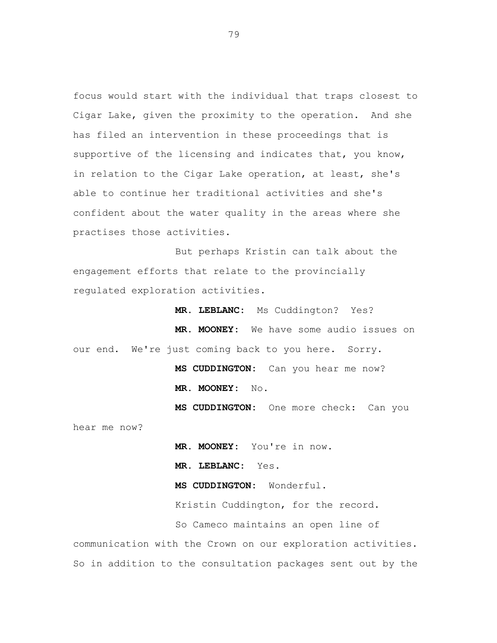focus would start with the individual that traps closest to Cigar Lake, given the proximity to the operation. And she has filed an intervention in these proceedings that is supportive of the licensing and indicates that, you know, in relation to the Cigar Lake operation, at least, she's able to continue her traditional activities and she's confident about the water quality in the areas where she practises those activities.

But perhaps Kristin can talk about the engagement efforts that relate to the provincially regulated exploration activities.

**MR. LEBLANC:** Ms Cuddington? Yes? **MR. MOONEY:** We have some audio issues on our end. We're just coming back to you here. Sorry.

> **MS CUDDINGTON:** Can you hear me now? **MR. MOONEY:** No.

**MS CUDDINGTON:** One more check: Can you hear me now?

> **MR. MOONEY:** You're in now. **MR. LEBLANC:** Yes.

**MS CUDDINGTON:** Wonderful.

Kristin Cuddington, for the record.

So Cameco maintains an open line of communication with the Crown on our exploration activities. So in addition to the consultation packages sent out by the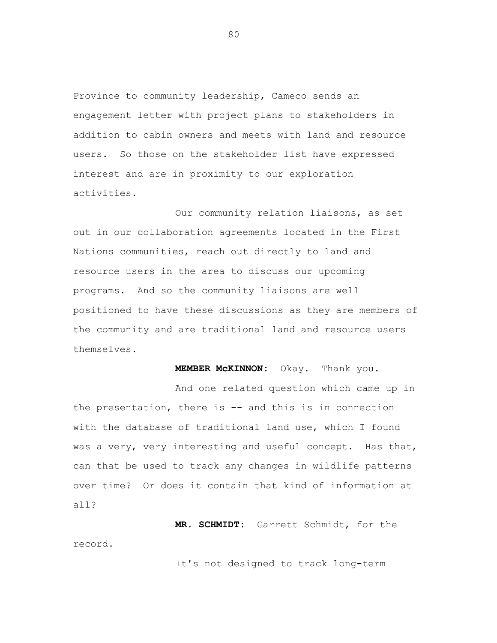Province to community leadership, Cameco sends an engagement letter with project plans to stakeholders in addition to cabin owners and meets with land and resource users. So those on the stakeholder list have expressed interest and are in proximity to our exploration activities.

Our community relation liaisons, as set out in our collaboration agreements located in the First Nations communities, reach out directly to land and resource users in the area to discuss our upcoming programs. And so the community liaisons are well positioned to have these discussions as they are members of the community and are traditional land and resource users themselves.

**MEMBER McKINNON:** Okay. Thank you.

And one related question which came up in the presentation, there is -- and this is in connection with the database of traditional land use, which I found was a very, very interesting and useful concept. Has that, can that be used to track any changes in wildlife patterns over time? Or does it contain that kind of information at all?

**MR. SCHMIDT:** Garrett Schmidt, for the record.

It's not designed to track long-term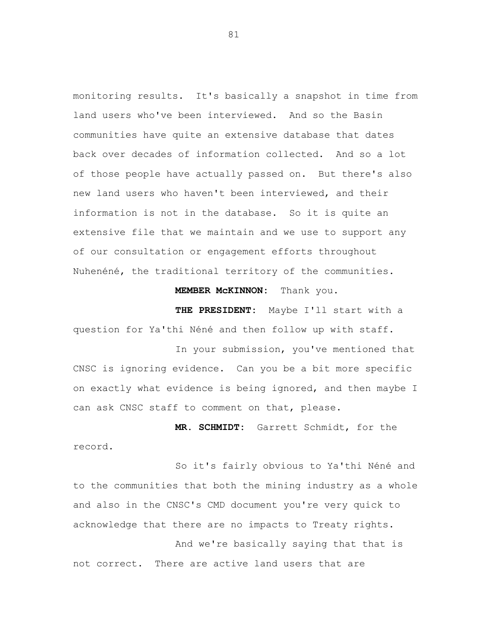monitoring results. It's basically a snapshot in time from land users who've been interviewed. And so the Basin communities have quite an extensive database that dates back over decades of information collected. And so a lot of those people have actually passed on. But there's also new land users who haven't been interviewed, and their information is not in the database. So it is quite an extensive file that we maintain and we use to support any of our consultation or engagement efforts throughout Nuhenéné, the traditional territory of the communities.

**MEMBER McKINNON:** Thank you.

**THE PRESIDENT:** Maybe I'll start with a question for Ya'thi Néné and then follow up with staff.

In your submission, you've mentioned that CNSC is ignoring evidence. Can you be a bit more specific on exactly what evidence is being ignored, and then maybe I can ask CNSC staff to comment on that, please.

**MR. SCHMIDT:** Garrett Schmidt, for the record.

So it's fairly obvious to Ya'thi Néné and to the communities that both the mining industry as a whole and also in the CNSC's CMD document you're very quick to acknowledge that there are no impacts to Treaty rights.

And we're basically saying that that is not correct. There are active land users that are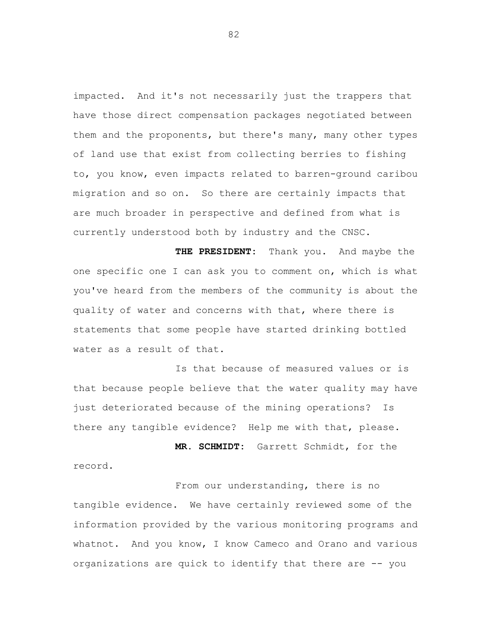impacted. And it's not necessarily just the trappers that have those direct compensation packages negotiated between them and the proponents, but there's many, many other types of land use that exist from collecting berries to fishing to, you know, even impacts related to barren-ground caribou migration and so on. So there are certainly impacts that are much broader in perspective and defined from what is currently understood both by industry and the CNSC.

**THE PRESIDENT:** Thank you. And maybe the one specific one I can ask you to comment on, which is what you've heard from the members of the community is about the quality of water and concerns with that, where there is statements that some people have started drinking bottled water as a result of that.

Is that because of measured values or is that because people believe that the water quality may have just deteriorated because of the mining operations? Is there any tangible evidence? Help me with that, please.

**MR. SCHMIDT:** Garrett Schmidt, for the record.

From our understanding, there is no tangible evidence. We have certainly reviewed some of the information provided by the various monitoring programs and whatnot. And you know, I know Cameco and Orano and various organizations are quick to identify that there are -- you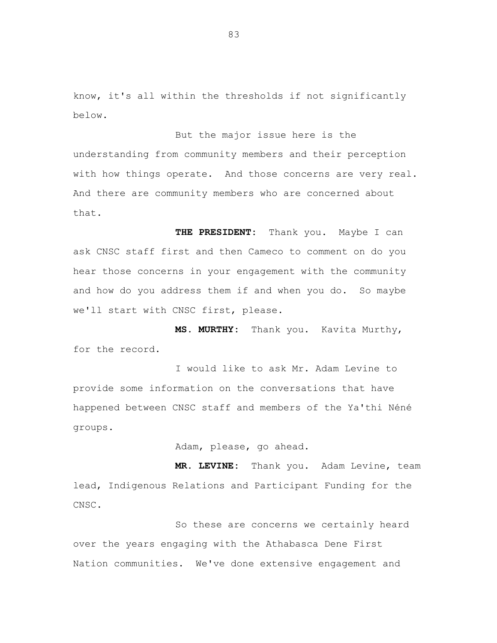know, it's all within the thresholds if not significantly below.

But the major issue here is the understanding from community members and their perception with how things operate. And those concerns are very real. And there are community members who are concerned about that.

**THE PRESIDENT:** Thank you. Maybe I can ask CNSC staff first and then Cameco to comment on do you hear those concerns in your engagement with the community and how do you address them if and when you do. So maybe we'll start with CNSC first, please.

**MS. MURTHY:** Thank you. Kavita Murthy, for the record.

I would like to ask Mr. Adam Levine to provide some information on the conversations that have happened between CNSC staff and members of the Ya'thi Néné groups.

Adam, please, go ahead.

**MR. LEVINE:** Thank you. Adam Levine, team lead, Indigenous Relations and Participant Funding for the CNSC.

So these are concerns we certainly heard over the years engaging with the Athabasca Dene First Nation communities. We've done extensive engagement and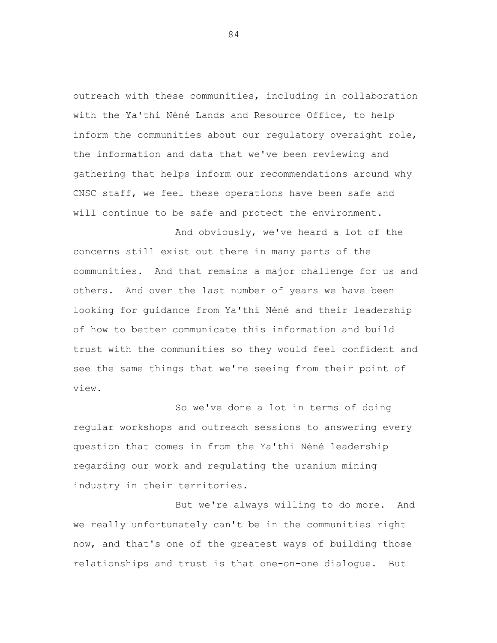outreach with these communities, including in collaboration with the Ya'thi Néné Lands and Resource Office, to help inform the communities about our regulatory oversight role, the information and data that we've been reviewing and gathering that helps inform our recommendations around why CNSC staff, we feel these operations have been safe and will continue to be safe and protect the environment.

And obviously, we've heard a lot of the concerns still exist out there in many parts of the communities. And that remains a major challenge for us and others. And over the last number of years we have been looking for guidance from Ya'thi Néné and their leadership of how to better communicate this information and build trust with the communities so they would feel confident and see the same things that we're seeing from their point of view.

So we've done a lot in terms of doing regular workshops and outreach sessions to answering every question that comes in from the Ya'thi Néné leadership regarding our work and regulating the uranium mining industry in their territories.

But we're always willing to do more. And we really unfortunately can't be in the communities right now, and that's one of the greatest ways of building those relationships and trust is that one-on-one dialogue. But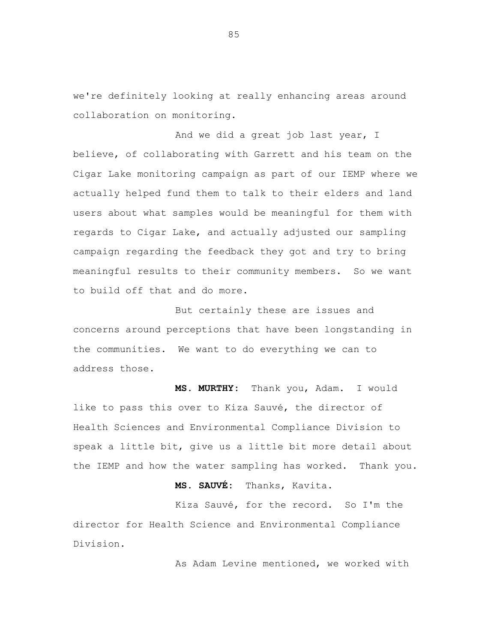we're definitely looking at really enhancing areas around collaboration on monitoring.

And we did a great job last year, I believe, of collaborating with Garrett and his team on the Cigar Lake monitoring campaign as part of our IEMP where we actually helped fund them to talk to their elders and land users about what samples would be meaningful for them with regards to Cigar Lake, and actually adjusted our sampling campaign regarding the feedback they got and try to bring meaningful results to their community members. So we want to build off that and do more.

But certainly these are issues and concerns around perceptions that have been longstanding in the communities. We want to do everything we can to address those.

**MS. MURTHY:** Thank you, Adam. I would like to pass this over to Kiza Sauvé, the director of Health Sciences and Environmental Compliance Division to speak a little bit, give us a little bit more detail about the IEMP and how the water sampling has worked. Thank you.

**MS. SAUVÉ:** Thanks, Kavita.

Kiza Sauvé, for the record. So I'm the director for Health Science and Environmental Compliance Division.

As Adam Levine mentioned, we worked with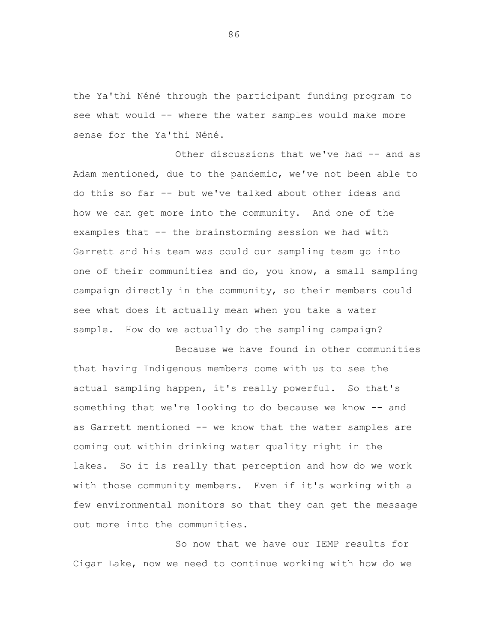the Ya'thi Néné through the participant funding program to see what would -- where the water samples would make more sense for the Ya'thi Néné.

Other discussions that we've had -- and as Adam mentioned, due to the pandemic, we've not been able to do this so far -- but we've talked about other ideas and how we can get more into the community. And one of the examples that -- the brainstorming session we had with Garrett and his team was could our sampling team go into one of their communities and do, you know, a small sampling campaign directly in the community, so their members could see what does it actually mean when you take a water sample. How do we actually do the sampling campaign?

Because we have found in other communities that having Indigenous members come with us to see the actual sampling happen, it's really powerful. So that's something that we're looking to do because we know -- and as Garrett mentioned -- we know that the water samples are coming out within drinking water quality right in the lakes. So it is really that perception and how do we work with those community members. Even if it's working with a few environmental monitors so that they can get the message out more into the communities.

So now that we have our IEMP results for Cigar Lake, now we need to continue working with how do we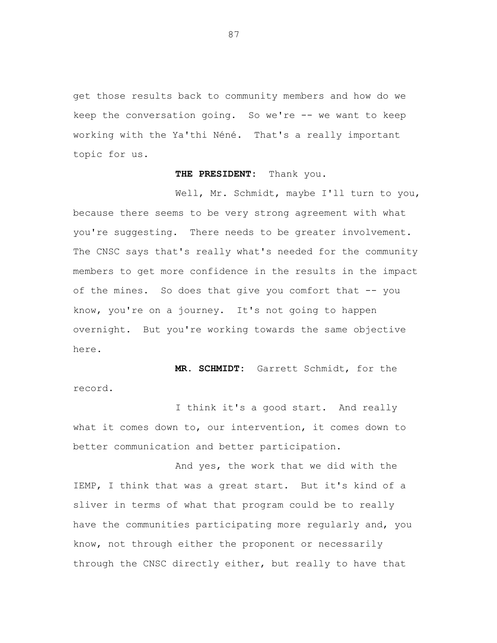get those results back to community members and how do we keep the conversation going. So we're -- we want to keep working with the Ya'thi Néné. That's a really important topic for us.

## **THE PRESIDENT:** Thank you.

Well, Mr. Schmidt, maybe I'll turn to you, because there seems to be very strong agreement with what you're suggesting. There needs to be greater involvement. The CNSC says that's really what's needed for the community members to get more confidence in the results in the impact of the mines. So does that give you comfort that -- you know, you're on a journey. It's not going to happen overnight. But you're working towards the same objective here.

**MR. SCHMIDT:** Garrett Schmidt, for the record.

I think it's a good start. And really what it comes down to, our intervention, it comes down to better communication and better participation.

And yes, the work that we did with the IEMP, I think that was a great start. But it's kind of a sliver in terms of what that program could be to really have the communities participating more regularly and, you know, not through either the proponent or necessarily through the CNSC directly either, but really to have that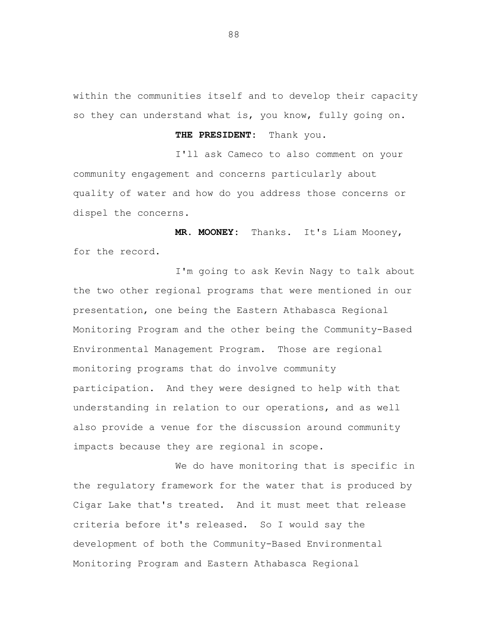within the communities itself and to develop their capacity so they can understand what is, you know, fully going on.

**THE PRESIDENT:** Thank you.

I'll ask Cameco to also comment on your community engagement and concerns particularly about quality of water and how do you address those concerns or dispel the concerns.

**MR. MOONEY:** Thanks. It's Liam Mooney, for the record.

I'm going to ask Kevin Nagy to talk about the two other regional programs that were mentioned in our presentation, one being the Eastern Athabasca Regional Monitoring Program and the other being the Community-Based Environmental Management Program. Those are regional monitoring programs that do involve community participation. And they were designed to help with that understanding in relation to our operations, and as well also provide a venue for the discussion around community impacts because they are regional in scope.

We do have monitoring that is specific in the regulatory framework for the water that is produced by Cigar Lake that's treated. And it must meet that release criteria before it's released. So I would say the development of both the Community-Based Environmental Monitoring Program and Eastern Athabasca Regional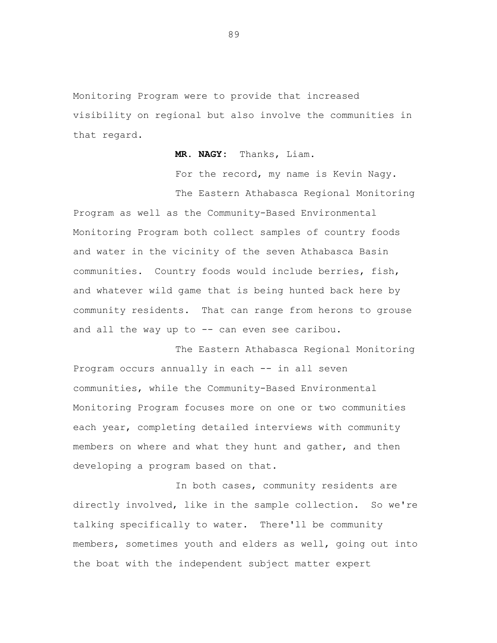Monitoring Program were to provide that increased visibility on regional but also involve the communities in that regard.

**MR. NAGY:** Thanks, Liam.

For the record, my name is Kevin Nagy.

The Eastern Athabasca Regional Monitoring Program as well as the Community-Based Environmental Monitoring Program both collect samples of country foods and water in the vicinity of the seven Athabasca Basin communities. Country foods would include berries, fish, and whatever wild game that is being hunted back here by community residents. That can range from herons to grouse and all the way up to -- can even see caribou.

The Eastern Athabasca Regional Monitoring Program occurs annually in each -- in all seven communities, while the Community-Based Environmental Monitoring Program focuses more on one or two communities each year, completing detailed interviews with community members on where and what they hunt and gather, and then developing a program based on that.

In both cases, community residents are directly involved, like in the sample collection. So we're talking specifically to water. There'll be community members, sometimes youth and elders as well, going out into the boat with the independent subject matter expert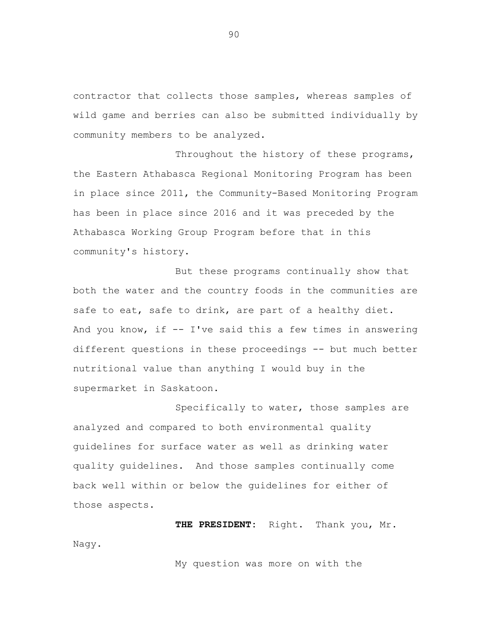contractor that collects those samples, whereas samples of wild game and berries can also be submitted individually by community members to be analyzed.

Throughout the history of these programs, the Eastern Athabasca Regional Monitoring Program has been in place since 2011, the Community-Based Monitoring Program has been in place since 2016 and it was preceded by the Athabasca Working Group Program before that in this community's history.

But these programs continually show that both the water and the country foods in the communities are safe to eat, safe to drink, are part of a healthy diet. And you know, if  $-$  I've said this a few times in answering different questions in these proceedings -- but much better nutritional value than anything I would buy in the supermarket in Saskatoon.

Specifically to water, those samples are analyzed and compared to both environmental quality guidelines for surface water as well as drinking water quality guidelines. And those samples continually come back well within or below the guidelines for either of those aspects.

**THE PRESIDENT:** Right. Thank you, Mr. Nagy.

My question was more on with the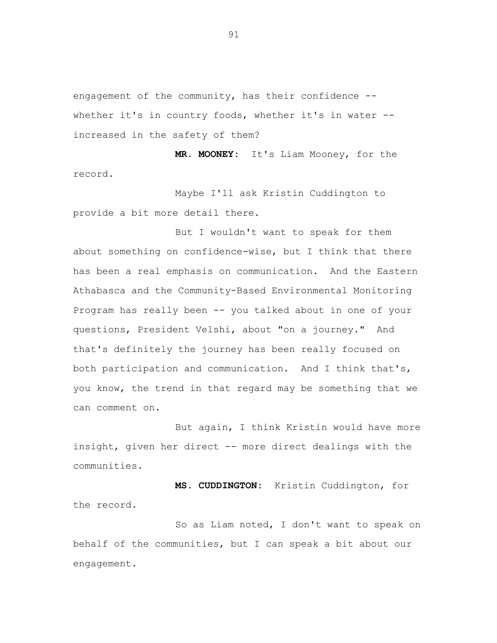engagement of the community, has their confidence - whether it's in country foods, whether it's in water - increased in the safety of them?

**MR. MOONEY:** It's Liam Mooney, for the record.

Maybe I'll ask Kristin Cuddington to provide a bit more detail there.

But I wouldn't want to speak for them about something on confidence-wise, but I think that there has been a real emphasis on communication. And the Eastern Athabasca and the Community-Based Environmental Monitoring Program has really been -- you talked about in one of your questions, President Velshi, about "on a journey." And that's definitely the journey has been really focused on both participation and communication. And I think that's, you know, the trend in that regard may be something that we can comment on.

But again, I think Kristin would have more insight, given her direct -- more direct dealings with the communities.

**MS. CUDDINGTON:** Kristin Cuddington, for the record.

So as Liam noted, I don't want to speak on behalf of the communities, but I can speak a bit about our engagement.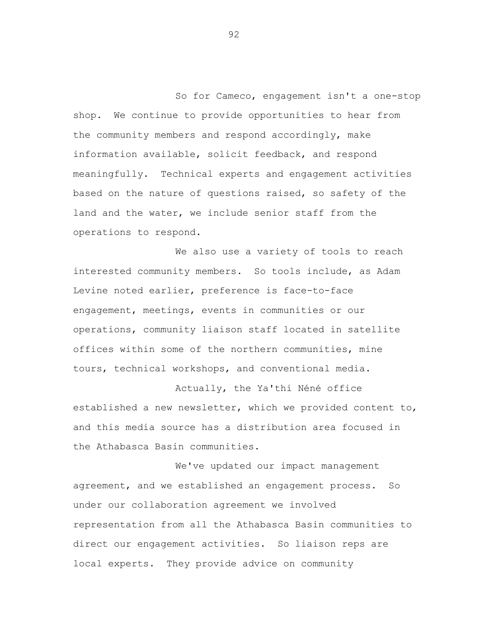So for Cameco, engagement isn't a one-stop shop. We continue to provide opportunities to hear from the community members and respond accordingly, make information available, solicit feedback, and respond meaningfully. Technical experts and engagement activities based on the nature of questions raised, so safety of the land and the water, we include senior staff from the operations to respond.

We also use a variety of tools to reach interested community members. So tools include, as Adam Levine noted earlier, preference is face-to-face engagement, meetings, events in communities or our operations, community liaison staff located in satellite offices within some of the northern communities, mine tours, technical workshops, and conventional media.

Actually, the Ya'thi Néné office established a new newsletter, which we provided content to, and this media source has a distribution area focused in the Athabasca Basin communities.

We've updated our impact management agreement, and we established an engagement process. So under our collaboration agreement we involved representation from all the Athabasca Basin communities to direct our engagement activities. So liaison reps are local experts. They provide advice on community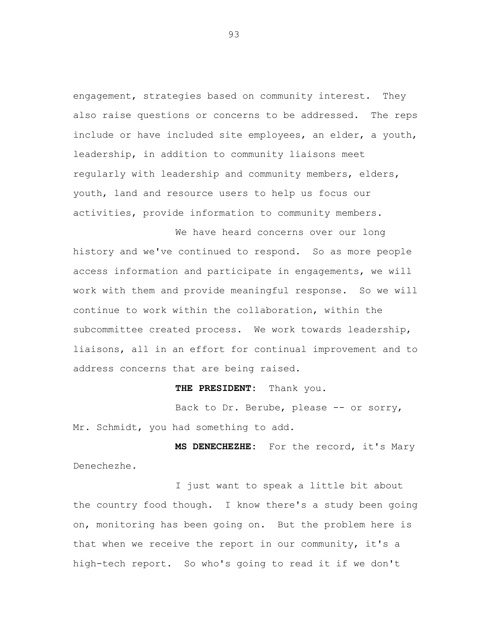engagement, strategies based on community interest. They also raise questions or concerns to be addressed. The reps include or have included site employees, an elder, a youth, leadership, in addition to community liaisons meet regularly with leadership and community members, elders, youth, land and resource users to help us focus our activities, provide information to community members.

We have heard concerns over our long history and we've continued to respond. So as more people access information and participate in engagements, we will work with them and provide meaningful response. So we will continue to work within the collaboration, within the subcommittee created process. We work towards leadership, liaisons, all in an effort for continual improvement and to address concerns that are being raised.

## **THE PRESIDENT:** Thank you.

Back to Dr. Berube, please -- or sorry, Mr. Schmidt, you had something to add.

**MS DENECHEZHE:** For the record, it's Mary Denechezhe.

I just want to speak a little bit about the country food though. I know there's a study been going on, monitoring has been going on. But the problem here is that when we receive the report in our community, it's a high-tech report. So who's going to read it if we don't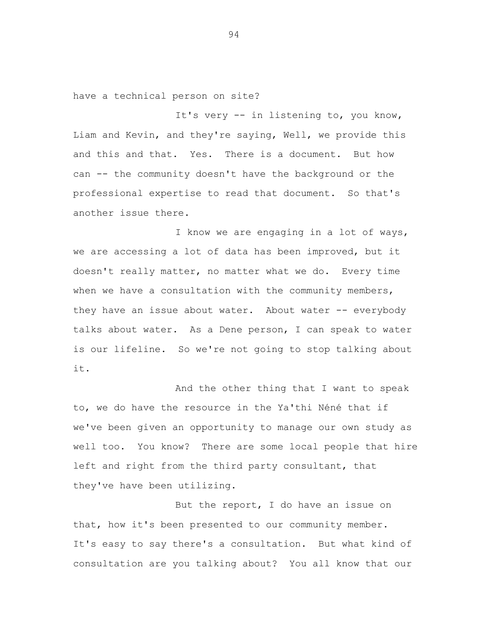have a technical person on site?

It's very -- in listening to, you know, Liam and Kevin, and they're saying, Well, we provide this and this and that. Yes. There is a document. But how can -- the community doesn't have the background or the professional expertise to read that document. So that's another issue there.

I know we are engaging in a lot of ways, we are accessing a lot of data has been improved, but it doesn't really matter, no matter what we do. Every time when we have a consultation with the community members, they have an issue about water. About water -- everybody talks about water. As a Dene person, I can speak to water is our lifeline. So we're not going to stop talking about it.

And the other thing that I want to speak to, we do have the resource in the Ya'thi Néné that if we've been given an opportunity to manage our own study as well too. You know? There are some local people that hire left and right from the third party consultant, that they've have been utilizing.

But the report, I do have an issue on that, how it's been presented to our community member. It's easy to say there's a consultation. But what kind of consultation are you talking about? You all know that our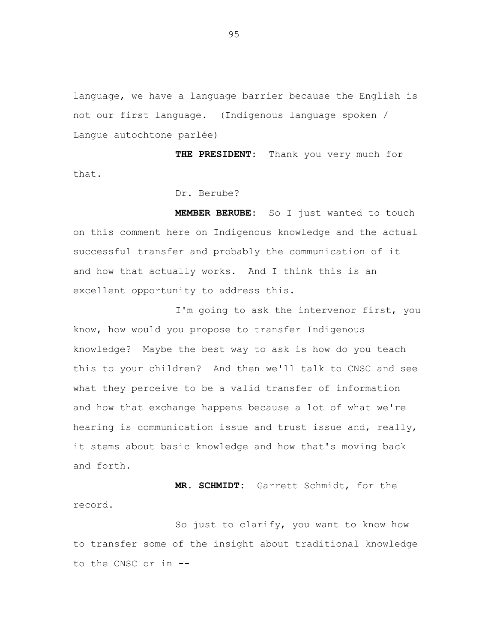language, we have a language barrier because the English is not our first language. (Indigenous language spoken / Langue autochtone parlée)

**THE PRESIDENT:** Thank you very much for that.

Dr. Berube?

**MEMBER BERUBE:** So I just wanted to touch on this comment here on Indigenous knowledge and the actual successful transfer and probably the communication of it and how that actually works. And I think this is an excellent opportunity to address this.

I'm going to ask the intervenor first, you know, how would you propose to transfer Indigenous knowledge? Maybe the best way to ask is how do you teach this to your children? And then we'll talk to CNSC and see what they perceive to be a valid transfer of information and how that exchange happens because a lot of what we're hearing is communication issue and trust issue and, really, it stems about basic knowledge and how that's moving back and forth.

**MR. SCHMIDT:** Garrett Schmidt, for the record.

So just to clarify, you want to know how to transfer some of the insight about traditional knowledge to the CNSC or in --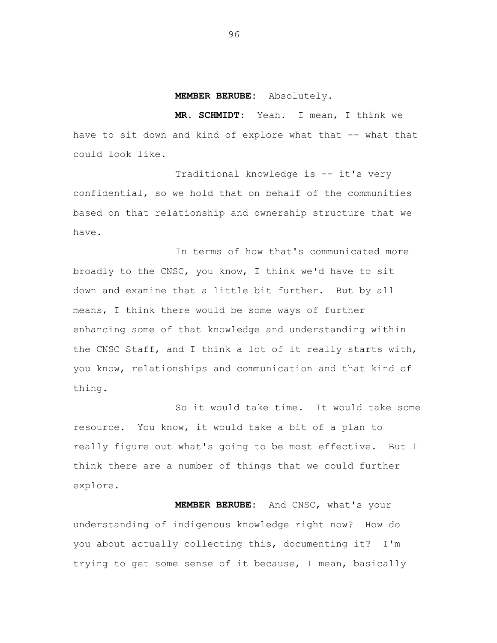**MEMBER BERUBE:** Absolutely.

**MR. SCHMIDT:** Yeah. I mean, I think we have to sit down and kind of explore what that -- what that could look like.

Traditional knowledge is -- it's very confidential, so we hold that on behalf of the communities based on that relationship and ownership structure that we have.

In terms of how that's communicated more broadly to the CNSC, you know, I think we'd have to sit down and examine that a little bit further. But by all means, I think there would be some ways of further enhancing some of that knowledge and understanding within the CNSC Staff, and I think a lot of it really starts with, you know, relationships and communication and that kind of thing.

So it would take time. It would take some resource. You know, it would take a bit of a plan to really figure out what's going to be most effective. But I think there are a number of things that we could further explore.

**MEMBER BERUBE:** And CNSC, what's your understanding of indigenous knowledge right now? How do you about actually collecting this, documenting it? I'm trying to get some sense of it because, I mean, basically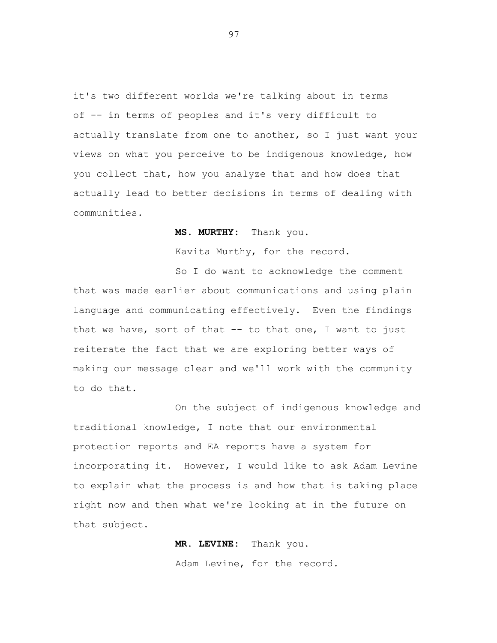it's two different worlds we're talking about in terms of -- in terms of peoples and it's very difficult to actually translate from one to another, so I just want your views on what you perceive to be indigenous knowledge, how you collect that, how you analyze that and how does that actually lead to better decisions in terms of dealing with communities.

**MS. MURTHY:** Thank you.

Kavita Murthy, for the record.

So I do want to acknowledge the comment that was made earlier about communications and using plain language and communicating effectively. Even the findings that we have, sort of that  $-$ - to that one, I want to just reiterate the fact that we are exploring better ways of making our message clear and we'll work with the community to do that.

On the subject of indigenous knowledge and traditional knowledge, I note that our environmental protection reports and EA reports have a system for incorporating it. However, I would like to ask Adam Levine to explain what the process is and how that is taking place right now and then what we're looking at in the future on that subject.

> **MR. LEVINE:** Thank you. Adam Levine, for the record.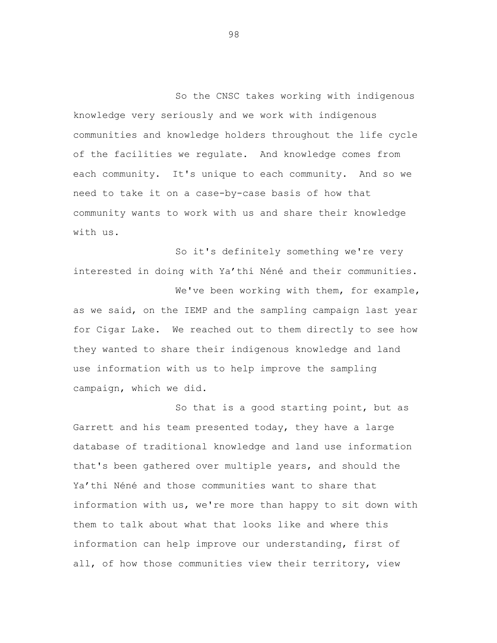So the CNSC takes working with indigenous knowledge very seriously and we work with indigenous communities and knowledge holders throughout the life cycle of the facilities we regulate. And knowledge comes from each community. It's unique to each community. And so we need to take it on a case-by-case basis of how that community wants to work with us and share their knowledge with us.

So it's definitely something we're very interested in doing with Ya'thi Néné and their communities. We've been working with them, for example, as we said, on the IEMP and the sampling campaign last year for Cigar Lake. We reached out to them directly to see how they wanted to share their indigenous knowledge and land use information with us to help improve the sampling campaign, which we did.

So that is a good starting point, but as Garrett and his team presented today, they have a large database of traditional knowledge and land use information that's been gathered over multiple years, and should the Ya'thi Néné and those communities want to share that information with us, we're more than happy to sit down with them to talk about what that looks like and where this information can help improve our understanding, first of all, of how those communities view their territory, view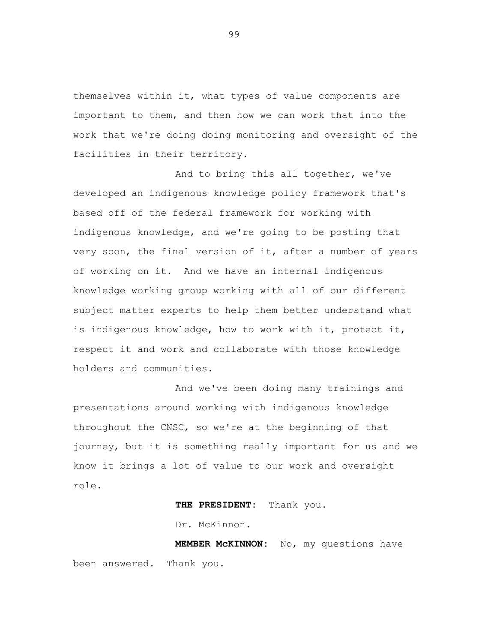themselves within it, what types of value components are important to them, and then how we can work that into the work that we're doing doing monitoring and oversight of the facilities in their territory.

And to bring this all together, we've developed an indigenous knowledge policy framework that's based off of the federal framework for working with indigenous knowledge, and we're going to be posting that very soon, the final version of it, after a number of years of working on it. And we have an internal indigenous knowledge working group working with all of our different subject matter experts to help them better understand what is indigenous knowledge, how to work with it, protect it, respect it and work and collaborate with those knowledge holders and communities.

And we've been doing many trainings and presentations around working with indigenous knowledge throughout the CNSC, so we're at the beginning of that journey, but it is something really important for us and we know it brings a lot of value to our work and oversight role.

**THE PRESIDENT:** Thank you.

Dr. McKinnon.

**MEMBER McKINNON:** No, my questions have been answered. Thank you.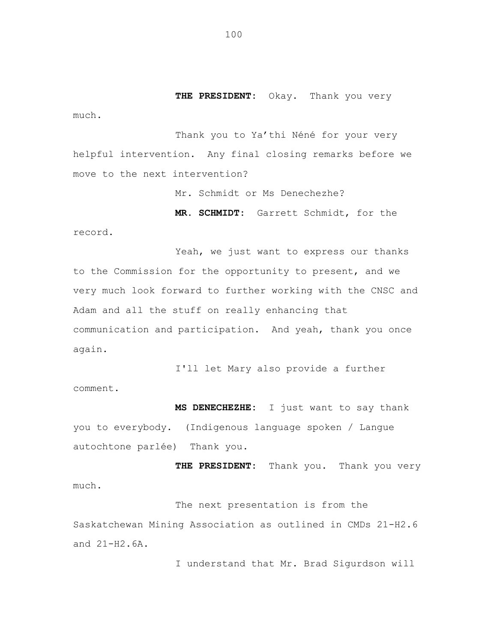**THE PRESIDENT:** Okay. Thank you very much.

Thank you to Ya'thi Néné for your very helpful intervention. Any final closing remarks before we move to the next intervention?

Mr. Schmidt or Ms Denechezhe?

**MR. SCHMIDT:** Garrett Schmidt, for the record.

Yeah, we just want to express our thanks to the Commission for the opportunity to present, and we very much look forward to further working with the CNSC and Adam and all the stuff on really enhancing that communication and participation. And yeah, thank you once again.

I'll let Mary also provide a further comment.

**MS DENECHEZHE:** I just want to say thank you to everybody. (Indigenous language spoken / Langue autochtone parlée) Thank you.

**THE PRESIDENT:** Thank you. Thank you very much.

The next presentation is from the Saskatchewan Mining Association as outlined in CMDs 21-H2.6 and 21-H2.6A.

I understand that Mr. Brad Sigurdson will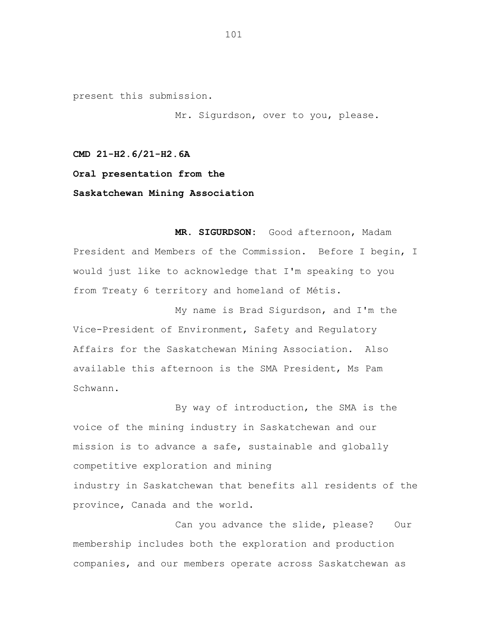present this submission.

Mr. Sigurdson, over to you, please.

**CMD 21-H2.6/21-H2.6A**

**Oral presentation from the**

**Saskatchewan Mining Association**

**MR. SIGURDSON:** Good afternoon, Madam President and Members of the Commission. Before I begin, I would just like to acknowledge that I'm speaking to you from Treaty 6 territory and homeland of Métis.

My name is Brad Sigurdson, and I'm the Vice-President of Environment, Safety and Regulatory Affairs for the Saskatchewan Mining Association. Also available this afternoon is the SMA President, Ms Pam Schwann.

By way of introduction, the SMA is the voice of the mining industry in Saskatchewan and our mission is to advance a safe, sustainable and globally competitive exploration and mining industry in Saskatchewan that benefits all residents of the province, Canada and the world.

Can you advance the slide, please? Our membership includes both the exploration and production companies, and our members operate across Saskatchewan as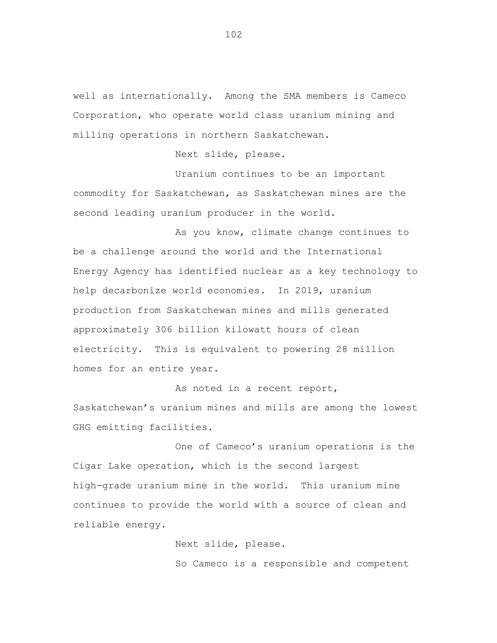well as internationally. Among the SMA members is Cameco Corporation, who operate world class uranium mining and milling operations in northern Saskatchewan.

Next slide, please.

Uranium continues to be an important commodity for Saskatchewan, as Saskatchewan mines are the second leading uranium producer in the world.

As you know, climate change continues to be a challenge around the world and the International Energy Agency has identified nuclear as a key technology to help decarbonize world economies. In 2019, uranium production from Saskatchewan mines and mills generated approximately 306 billion kilowatt hours of clean electricity. This is equivalent to powering 28 million homes for an entire year.

As noted in a recent report, Saskatchewan's uranium mines and mills are among the lowest GHG emitting facilities.

One of Cameco's uranium operations is the Cigar Lake operation, which is the second largest high-grade uranium mine in the world. This uranium mine continues to provide the world with a source of clean and reliable energy.

Next slide, please.

So Cameco is a responsible and competent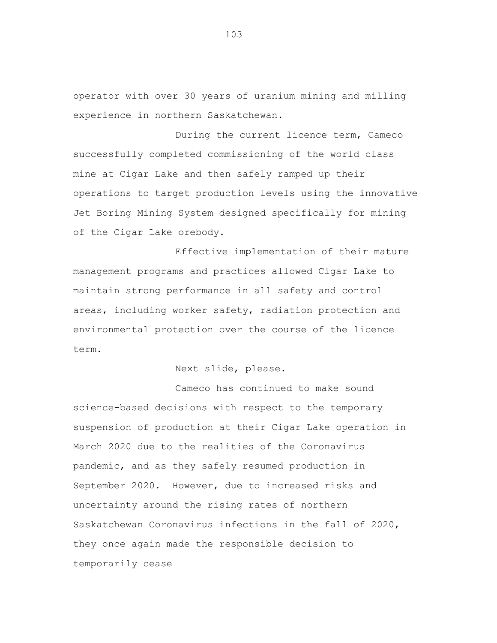operator with over 30 years of uranium mining and milling experience in northern Saskatchewan.

During the current licence term, Cameco successfully completed commissioning of the world class mine at Cigar Lake and then safely ramped up their operations to target production levels using the innovative Jet Boring Mining System designed specifically for mining of the Cigar Lake orebody.

Effective implementation of their mature management programs and practices allowed Cigar Lake to maintain strong performance in all safety and control areas, including worker safety, radiation protection and environmental protection over the course of the licence term.

Next slide, please.

Cameco has continued to make sound science-based decisions with respect to the temporary suspension of production at their Cigar Lake operation in March 2020 due to the realities of the Coronavirus pandemic, and as they safely resumed production in September 2020. However, due to increased risks and uncertainty around the rising rates of northern Saskatchewan Coronavirus infections in the fall of 2020, they once again made the responsible decision to temporarily cease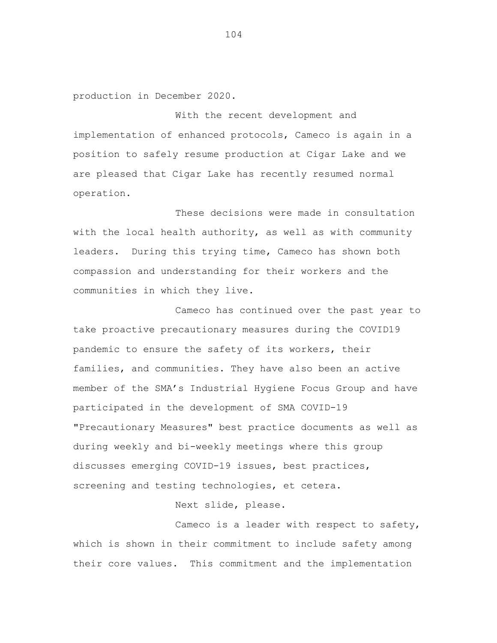production in December 2020.

With the recent development and implementation of enhanced protocols, Cameco is again in a position to safely resume production at Cigar Lake and we are pleased that Cigar Lake has recently resumed normal operation.

These decisions were made in consultation with the local health authority, as well as with community leaders. During this trying time, Cameco has shown both compassion and understanding for their workers and the communities in which they live.

Cameco has continued over the past year to take proactive precautionary measures during the COVID19 pandemic to ensure the safety of its workers, their families, and communities. They have also been an active member of the SMA's Industrial Hygiene Focus Group and have participated in the development of SMA COVID-19 "Precautionary Measures" best practice documents as well as during weekly and bi-weekly meetings where this group discusses emerging COVID-19 issues, best practices, screening and testing technologies, et cetera.

Next slide, please.

Cameco is a leader with respect to safety, which is shown in their commitment to include safety among their core values. This commitment and the implementation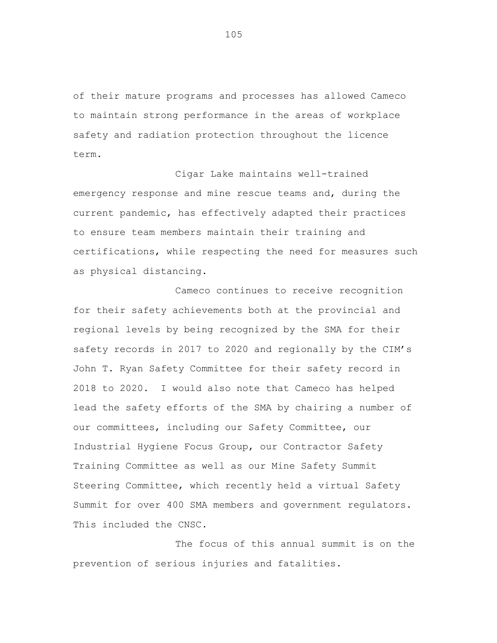of their mature programs and processes has allowed Cameco to maintain strong performance in the areas of workplace safety and radiation protection throughout the licence term.

Cigar Lake maintains well-trained emergency response and mine rescue teams and, during the current pandemic, has effectively adapted their practices to ensure team members maintain their training and certifications, while respecting the need for measures such as physical distancing.

Cameco continues to receive recognition for their safety achievements both at the provincial and regional levels by being recognized by the SMA for their safety records in 2017 to 2020 and regionally by the CIM's John T. Ryan Safety Committee for their safety record in 2018 to 2020. I would also note that Cameco has helped lead the safety efforts of the SMA by chairing a number of our committees, including our Safety Committee, our Industrial Hygiene Focus Group, our Contractor Safety Training Committee as well as our Mine Safety Summit Steering Committee, which recently held a virtual Safety Summit for over 400 SMA members and government regulators. This included the CNSC.

The focus of this annual summit is on the prevention of serious injuries and fatalities.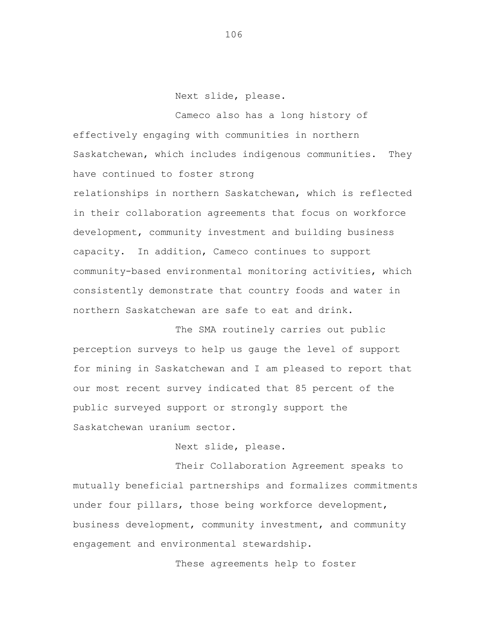Next slide, please.

Cameco also has a long history of effectively engaging with communities in northern Saskatchewan, which includes indigenous communities. They have continued to foster strong relationships in northern Saskatchewan, which is reflected in their collaboration agreements that focus on workforce development, community investment and building business capacity. In addition, Cameco continues to support community-based environmental monitoring activities, which consistently demonstrate that country foods and water in northern Saskatchewan are safe to eat and drink.

The SMA routinely carries out public perception surveys to help us gauge the level of support for mining in Saskatchewan and I am pleased to report that our most recent survey indicated that 85 percent of the public surveyed support or strongly support the Saskatchewan uranium sector.

Next slide, please.

Their Collaboration Agreement speaks to mutually beneficial partnerships and formalizes commitments under four pillars, those being workforce development, business development, community investment, and community engagement and environmental stewardship.

These agreements help to foster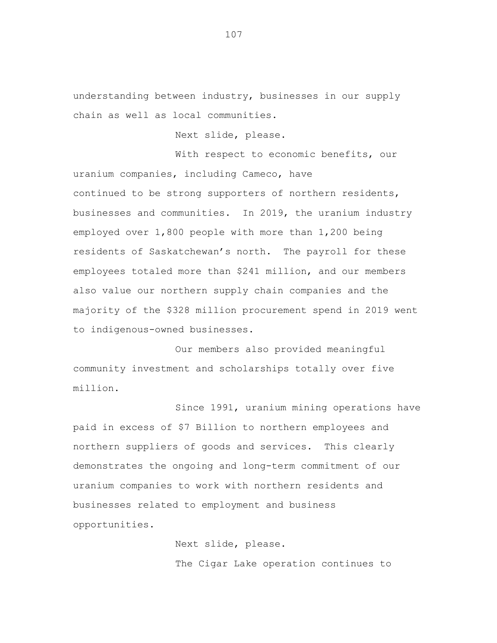understanding between industry, businesses in our supply chain as well as local communities.

Next slide, please.

With respect to economic benefits, our uranium companies, including Cameco, have continued to be strong supporters of northern residents, businesses and communities. In 2019, the uranium industry employed over 1,800 people with more than 1,200 being residents of Saskatchewan's north. The payroll for these employees totaled more than \$241 million, and our members also value our northern supply chain companies and the majority of the \$328 million procurement spend in 2019 went to indigenous-owned businesses.

Our members also provided meaningful community investment and scholarships totally over five million.

Since 1991, uranium mining operations have paid in excess of \$7 Billion to northern employees and northern suppliers of goods and services. This clearly demonstrates the ongoing and long-term commitment of our uranium companies to work with northern residents and businesses related to employment and business opportunities.

> Next slide, please. The Cigar Lake operation continues to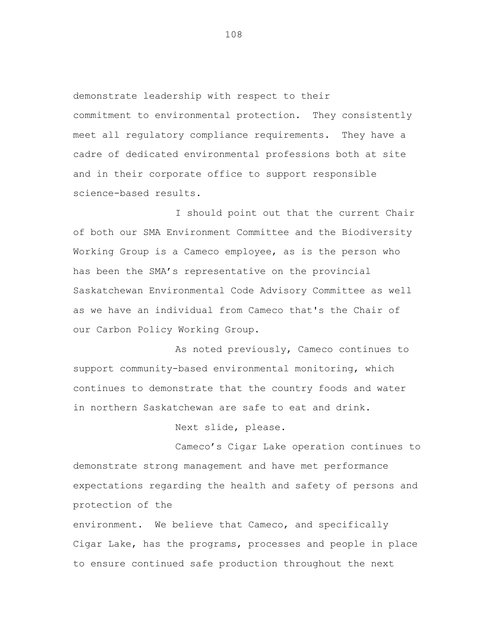demonstrate leadership with respect to their commitment to environmental protection. They consistently meet all regulatory compliance requirements. They have a cadre of dedicated environmental professions both at site and in their corporate office to support responsible science-based results.

I should point out that the current Chair of both our SMA Environment Committee and the Biodiversity Working Group is a Cameco employee, as is the person who has been the SMA's representative on the provincial Saskatchewan Environmental Code Advisory Committee as well as we have an individual from Cameco that's the Chair of our Carbon Policy Working Group.

As noted previously, Cameco continues to support community-based environmental monitoring, which continues to demonstrate that the country foods and water in northern Saskatchewan are safe to eat and drink.

Next slide, please.

Cameco's Cigar Lake operation continues to demonstrate strong management and have met performance expectations regarding the health and safety of persons and protection of the

environment. We believe that Cameco, and specifically Cigar Lake, has the programs, processes and people in place to ensure continued safe production throughout the next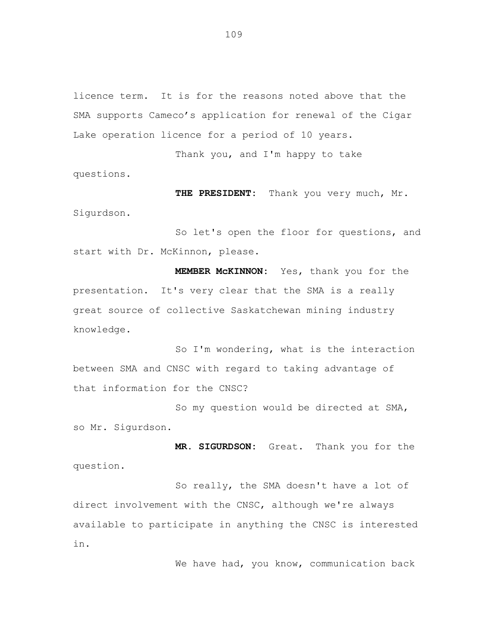licence term. It is for the reasons noted above that the SMA supports Cameco's application for renewal of the Cigar Lake operation licence for a period of 10 years.

Thank you, and I'm happy to take questions.

**THE PRESIDENT:** Thank you very much, Mr. Sigurdson.

So let's open the floor for questions, and start with Dr. McKinnon, please.

**MEMBER McKINNON:** Yes, thank you for the presentation. It's very clear that the SMA is a really great source of collective Saskatchewan mining industry knowledge.

So I'm wondering, what is the interaction between SMA and CNSC with regard to taking advantage of that information for the CNSC?

So my question would be directed at SMA, so Mr. Sigurdson.

**MR. SIGURDSON:** Great. Thank you for the question.

So really, the SMA doesn't have a lot of direct involvement with the CNSC, although we're always available to participate in anything the CNSC is interested in.

We have had, you know, communication back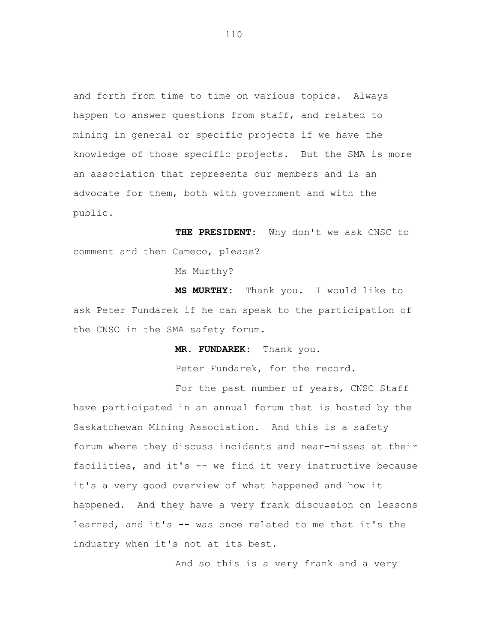and forth from time to time on various topics. Always happen to answer questions from staff, and related to mining in general or specific projects if we have the knowledge of those specific projects. But the SMA is more an association that represents our members and is an advocate for them, both with government and with the public.

**THE PRESIDENT:** Why don't we ask CNSC to comment and then Cameco, please?

Ms Murthy?

**MS MURTHY:** Thank you. I would like to ask Peter Fundarek if he can speak to the participation of the CNSC in the SMA safety forum.

**MR. FUNDAREK:** Thank you.

Peter Fundarek, for the record.

For the past number of years, CNSC Staff have participated in an annual forum that is hosted by the Saskatchewan Mining Association. And this is a safety forum where they discuss incidents and near-misses at their facilities, and it's -- we find it very instructive because it's a very good overview of what happened and how it happened. And they have a very frank discussion on lessons learned, and it's -- was once related to me that it's the industry when it's not at its best.

And so this is a very frank and a very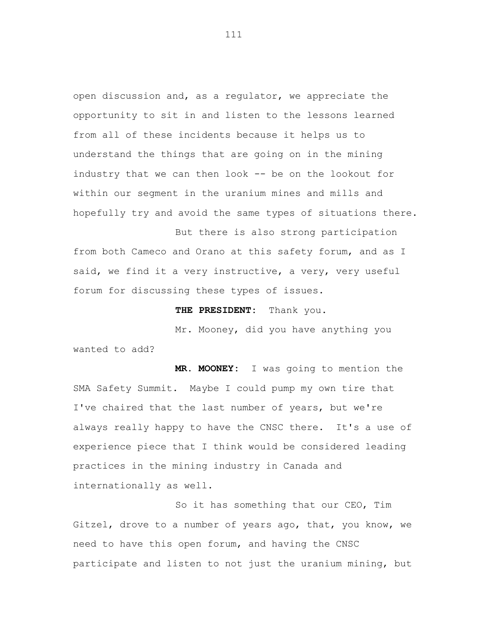open discussion and, as a regulator, we appreciate the opportunity to sit in and listen to the lessons learned from all of these incidents because it helps us to understand the things that are going on in the mining industry that we can then look -- be on the lookout for within our segment in the uranium mines and mills and hopefully try and avoid the same types of situations there.

But there is also strong participation from both Cameco and Orano at this safety forum, and as I said, we find it a very instructive, a very, very useful forum for discussing these types of issues.

**THE PRESIDENT:** Thank you.

Mr. Mooney, did you have anything you wanted to add?

**MR. MOONEY:** I was going to mention the SMA Safety Summit. Maybe I could pump my own tire that I've chaired that the last number of years, but we're always really happy to have the CNSC there. It's a use of experience piece that I think would be considered leading practices in the mining industry in Canada and internationally as well.

So it has something that our CEO, Tim Gitzel, drove to a number of years ago, that, you know, we need to have this open forum, and having the CNSC participate and listen to not just the uranium mining, but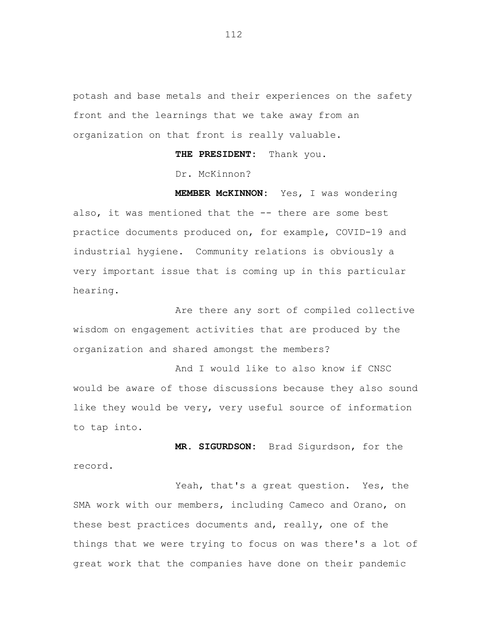potash and base metals and their experiences on the safety front and the learnings that we take away from an organization on that front is really valuable.

**THE PRESIDENT:** Thank you.

Dr. McKinnon?

**MEMBER McKINNON:** Yes, I was wondering also, it was mentioned that the -- there are some best practice documents produced on, for example, COVID-19 and industrial hygiene. Community relations is obviously a very important issue that is coming up in this particular hearing.

Are there any sort of compiled collective wisdom on engagement activities that are produced by the organization and shared amongst the members?

And I would like to also know if CNSC would be aware of those discussions because they also sound like they would be very, very useful source of information to tap into.

**MR. SIGURDSON:** Brad Sigurdson, for the record.

Yeah, that's a great question. Yes, the SMA work with our members, including Cameco and Orano, on these best practices documents and, really, one of the things that we were trying to focus on was there's a lot of great work that the companies have done on their pandemic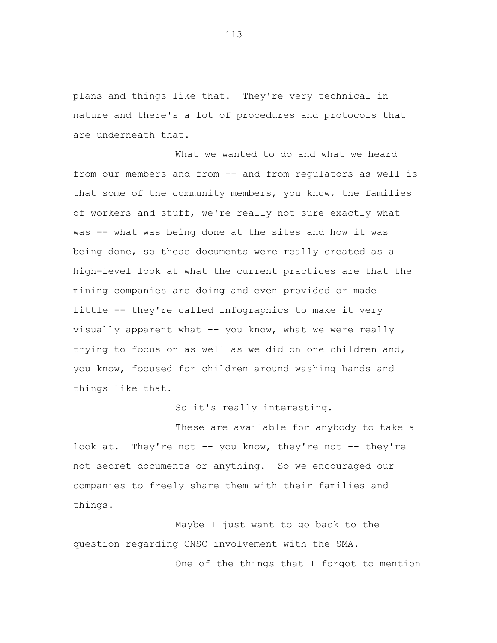plans and things like that. They're very technical in nature and there's a lot of procedures and protocols that are underneath that.

What we wanted to do and what we heard from our members and from -- and from regulators as well is that some of the community members, you know, the families of workers and stuff, we're really not sure exactly what was -- what was being done at the sites and how it was being done, so these documents were really created as a high-level look at what the current practices are that the mining companies are doing and even provided or made little -- they're called infographics to make it very visually apparent what -- you know, what we were really trying to focus on as well as we did on one children and, you know, focused for children around washing hands and things like that.

So it's really interesting.

These are available for anybody to take a look at. They're not  $-$ - you know, they're not  $-$ - they're not secret documents or anything. So we encouraged our companies to freely share them with their families and things.

Maybe I just want to go back to the question regarding CNSC involvement with the SMA.

One of the things that I forgot to mention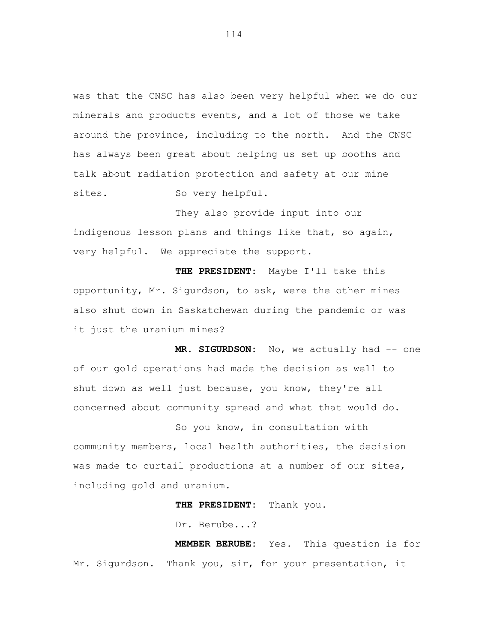was that the CNSC has also been very helpful when we do our minerals and products events, and a lot of those we take around the province, including to the north. And the CNSC has always been great about helping us set up booths and talk about radiation protection and safety at our mine sites. So very helpful.

They also provide input into our indigenous lesson plans and things like that, so again, very helpful. We appreciate the support.

**THE PRESIDENT:** Maybe I'll take this opportunity, Mr. Sigurdson, to ask, were the other mines also shut down in Saskatchewan during the pandemic or was it just the uranium mines?

**MR. SIGURDSON:** No, we actually had -- one of our gold operations had made the decision as well to shut down as well just because, you know, they're all concerned about community spread and what that would do.

So you know, in consultation with community members, local health authorities, the decision was made to curtail productions at a number of our sites, including gold and uranium.

**THE PRESIDENT:** Thank you.

Dr. Berube...?

**MEMBER BERUBE:** Yes. This question is for Mr. Sigurdson. Thank you, sir, for your presentation, it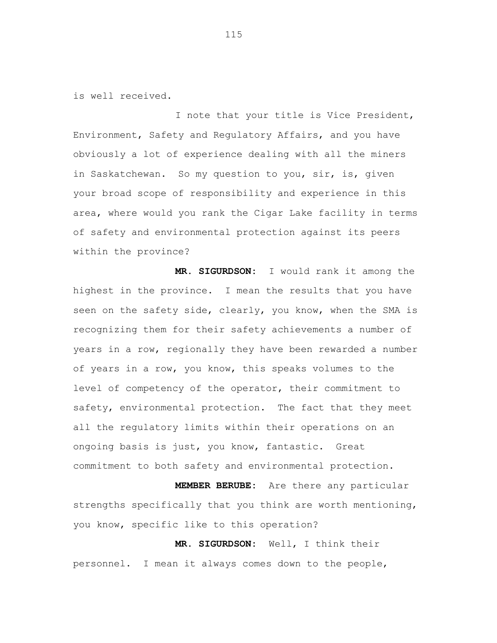is well received.

I note that your title is Vice President, Environment, Safety and Regulatory Affairs, and you have obviously a lot of experience dealing with all the miners in Saskatchewan. So my question to you, sir, is, given your broad scope of responsibility and experience in this area, where would you rank the Cigar Lake facility in terms of safety and environmental protection against its peers within the province?

**MR. SIGURDSON:** I would rank it among the highest in the province. I mean the results that you have seen on the safety side, clearly, you know, when the SMA is recognizing them for their safety achievements a number of years in a row, regionally they have been rewarded a number of years in a row, you know, this speaks volumes to the level of competency of the operator, their commitment to safety, environmental protection. The fact that they meet all the regulatory limits within their operations on an ongoing basis is just, you know, fantastic. Great commitment to both safety and environmental protection.

**MEMBER BERUBE:** Are there any particular strengths specifically that you think are worth mentioning, you know, specific like to this operation?

**MR. SIGURDSON:** Well, I think their personnel. I mean it always comes down to the people,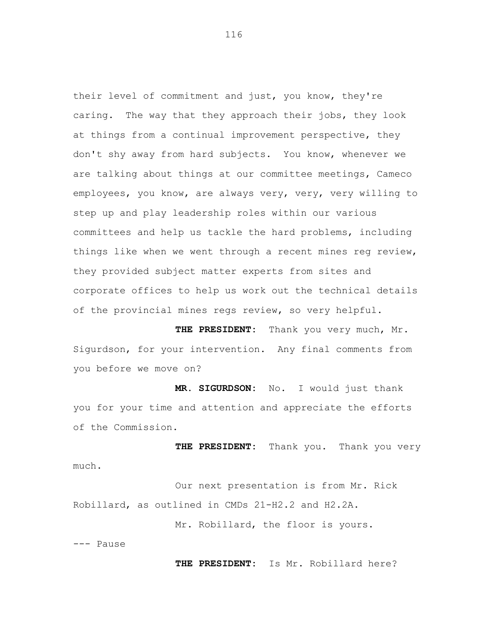their level of commitment and just, you know, they**'**re caring. The way that they approach their jobs, they look at things from a continual improvement perspective, they don**'**t shy away from hard subjects. You know, whenever we are talking about things at our committee meetings, Cameco employees, you know, are always very, very, very willing to step up and play leadership roles within our various committees and help us tackle the hard problems, including things like when we went through a recent mines reg review, they provided subject matter experts from sites and corporate offices to help us work out the technical details of the provincial mines regs review, so very helpful.

**THE PRESIDENT:** Thank you very much, Mr. Sigurdson, for your intervention. Any final comments from you before we move on?

**MR. SIGURDSON:** No. I would just thank you for your time and attention and appreciate the efforts of the Commission.

**THE PRESIDENT:** Thank you. Thank you very much.

Our next presentation is from Mr. Rick Robillard, as outlined in CMDs 21-H2.2 and H2.2A.

Mr. Robillard, the floor is yours.

--- Pause

**THE PRESIDENT:** Is Mr. Robillard here?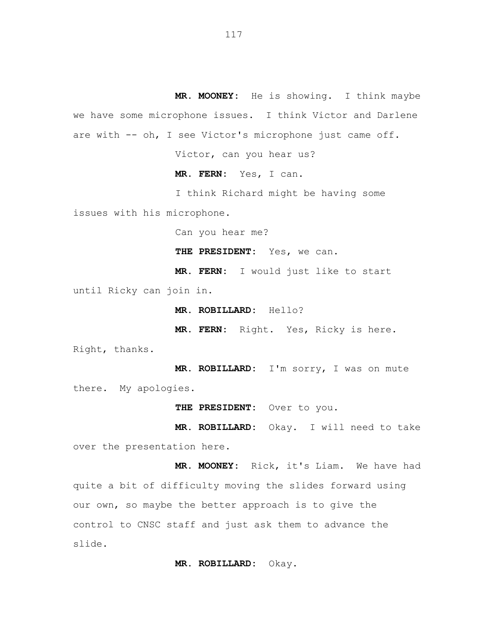**MR. MOONEY:** He is showing. I think maybe we have some microphone issues. I think Victor and Darlene are with -- oh, I see Victor**'**s microphone just came off.

Victor, can you hear us?

**MR. FERN:** Yes, I can.

I think Richard might be having some

issues with his microphone.

Can you hear me?

**THE PRESIDENT:** Yes, we can.

**MR. FERN:** I would just like to start until Ricky can join in.

**MR. ROBILLARD:** Hello?

**MR. FERN:** Right. Yes, Ricky is here.

Right, thanks.

**MR. ROBILLARD:** I**'**m sorry, I was on mute there. My apologies.

**THE PRESIDENT:** Over to you.

**MR. ROBILLARD:** Okay. I will need to take over the presentation here.

**MR. MOONEY:** Rick, it's Liam. We have had quite a bit of difficulty moving the slides forward using our own, so maybe the better approach is to give the control to CNSC staff and just ask them to advance the slide.

**MR. ROBILLARD:** Okay.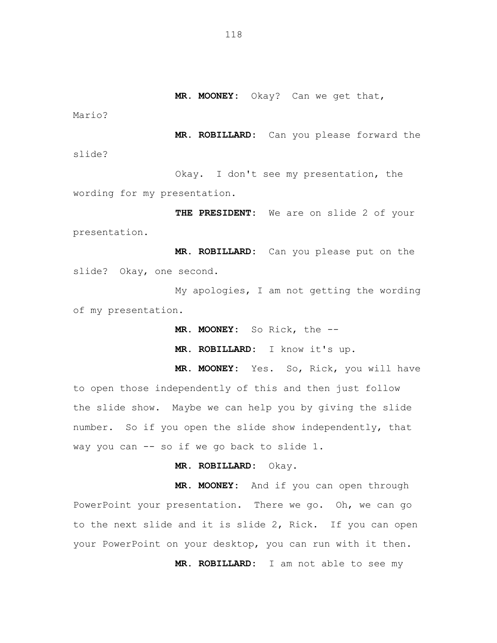**MR. MOONEY:** Okay? Can we get that,

Mario?

**MR. ROBILLARD:** Can you please forward the slide?

Okay. I don**'**t see my presentation, the wording for my presentation.

**THE PRESIDENT:** We are on slide 2 of your presentation.

**MR. ROBILLARD:** Can you please put on the slide? Okay, one second.

My apologies, I am not getting the wording of my presentation.

**MR. MOONEY:** So Rick, the --

**MR. ROBILLARD:** I know it**'**s up.

**MR. MOONEY:** Yes. So, Rick, you will have to open those independently of this and then just follow the slide show. Maybe we can help you by giving the slide number. So if you open the slide show independently, that way you can -- so if we go back to slide 1.

**MR. ROBILLARD:** Okay.

**MR. MOONEY:** And if you can open through PowerPoint your presentation. There we go. Oh, we can go to the next slide and it is slide 2, Rick. If you can open your PowerPoint on your desktop, you can run with it then.

**MR. ROBILLARD:** I am not able to see my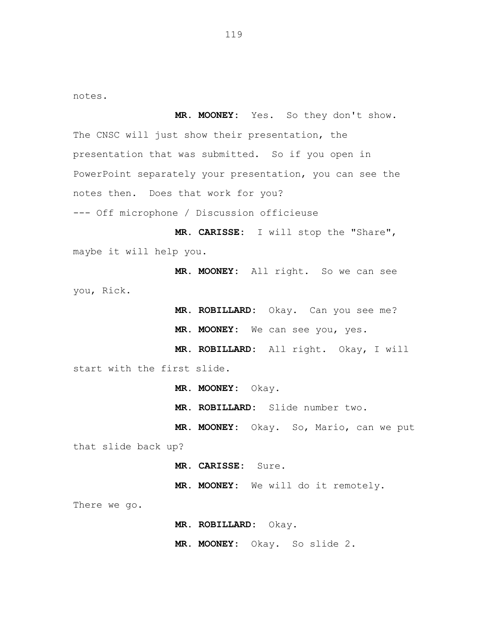notes.

**MR. MOONEY:** Yes. So they don**'**t show. The CNSC will just show their presentation, the presentation that was submitted. So if you open in PowerPoint separately your presentation, you can see the notes then. Does that work for you? --- Off microphone / Discussion officieuse

**MR. CARISSE:** I will stop the "Share", maybe it will help you.

**MR. MOONEY:** All right. So we can see you, Rick.

**MR. ROBILLARD:** Okay. Can you see me?

**MR. MOONEY:** We can see you, yes.

**MR. ROBILLARD:** All right. Okay, I will start with the first slide.

**MR. MOONEY:** Okay.

**MR. ROBILLARD:** Slide number two.

**MR. MOONEY:** Okay. So, Mario, can we put that slide back up?

**MR. CARISSE:** Sure.

**MR. MOONEY:** We will do it remotely.

There we go.

**MR. ROBILLARD:** Okay.

**MR. MOONEY:** Okay. So slide 2.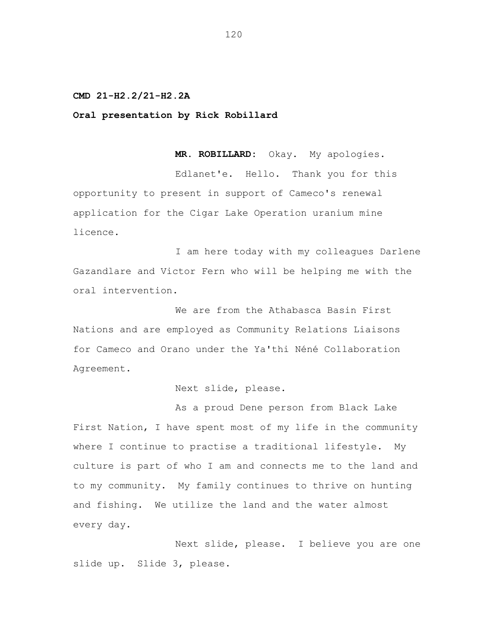## **CMD 21-H2.2/21-H2.2A**

**Oral presentation by Rick Robillard**

**MR. ROBILLARD:** Okay. My apologies.

Edlanet**'**e. Hello. Thank you for this opportunity to present in support of Cameco**'**s renewal application for the Cigar Lake Operation uranium mine licence.

I am here today with my colleagues Darlene Gazandlare and Victor Fern who will be helping me with the oral intervention.

We are from the Athabasca Basin First Nations and are employed as Community Relations Liaisons for Cameco and Orano under the Ya**'**thi Néné Collaboration Agreement.

Next slide, please.

As a proud Dene person from Black Lake First Nation, I have spent most of my life in the community where I continue to practise a traditional lifestyle. My culture is part of who I am and connects me to the land and to my community. My family continues to thrive on hunting and fishing. We utilize the land and the water almost every day.

Next slide, please. I believe you are one slide up. Slide 3, please.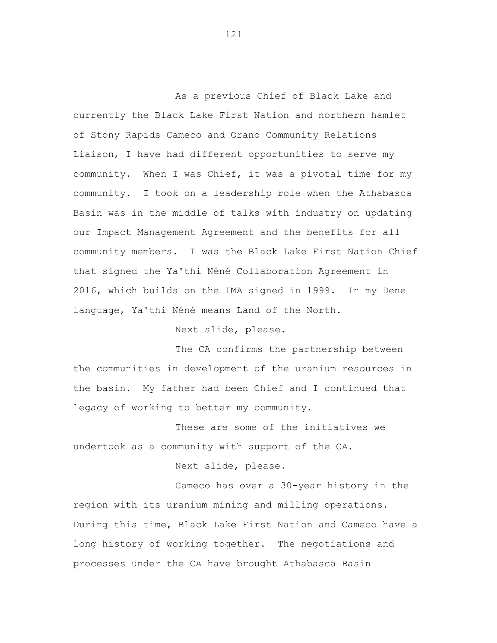As a previous Chief of Black Lake and currently the Black Lake First Nation and northern hamlet of Stony Rapids Cameco and Orano Community Relations Liaison, I have had different opportunities to serve my community. When I was Chief, it was a pivotal time for my community. I took on a leadership role when the Athabasca Basin was in the middle of talks with industry on updating our Impact Management Agreement and the benefits for all community members. I was the Black Lake First Nation Chief that signed the Ya'thi Néné Collaboration Agreement in 2016, which builds on the IMA signed in 1999. In my Dene language, Ya'thi Néné means Land of the North.

Next slide, please.

The CA confirms the partnership between the communities in development of the uranium resources in the basin. My father had been Chief and I continued that legacy of working to better my community.

These are some of the initiatives we undertook as a community with support of the CA.

Next slide, please.

Cameco has over a 30-year history in the region with its uranium mining and milling operations. During this time, Black Lake First Nation and Cameco have a long history of working together. The negotiations and processes under the CA have brought Athabasca Basin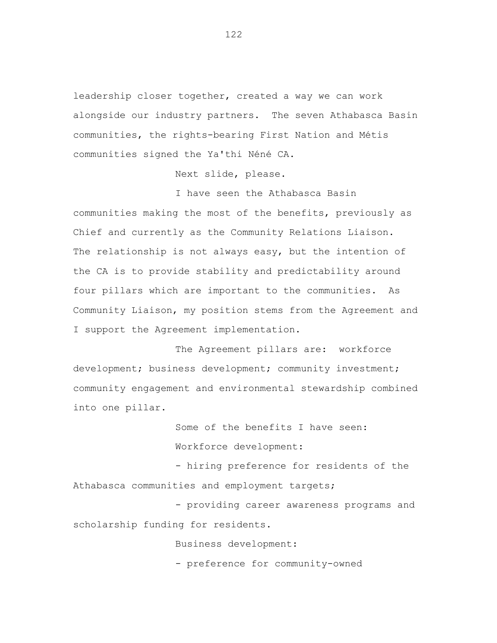leadership closer together, created a way we can work alongside our industry partners. The seven Athabasca Basin communities, the rights-bearing First Nation and Métis communities signed the Ya'thi Néné CA.

Next slide, please.

I have seen the Athabasca Basin communities making the most of the benefits, previously as Chief and currently as the Community Relations Liaison. The relationship is not always easy, but the intention of the CA is to provide stability and predictability around four pillars which are important to the communities. As Community Liaison, my position stems from the Agreement and I support the Agreement implementation.

The Agreement pillars are: workforce development; business development; community investment; community engagement and environmental stewardship combined into one pillar.

> Some of the benefits I have seen: Workforce development:

- hiring preference for residents of the Athabasca communities and employment targets;

- providing career awareness programs and scholarship funding for residents.

Business development:

- preference for community-owned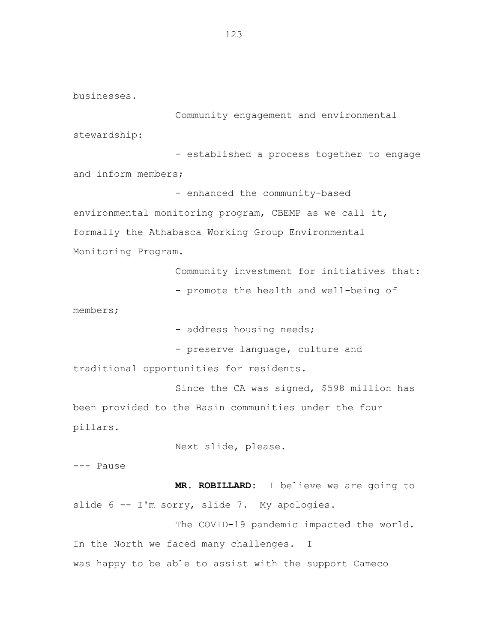businesses.

Community engagement and environmental stewardship:

- established a process together to engage and inform members;

- enhanced the community-based environmental monitoring program, CBEMP as we call it, formally the Athabasca Working Group Environmental Monitoring Program.

Community investment for initiatives that:

- promote the health and well-being of

members;

- address housing needs;

- preserve language, culture and

traditional opportunities for residents.

Since the CA was signed, \$598 million has been provided to the Basin communities under the four pillars.

Next slide, please.

--- Pause

**MR. ROBILLARD:** I believe we are going to slide 6 -- I'm sorry, slide 7. My apologies.

The COVID-19 pandemic impacted the world. In the North we faced many challenges. I was happy to be able to assist with the support Cameco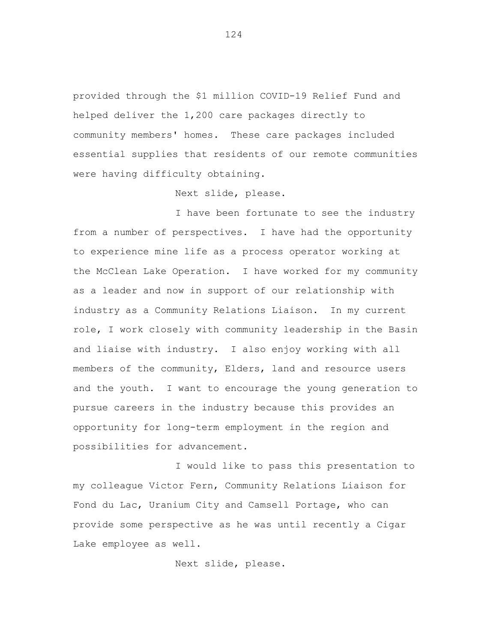provided through the \$1 million COVID-19 Relief Fund and helped deliver the 1,200 care packages directly to community members' homes. These care packages included essential supplies that residents of our remote communities were having difficulty obtaining.

Next slide, please.

I have been fortunate to see the industry from a number of perspectives. I have had the opportunity to experience mine life as a process operator working at the McClean Lake Operation. I have worked for my community as a leader and now in support of our relationship with industry as a Community Relations Liaison. In my current role, I work closely with community leadership in the Basin and liaise with industry. I also enjoy working with all members of the community, Elders, land and resource users and the youth. I want to encourage the young generation to pursue careers in the industry because this provides an opportunity for long-term employment in the region and possibilities for advancement.

I would like to pass this presentation to my colleague Victor Fern, Community Relations Liaison for Fond du Lac, Uranium City and Camsell Portage, who can provide some perspective as he was until recently a Cigar Lake employee as well.

Next slide, please.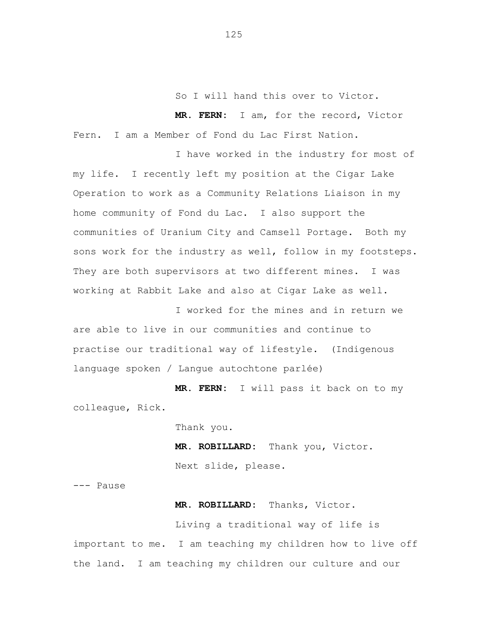So I will hand this over to Victor.

**MR. FERN:** I am, for the record, Victor Fern. I am a Member of Fond du Lac First Nation.

I have worked in the industry for most of my life. I recently left my position at the Cigar Lake Operation to work as a Community Relations Liaison in my home community of Fond du Lac. I also support the communities of Uranium City and Camsell Portage. Both my sons work for the industry as well, follow in my footsteps. They are both supervisors at two different mines. I was working at Rabbit Lake and also at Cigar Lake as well.

I worked for the mines and in return we are able to live in our communities and continue to practise our traditional way of lifestyle. (Indigenous language spoken / Langue autochtone parlée)

**MR. FERN:** I will pass it back on to my colleague, Rick.

Thank you.

**MR. ROBILLARD:** Thank you, Victor. Next slide, please.

--- Pause

**MR. ROBILLARD:** Thanks, Victor.

Living a traditional way of life is important to me. I am teaching my children how to live off the land. I am teaching my children our culture and our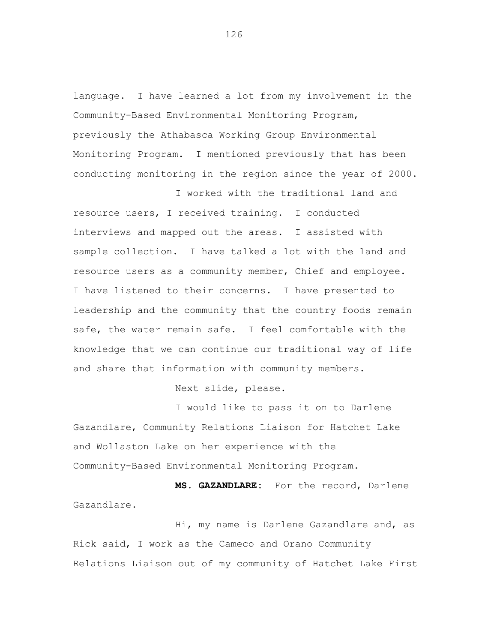language. I have learned a lot from my involvement in the Community-Based Environmental Monitoring Program, previously the Athabasca Working Group Environmental Monitoring Program. I mentioned previously that has been conducting monitoring in the region since the year of 2000.

I worked with the traditional land and

resource users, I received training. I conducted interviews and mapped out the areas. I assisted with sample collection. I have talked a lot with the land and resource users as a community member, Chief and employee. I have listened to their concerns. I have presented to leadership and the community that the country foods remain safe, the water remain safe. I feel comfortable with the knowledge that we can continue our traditional way of life and share that information with community members.

Next slide, please.

I would like to pass it on to Darlene Gazandlare, Community Relations Liaison for Hatchet Lake and Wollaston Lake on her experience with the Community-Based Environmental Monitoring Program.

**MS. GAZANDLARE:** For the record, Darlene Gazandlare.

Hi, my name is Darlene Gazandlare and, as Rick said, I work as the Cameco and Orano Community Relations Liaison out of my community of Hatchet Lake First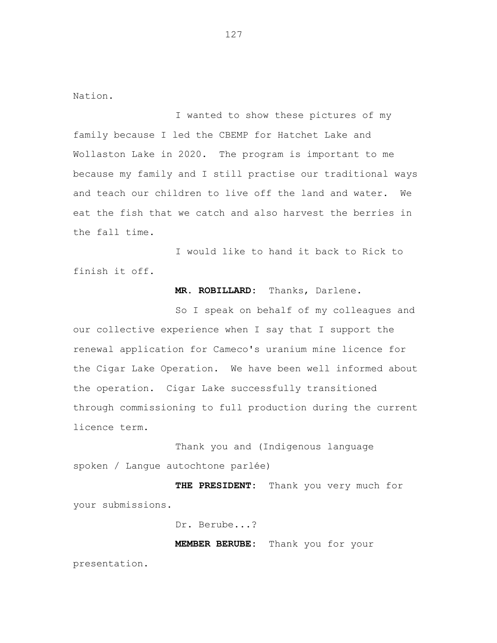Nation.

I wanted to show these pictures of my family because I led the CBEMP for Hatchet Lake and Wollaston Lake in 2020. The program is important to me because my family and I still practise our traditional ways and teach our children to live off the land and water. We eat the fish that we catch and also harvest the berries in the fall time.

I would like to hand it back to Rick to finish it off.

**MR. ROBILLARD:** Thanks, Darlene.

So I speak on behalf of my colleagues and our collective experience when I say that I support the renewal application for Cameco's uranium mine licence for the Cigar Lake Operation. We have been well informed about the operation. Cigar Lake successfully transitioned through commissioning to full production during the current licence term.

Thank you and (Indigenous language spoken / Langue autochtone parlée)

**THE PRESIDENT:** Thank you very much for your submissions.

Dr. Berube...?

**MEMBER BERUBE:** Thank you for your

presentation.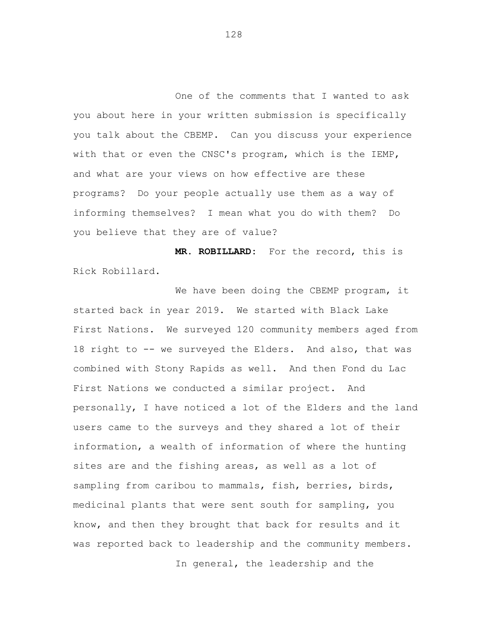One of the comments that I wanted to ask you about here in your written submission is specifically you talk about the CBEMP. Can you discuss your experience with that or even the CNSC's program, which is the IEMP, and what are your views on how effective are these programs? Do your people actually use them as a way of informing themselves? I mean what you do with them? Do you believe that they are of value?

**MR. ROBILLARD:** For the record, this is Rick Robillard.

We have been doing the CBEMP program, it started back in year 2019. We started with Black Lake First Nations. We surveyed 120 community members aged from 18 right to -- we surveyed the Elders. And also, that was combined with Stony Rapids as well. And then Fond du Lac First Nations we conducted a similar project. And personally, I have noticed a lot of the Elders and the land users came to the surveys and they shared a lot of their information, a wealth of information of where the hunting sites are and the fishing areas, as well as a lot of sampling from caribou to mammals, fish, berries, birds, medicinal plants that were sent south for sampling, you know, and then they brought that back for results and it was reported back to leadership and the community members.

In general, the leadership and the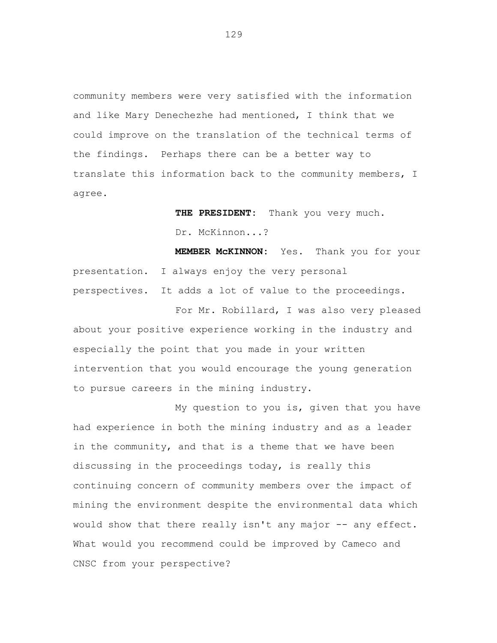community members were very satisfied with the information and like Mary Denechezhe had mentioned, I think that we could improve on the translation of the technical terms of the findings. Perhaps there can be a better way to translate this information back to the community members, I agree.

> **THE PRESIDENT:** Thank you very much. Dr. McKinnon...?

**MEMBER McKINNON:** Yes. Thank you for your presentation. I always enjoy the very personal perspectives. It adds a lot of value to the proceedings.

For Mr. Robillard, I was also very pleased about your positive experience working in the industry and especially the point that you made in your written intervention that you would encourage the young generation to pursue careers in the mining industry.

My question to you is, given that you have had experience in both the mining industry and as a leader in the community, and that is a theme that we have been discussing in the proceedings today, is really this continuing concern of community members over the impact of mining the environment despite the environmental data which would show that there really isn't any major -- any effect. What would you recommend could be improved by Cameco and CNSC from your perspective?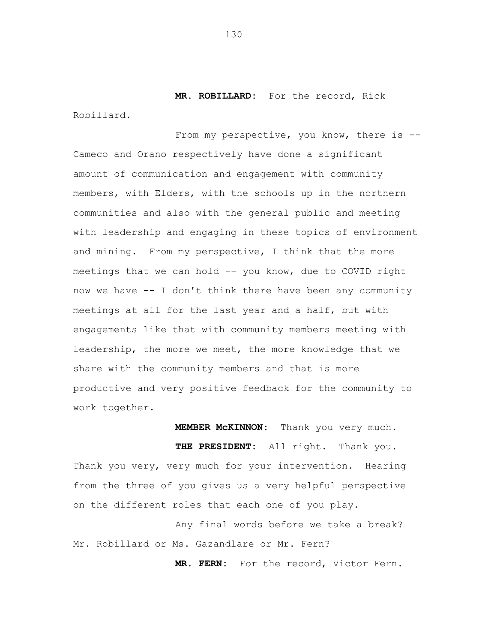**MR. ROBILLARD:** For the record, Rick Robillard.

From my perspective, you know, there is --Cameco and Orano respectively have done a significant amount of communication and engagement with community members, with Elders, with the schools up in the northern communities and also with the general public and meeting with leadership and engaging in these topics of environment and mining. From my perspective, I think that the more meetings that we can hold -- you know, due to COVID right now we have -- I don't think there have been any community meetings at all for the last year and a half, but with engagements like that with community members meeting with leadership, the more we meet, the more knowledge that we share with the community members and that is more productive and very positive feedback for the community to work together.

**MEMBER McKINNON:** Thank you very much. **THE PRESIDENT:** All right. Thank you. Thank you very, very much for your intervention. Hearing from the three of you gives us a very helpful perspective on the different roles that each one of you play.

Any final words before we take a break? Mr. Robillard or Ms. Gazandlare or Mr. Fern?

**MR. FERN:** For the record, Victor Fern.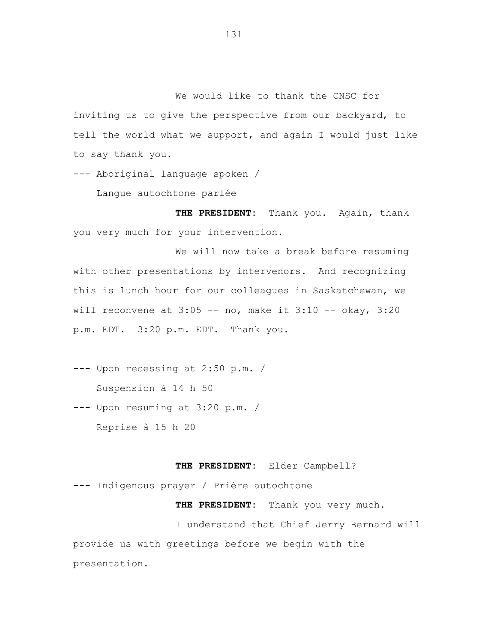We would like to thank the CNSC for inviting us to give the perspective from our backyard, to tell the world what we support, and again I would just like to say thank you.

--- Aboriginal language spoken / Langue autochtone parlée

**THE PRESIDENT:** Thank you. Again, thank you very much for your intervention.

We will now take a break before resuming with other presentations by intervenors. And recognizing this is lunch hour for our colleagues in Saskatchewan, we will reconvene at  $3:05$  -- no, make it  $3:10$  -- okay,  $3:20$ p.m. EDT. 3:20 p.m. EDT. Thank you.

--- Upon recessing at 2:50 p.m. / Suspension à 14 h 50

--- Upon resuming at 3:20 p.m. / Reprise à 15 h 20

## **THE PRESIDENT:** Elder Campbell?

**THE PRESIDENT:** Thank you very much.

--- Indigenous prayer / Prière autochtone

I understand that Chief Jerry Bernard will provide us with greetings before we begin with the

presentation.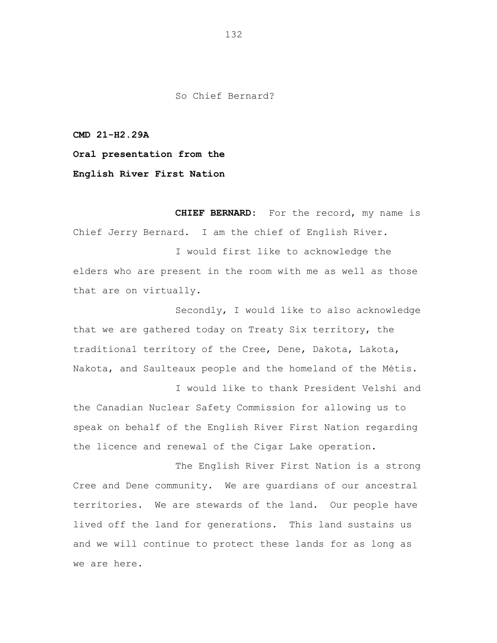So Chief Bernard?

**CMD 21-H2.29A**

**Oral presentation from the English River First Nation**

**CHIEF BERNARD:** For the record, my name is Chief Jerry Bernard. I am the chief of English River.

I would first like to acknowledge the elders who are present in the room with me as well as those that are on virtually.

Secondly, I would like to also acknowledge that we are gathered today on Treaty Six territory, the traditional territory of the Cree, Dene, Dakota, Lakota, Nakota, and Saulteaux people and the homeland of the Métis.

I would like to thank President Velshi and the Canadian Nuclear Safety Commission for allowing us to speak on behalf of the English River First Nation regarding the licence and renewal of the Cigar Lake operation.

The English River First Nation is a strong Cree and Dene community. We are guardians of our ancestral territories. We are stewards of the land. Our people have lived off the land for generations. This land sustains us and we will continue to protect these lands for as long as we are here.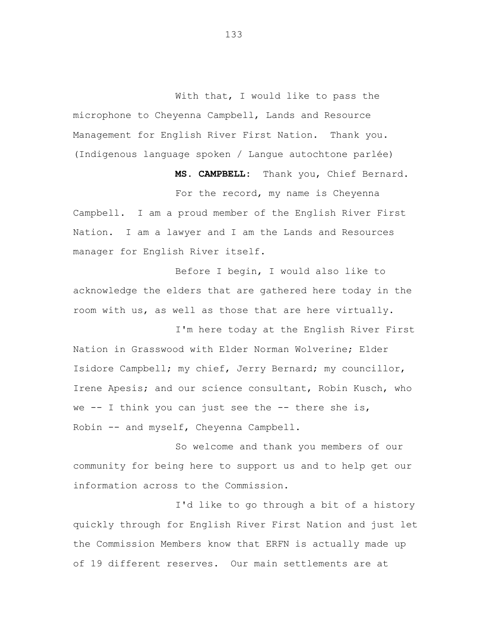With that, I would like to pass the microphone to Cheyenna Campbell, Lands and Resource Management for English River First Nation. Thank you. (Indigenous language spoken / Langue autochtone parlée)

For the record, my name is Cheyenna Campbell. I am a proud member of the English River First Nation. I am a lawyer and I am the Lands and Resources manager for English River itself.

**MS. CAMPBELL:** Thank you, Chief Bernard.

Before I begin, I would also like to acknowledge the elders that are gathered here today in the room with us, as well as those that are here virtually.

I'm here today at the English River First Nation in Grasswood with Elder Norman Wolverine; Elder Isidore Campbell; my chief, Jerry Bernard; my councillor, Irene Apesis; and our science consultant, Robin Kusch, who we  $-$ - I think you can just see the  $-$ - there she is, Robin -- and myself, Cheyenna Campbell.

So welcome and thank you members of our community for being here to support us and to help get our information across to the Commission.

I'd like to go through a bit of a history quickly through for English River First Nation and just let the Commission Members know that ERFN is actually made up of 19 different reserves. Our main settlements are at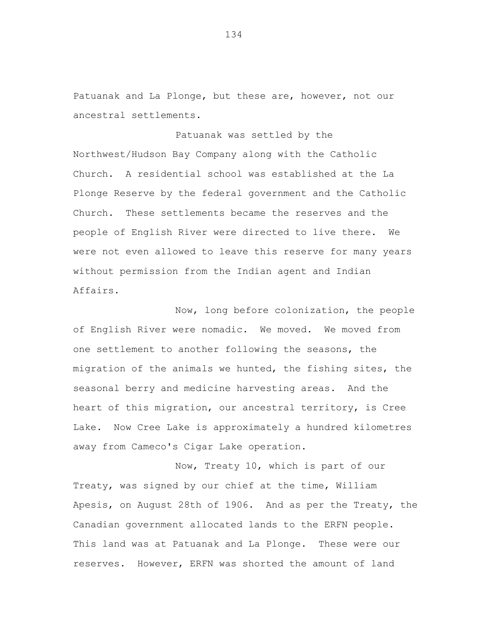Patuanak and La Plonge, but these are, however, not our ancestral settlements.

Patuanak was settled by the Northwest/Hudson Bay Company along with the Catholic Church. A residential school was established at the La Plonge Reserve by the federal government and the Catholic Church. These settlements became the reserves and the people of English River were directed to live there. We were not even allowed to leave this reserve for many years without permission from the Indian agent and Indian Affairs.

Now, long before colonization, the people of English River were nomadic. We moved. We moved from one settlement to another following the seasons, the migration of the animals we hunted, the fishing sites, the seasonal berry and medicine harvesting areas. And the heart of this migration, our ancestral territory, is Cree Lake. Now Cree Lake is approximately a hundred kilometres away from Cameco's Cigar Lake operation.

Now, Treaty 10, which is part of our Treaty, was signed by our chief at the time, William Apesis, on August 28th of 1906. And as per the Treaty, the Canadian government allocated lands to the ERFN people. This land was at Patuanak and La Plonge. These were our reserves. However, ERFN was shorted the amount of land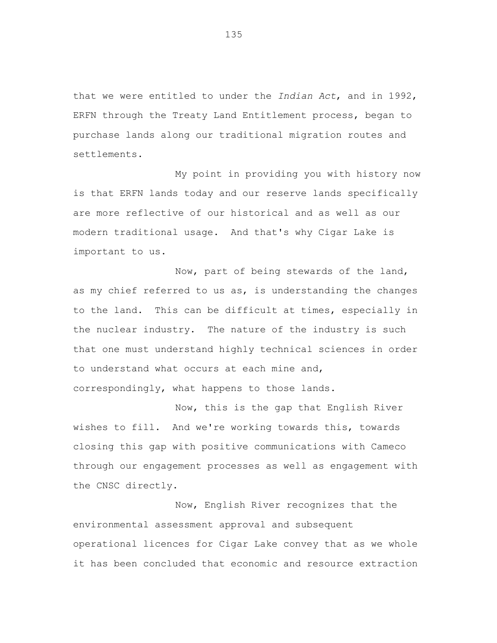that we were entitled to under the *Indian Act*, and in 1992, ERFN through the Treaty Land Entitlement process, began to purchase lands along our traditional migration routes and settlements.

My point in providing you with history now is that ERFN lands today and our reserve lands specifically are more reflective of our historical and as well as our modern traditional usage. And that's why Cigar Lake is important to us.

Now, part of being stewards of the land, as my chief referred to us as, is understanding the changes to the land. This can be difficult at times, especially in the nuclear industry. The nature of the industry is such that one must understand highly technical sciences in order to understand what occurs at each mine and, correspondingly, what happens to those lands.

Now, this is the gap that English River wishes to fill. And we're working towards this, towards closing this gap with positive communications with Cameco through our engagement processes as well as engagement with the CNSC directly.

Now, English River recognizes that the environmental assessment approval and subsequent operational licences for Cigar Lake convey that as we whole it has been concluded that economic and resource extraction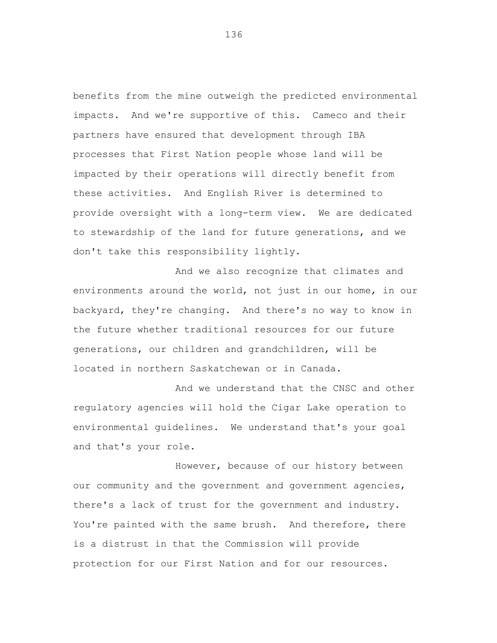benefits from the mine outweigh the predicted environmental impacts. And we're supportive of this. Cameco and their partners have ensured that development through IBA processes that First Nation people whose land will be impacted by their operations will directly benefit from these activities. And English River is determined to provide oversight with a long-term view. We are dedicated to stewardship of the land for future generations, and we don't take this responsibility lightly.

And we also recognize that climates and environments around the world, not just in our home, in our backyard, they're changing. And there's no way to know in the future whether traditional resources for our future generations, our children and grandchildren, will be located in northern Saskatchewan or in Canada.

And we understand that the CNSC and other regulatory agencies will hold the Cigar Lake operation to environmental guidelines. We understand that's your goal and that's your role.

However, because of our history between our community and the government and government agencies, there's a lack of trust for the government and industry. You're painted with the same brush. And therefore, there is a distrust in that the Commission will provide protection for our First Nation and for our resources.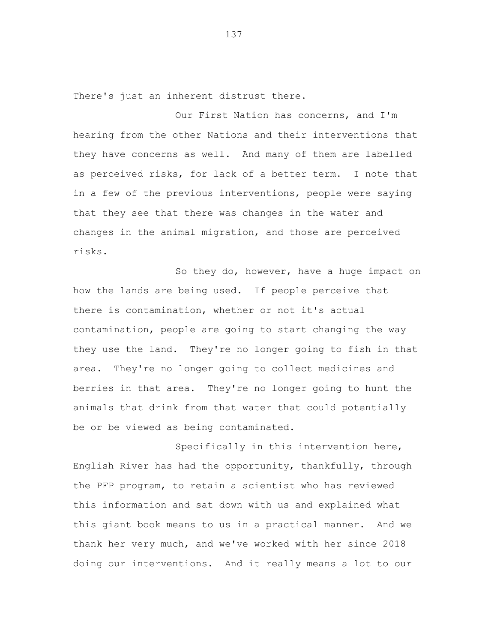There's just an inherent distrust there.

Our First Nation has concerns, and I'm hearing from the other Nations and their interventions that they have concerns as well. And many of them are labelled as perceived risks, for lack of a better term. I note that in a few of the previous interventions, people were saying that they see that there was changes in the water and changes in the animal migration, and those are perceived risks.

So they do, however, have a huge impact on how the lands are being used. If people perceive that there is contamination, whether or not it's actual contamination, people are going to start changing the way they use the land. They're no longer going to fish in that area. They're no longer going to collect medicines and berries in that area. They're no longer going to hunt the animals that drink from that water that could potentially be or be viewed as being contaminated.

Specifically in this intervention here, English River has had the opportunity, thankfully, through the PFP program, to retain a scientist who has reviewed this information and sat down with us and explained what this giant book means to us in a practical manner. And we thank her very much, and we've worked with her since 2018 doing our interventions. And it really means a lot to our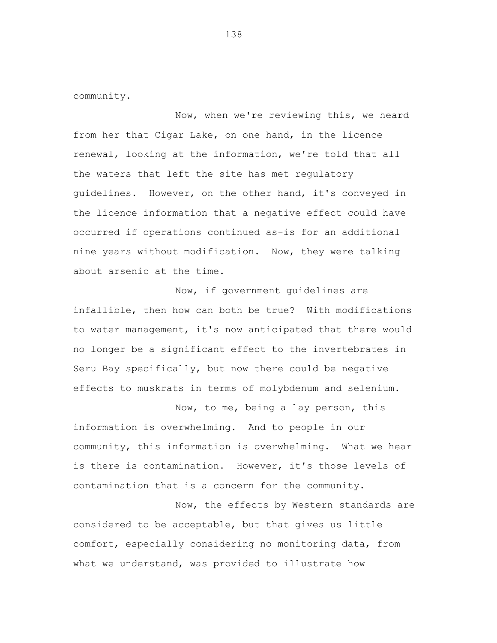community.

Now, when we're reviewing this, we heard from her that Cigar Lake, on one hand, in the licence renewal, looking at the information, we're told that all the waters that left the site has met regulatory guidelines. However, on the other hand, it's conveyed in the licence information that a negative effect could have occurred if operations continued as-is for an additional nine years without modification. Now, they were talking about arsenic at the time.

Now, if government guidelines are infallible, then how can both be true? With modifications to water management, it's now anticipated that there would no longer be a significant effect to the invertebrates in Seru Bay specifically, but now there could be negative effects to muskrats in terms of molybdenum and selenium.

Now, to me, being a lay person, this information is overwhelming. And to people in our community, this information is overwhelming. What we hear is there is contamination. However, it's those levels of contamination that is a concern for the community.

Now, the effects by Western standards are considered to be acceptable, but that gives us little comfort, especially considering no monitoring data, from what we understand, was provided to illustrate how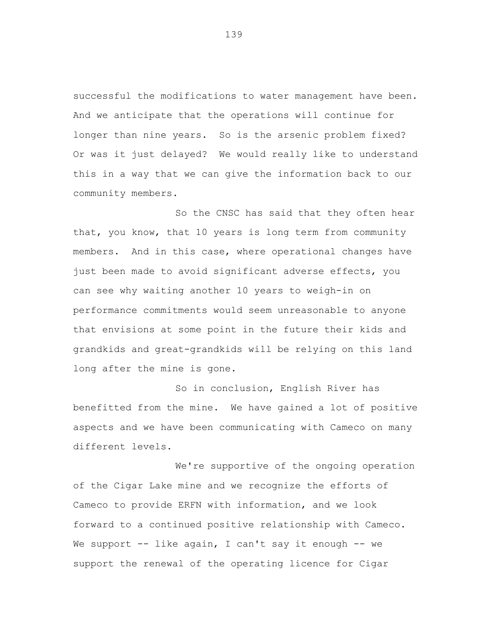successful the modifications to water management have been. And we anticipate that the operations will continue for longer than nine years. So is the arsenic problem fixed? Or was it just delayed? We would really like to understand this in a way that we can give the information back to our community members.

So the CNSC has said that they often hear that, you know, that 10 years is long term from community members. And in this case, where operational changes have just been made to avoid significant adverse effects, you can see why waiting another 10 years to weigh-in on performance commitments would seem unreasonable to anyone that envisions at some point in the future their kids and grandkids and great-grandkids will be relying on this land long after the mine is gone.

So in conclusion, English River has benefitted from the mine. We have gained a lot of positive aspects and we have been communicating with Cameco on many different levels.

We're supportive of the ongoing operation of the Cigar Lake mine and we recognize the efforts of Cameco to provide ERFN with information, and we look forward to a continued positive relationship with Cameco. We support -- like again, I can't say it enough -- we support the renewal of the operating licence for Cigar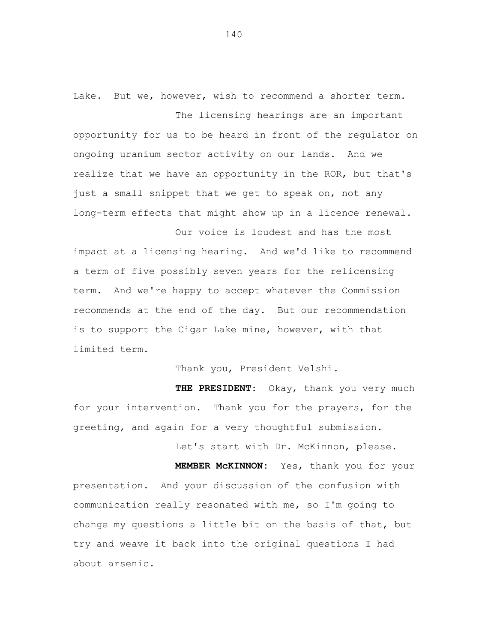Lake. But we, however, wish to recommend a shorter term.

The licensing hearings are an important opportunity for us to be heard in front of the regulator on ongoing uranium sector activity on our lands. And we realize that we have an opportunity in the ROR, but that's just a small snippet that we get to speak on, not any long-term effects that might show up in a licence renewal.

Our voice is loudest and has the most impact at a licensing hearing. And we'd like to recommend a term of five possibly seven years for the relicensing term. And we're happy to accept whatever the Commission recommends at the end of the day. But our recommendation is to support the Cigar Lake mine, however, with that limited term.

Thank you, President Velshi.

**THE PRESIDENT:** Okay, thank you very much for your intervention. Thank you for the prayers, for the greeting, and again for a very thoughtful submission.

Let's start with Dr. McKinnon, please.

**MEMBER McKINNON:** Yes, thank you for your presentation. And your discussion of the confusion with communication really resonated with me, so I'm going to change my questions a little bit on the basis of that, but try and weave it back into the original questions I had about arsenic.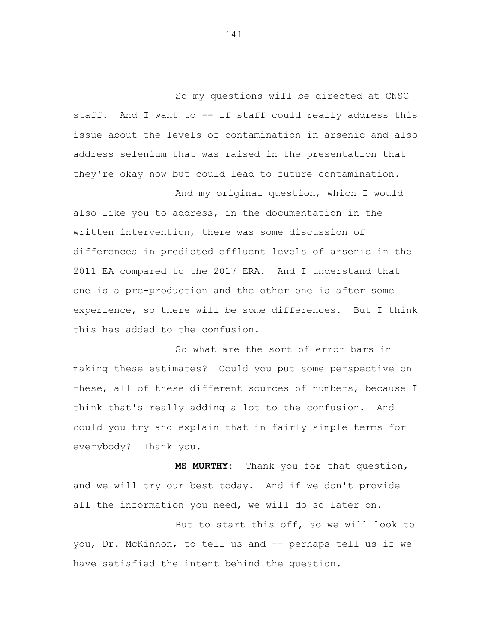So my questions will be directed at CNSC staff. And I want to -- if staff could really address this issue about the levels of contamination in arsenic and also address selenium that was raised in the presentation that they're okay now but could lead to future contamination.

And my original question, which I would also like you to address, in the documentation in the written intervention, there was some discussion of differences in predicted effluent levels of arsenic in the 2011 EA compared to the 2017 ERA. And I understand that one is a pre-production and the other one is after some experience, so there will be some differences. But I think this has added to the confusion.

So what are the sort of error bars in making these estimates? Could you put some perspective on these, all of these different sources of numbers, because I think that's really adding a lot to the confusion. And could you try and explain that in fairly simple terms for everybody? Thank you.

**MS MURTHY:** Thank you for that question, and we will try our best today. And if we don't provide all the information you need, we will do so later on.

But to start this off, so we will look to you, Dr. McKinnon, to tell us and -- perhaps tell us if we have satisfied the intent behind the question.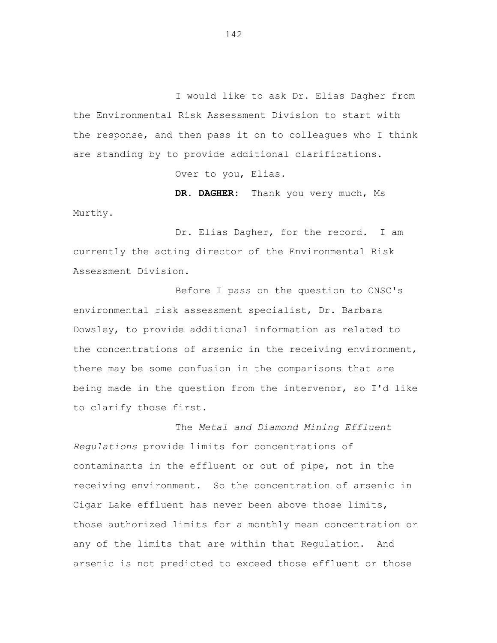I would like to ask Dr. Elias Dagher from the Environmental Risk Assessment Division to start with the response, and then pass it on to colleagues who I think are standing by to provide additional clarifications.

Over to you, Elias.

**DR. DAGHER:** Thank you very much, Ms Murthy.

Dr. Elias Dagher, for the record. I am currently the acting director of the Environmental Risk Assessment Division.

Before I pass on the question to CNSC's environmental risk assessment specialist, Dr. Barbara Dowsley, to provide additional information as related to the concentrations of arsenic in the receiving environment, there may be some confusion in the comparisons that are being made in the question from the intervenor, so I'd like to clarify those first.

The *Metal and Diamond Mining Effluent Regulations* provide limits for concentrations of contaminants in the effluent or out of pipe, not in the receiving environment. So the concentration of arsenic in Cigar Lake effluent has never been above those limits, those authorized limits for a monthly mean concentration or any of the limits that are within that Regulation. And arsenic is not predicted to exceed those effluent or those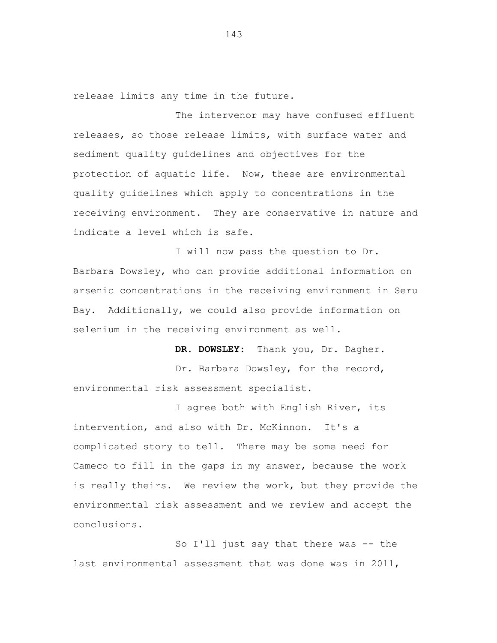release limits any time in the future.

The intervenor may have confused effluent releases, so those release limits, with surface water and sediment quality guidelines and objectives for the protection of aquatic life. Now, these are environmental quality guidelines which apply to concentrations in the receiving environment. They are conservative in nature and indicate a level which is safe.

I will now pass the question to Dr. Barbara Dowsley, who can provide additional information on arsenic concentrations in the receiving environment in Seru Bay. Additionally, we could also provide information on selenium in the receiving environment as well.

**DR. DOWSLEY:** Thank you, Dr. Dagher. Dr. Barbara Dowsley, for the record, environmental risk assessment specialist.

I agree both with English River, its intervention, and also with Dr. McKinnon. It's a complicated story to tell. There may be some need for Cameco to fill in the gaps in my answer, because the work is really theirs. We review the work, but they provide the environmental risk assessment and we review and accept the conclusions.

So I'll just say that there was -- the last environmental assessment that was done was in 2011,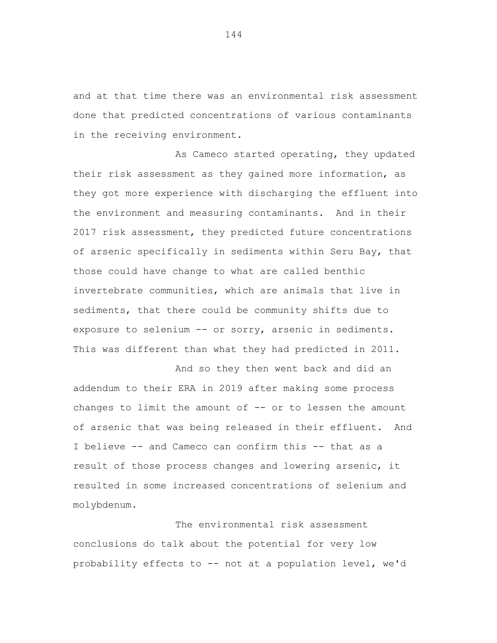and at that time there was an environmental risk assessment done that predicted concentrations of various contaminants in the receiving environment.

As Cameco started operating, they updated their risk assessment as they gained more information, as they got more experience with discharging the effluent into the environment and measuring contaminants. And in their 2017 risk assessment, they predicted future concentrations of arsenic specifically in sediments within Seru Bay, that those could have change to what are called benthic invertebrate communities, which are animals that live in sediments, that there could be community shifts due to exposure to selenium -- or sorry, arsenic in sediments. This was different than what they had predicted in 2011.

And so they then went back and did an addendum to their ERA in 2019 after making some process changes to limit the amount of  $-$ - or to lessen the amount of arsenic that was being released in their effluent. And I believe -- and Cameco can confirm this -- that as a result of those process changes and lowering arsenic, it resulted in some increased concentrations of selenium and molybdenum.

The environmental risk assessment conclusions do talk about the potential for very low probability effects to -- not at a population level, we'd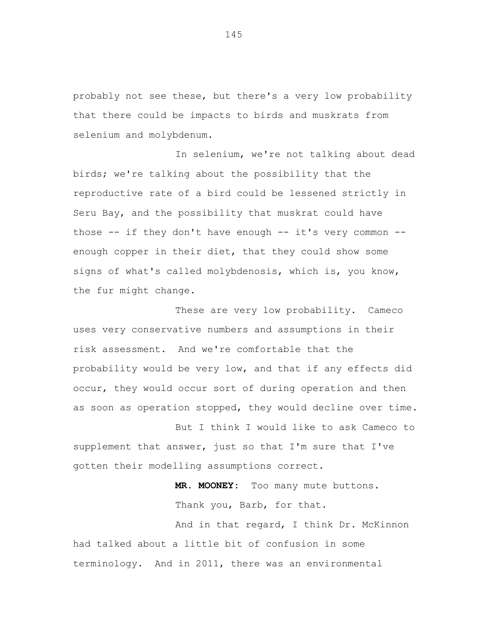probably not see these, but there's a very low probability that there could be impacts to birds and muskrats from selenium and molybdenum.

In selenium, we're not talking about dead birds; we're talking about the possibility that the reproductive rate of a bird could be lessened strictly in Seru Bay, and the possibility that muskrat could have those  $-$ - if they don't have enough  $-$ - it's very common  $-$ enough copper in their diet, that they could show some signs of what's called molybdenosis, which is, you know, the fur might change.

These are very low probability. Cameco uses very conservative numbers and assumptions in their risk assessment. And we're comfortable that the probability would be very low, and that if any effects did occur, they would occur sort of during operation and then as soon as operation stopped, they would decline over time.

But I think I would like to ask Cameco to supplement that answer, just so that I'm sure that I've gotten their modelling assumptions correct.

> **MR. MOONEY:** Too many mute buttons. Thank you, Barb, for that.

And in that regard, I think Dr. McKinnon had talked about a little bit of confusion in some terminology. And in 2011, there was an environmental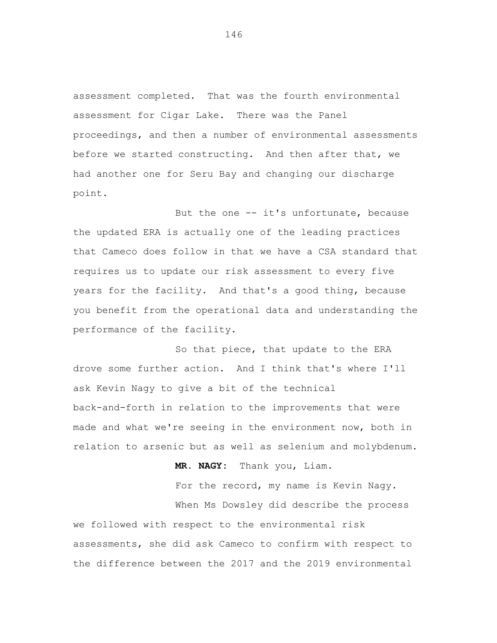assessment completed. That was the fourth environmental assessment for Cigar Lake. There was the Panel proceedings, and then a number of environmental assessments before we started constructing. And then after that, we had another one for Seru Bay and changing our discharge point.

But the one -- it's unfortunate, because the updated ERA is actually one of the leading practices that Cameco does follow in that we have a CSA standard that requires us to update our risk assessment to every five years for the facility. And that's a good thing, because you benefit from the operational data and understanding the performance of the facility.

So that piece, that update to the ERA drove some further action. And I think that's where I'll ask Kevin Nagy to give a bit of the technical back-and-forth in relation to the improvements that were made and what we're seeing in the environment now, both in relation to arsenic but as well as selenium and molybdenum.

**MR. NAGY:** Thank you, Liam.

For the record, my name is Kevin Nagy. When Ms Dowsley did describe the process

we followed with respect to the environmental risk assessments, she did ask Cameco to confirm with respect to the difference between the 2017 and the 2019 environmental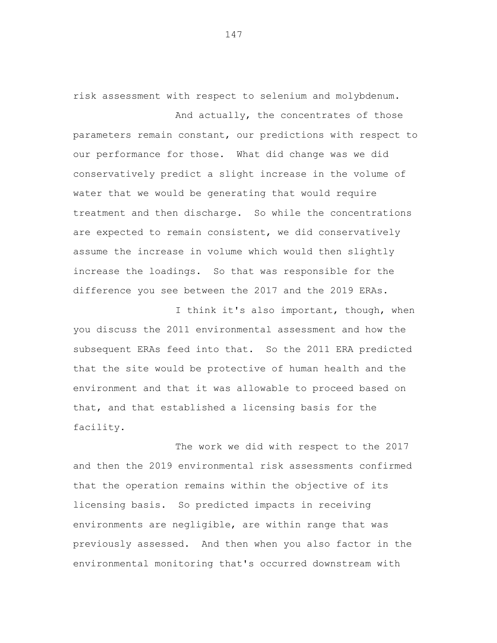risk assessment with respect to selenium and molybdenum.

And actually, the concentrates of those parameters remain constant, our predictions with respect to our performance for those. What did change was we did conservatively predict a slight increase in the volume of water that we would be generating that would require treatment and then discharge. So while the concentrations are expected to remain consistent, we did conservatively assume the increase in volume which would then slightly increase the loadings. So that was responsible for the difference you see between the 2017 and the 2019 ERAs.

I think it's also important, though, when you discuss the 2011 environmental assessment and how the subsequent ERAs feed into that. So the 2011 ERA predicted that the site would be protective of human health and the environment and that it was allowable to proceed based on that, and that established a licensing basis for the facility.

The work we did with respect to the 2017 and then the 2019 environmental risk assessments confirmed that the operation remains within the objective of its licensing basis. So predicted impacts in receiving environments are negligible, are within range that was previously assessed. And then when you also factor in the environmental monitoring that's occurred downstream with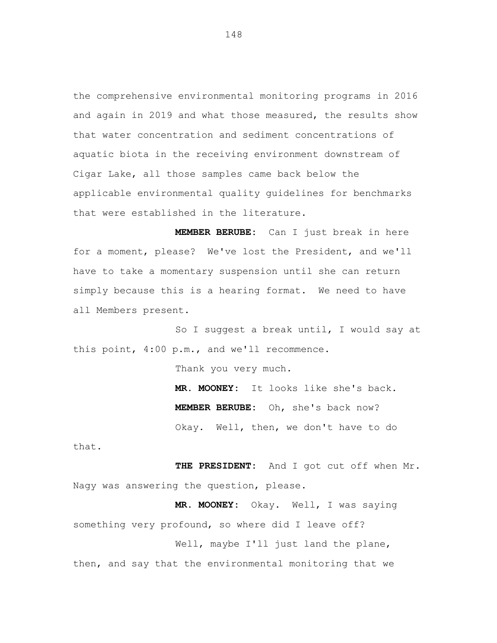the comprehensive environmental monitoring programs in 2016 and again in 2019 and what those measured, the results show that water concentration and sediment concentrations of aquatic biota in the receiving environment downstream of Cigar Lake, all those samples came back below the applicable environmental quality guidelines for benchmarks that were established in the literature.

**MEMBER BERUBE:** Can I just break in here for a moment, please? We've lost the President, and we'll have to take a momentary suspension until she can return simply because this is a hearing format. We need to have all Members present.

So I suggest a break until, I would say at this point, 4:00 p.m., and we'll recommence.

Thank you very much.

**MR. MOONEY:** It looks like she's back. **MEMBER BERUBE:** Oh, she's back now? Okay. Well, then, we don't have to do

that.

**THE PRESIDENT:** And I got cut off when Mr. Nagy was answering the question, please.

**MR. MOONEY:** Okay. Well, I was saying something very profound, so where did I leave off?

Well, maybe I'll just land the plane, then, and say that the environmental monitoring that we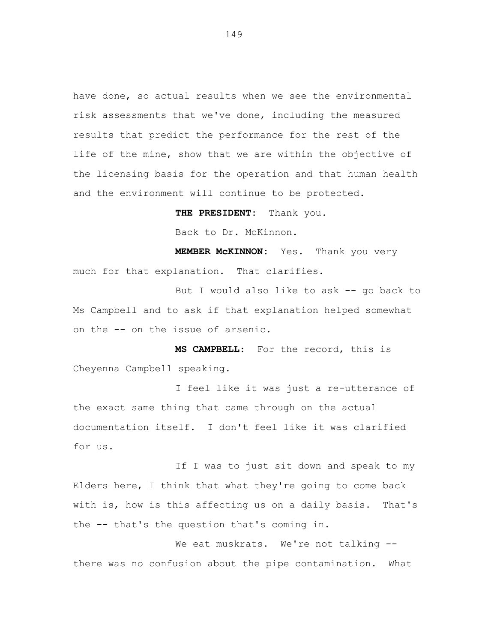have done, so actual results when we see the environmental risk assessments that we've done, including the measured results that predict the performance for the rest of the life of the mine, show that we are within the objective of the licensing basis for the operation and that human health and the environment will continue to be protected.

**THE PRESIDENT:** Thank you.

Back to Dr. McKinnon.

**MEMBER McKINNON:** Yes. Thank you very much for that explanation. That clarifies.

But I would also like to ask -- go back to Ms Campbell and to ask if that explanation helped somewhat on the -- on the issue of arsenic.

**MS CAMPBELL**: For the record, this is Cheyenna Campbell speaking.

I feel like it was just a re-utterance of the exact same thing that came through on the actual documentation itself. I don't feel like it was clarified for us.

If I was to just sit down and speak to my Elders here, I think that what they're going to come back with is, how is this affecting us on a daily basis. That's the -- that's the question that's coming in.

We eat muskrats. We're not talking -there was no confusion about the pipe contamination. What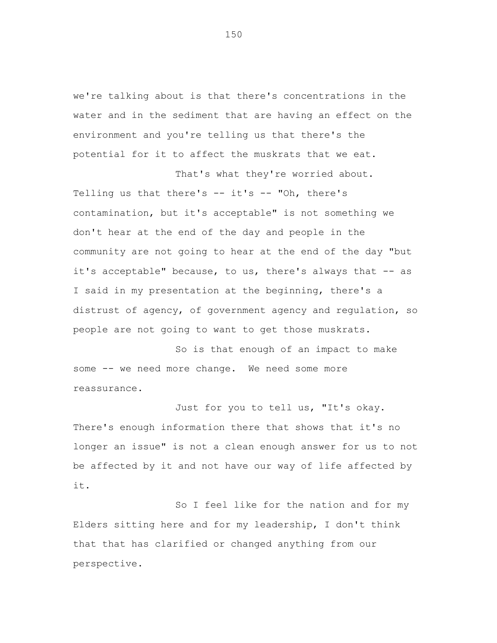we're talking about is that there's concentrations in the water and in the sediment that are having an effect on the environment and you're telling us that there's the potential for it to affect the muskrats that we eat. That's what they're worried about.

Telling us that there's -- it's -- "Oh, there's contamination, but it's acceptable" is not something we don't hear at the end of the day and people in the community are not going to hear at the end of the day "but it's acceptable" because, to us, there's always that -- as I said in my presentation at the beginning, there's a distrust of agency, of government agency and regulation, so people are not going to want to get those muskrats.

So is that enough of an impact to make some -- we need more change. We need some more reassurance.

Just for you to tell us, "It's okay. There's enough information there that shows that it's no longer an issue" is not a clean enough answer for us to not be affected by it and not have our way of life affected by it.

So I feel like for the nation and for my Elders sitting here and for my leadership, I don't think that that has clarified or changed anything from our perspective.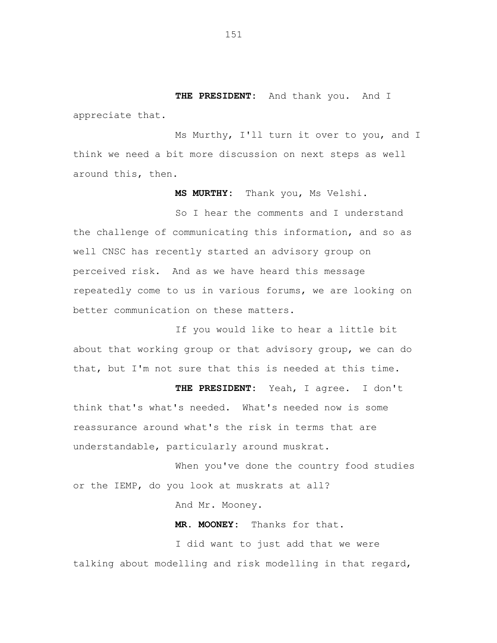**THE PRESIDENT:** And thank you. And I appreciate that.

Ms Murthy, I'll turn it over to you, and I think we need a bit more discussion on next steps as well around this, then.

**MS MURTHY:** Thank you, Ms Velshi.

So I hear the comments and I understand the challenge of communicating this information, and so as well CNSC has recently started an advisory group on perceived risk. And as we have heard this message repeatedly come to us in various forums, we are looking on better communication on these matters.

If you would like to hear a little bit about that working group or that advisory group, we can do that, but I'm not sure that this is needed at this time.

**THE PRESIDENT:** Yeah, I agree. I don't think that's what's needed. What's needed now is some reassurance around what's the risk in terms that are understandable, particularly around muskrat.

When you've done the country food studies or the IEMP, do you look at muskrats at all?

And Mr. Mooney.

**MR. MOONEY:** Thanks for that.

I did want to just add that we were talking about modelling and risk modelling in that regard,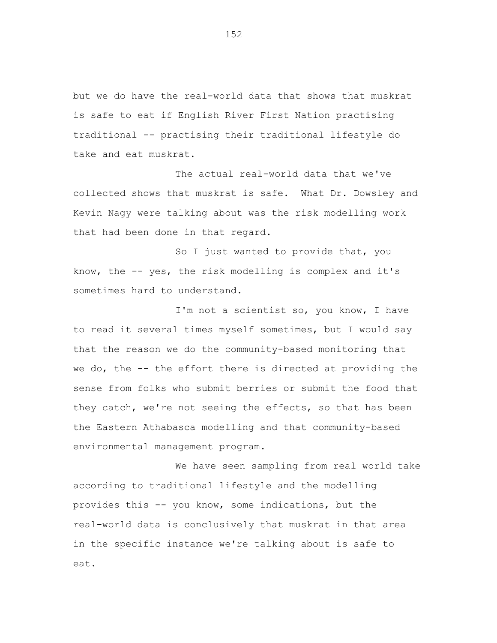but we do have the real-world data that shows that muskrat is safe to eat if English River First Nation practising traditional -- practising their traditional lifestyle do take and eat muskrat.

The actual real-world data that we've collected shows that muskrat is safe. What Dr. Dowsley and Kevin Nagy were talking about was the risk modelling work that had been done in that regard.

So I just wanted to provide that, you know, the -- yes, the risk modelling is complex and it's sometimes hard to understand.

I'm not a scientist so, you know, I have to read it several times myself sometimes, but I would say that the reason we do the community-based monitoring that we do, the -- the effort there is directed at providing the sense from folks who submit berries or submit the food that they catch, we're not seeing the effects, so that has been the Eastern Athabasca modelling and that community-based environmental management program.

We have seen sampling from real world take according to traditional lifestyle and the modelling provides this -- you know, some indications, but the real-world data is conclusively that muskrat in that area in the specific instance we're talking about is safe to eat.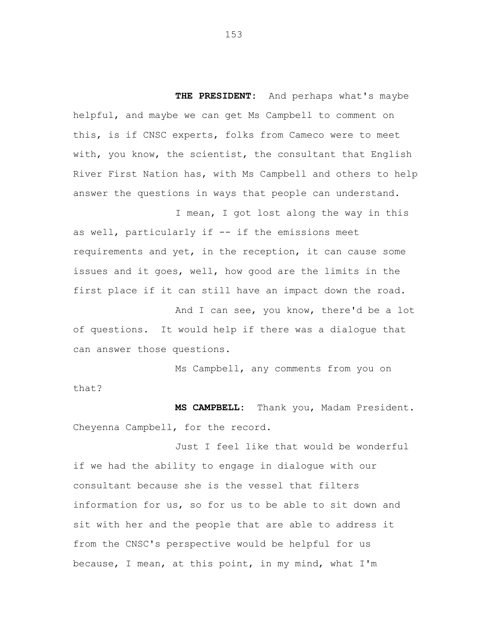**THE PRESIDENT:** And perhaps what's maybe helpful, and maybe we can get Ms Campbell to comment on this, is if CNSC experts, folks from Cameco were to meet with, you know, the scientist, the consultant that English River First Nation has, with Ms Campbell and others to help answer the questions in ways that people can understand.

I mean, I got lost along the way in this as well, particularly if -- if the emissions meet requirements and yet, in the reception, it can cause some issues and it goes, well, how good are the limits in the first place if it can still have an impact down the road.

And I can see, you know, there'd be a lot of questions. It would help if there was a dialogue that can answer those questions.

Ms Campbell, any comments from you on that?

**MS CAMPBELL:** Thank you, Madam President. Cheyenna Campbell, for the record.

Just I feel like that would be wonderful if we had the ability to engage in dialogue with our consultant because she is the vessel that filters information for us, so for us to be able to sit down and sit with her and the people that are able to address it from the CNSC's perspective would be helpful for us because, I mean, at this point, in my mind, what I'm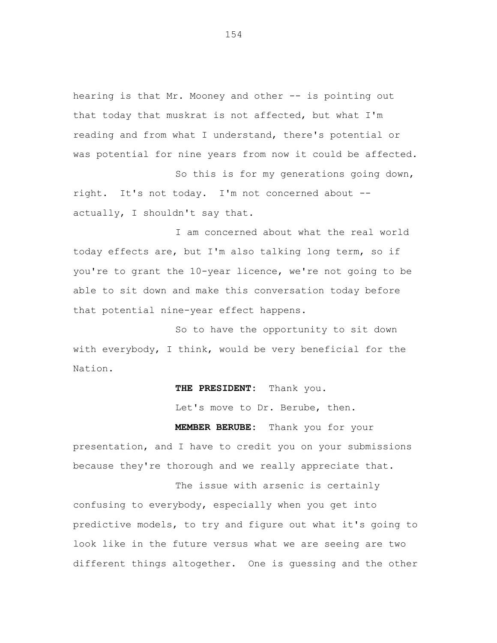hearing is that Mr. Mooney and other -- is pointing out that today that muskrat is not affected, but what I'm reading and from what I understand, there's potential or was potential for nine years from now it could be affected.

So this is for my generations going down, right. It's not today. I'm not concerned about - actually, I shouldn't say that.

I am concerned about what the real world today effects are, but I'm also talking long term, so if you're to grant the 10-year licence, we're not going to be able to sit down and make this conversation today before that potential nine-year effect happens.

So to have the opportunity to sit down with everybody, I think, would be very beneficial for the Nation.

**THE PRESIDENT:** Thank you.

Let's move to Dr. Berube, then.

**MEMBER BERUBE:** Thank you for your

presentation, and I have to credit you on your submissions because they're thorough and we really appreciate that.

The issue with arsenic is certainly confusing to everybody, especially when you get into predictive models, to try and figure out what it's going to look like in the future versus what we are seeing are two different things altogether. One is guessing and the other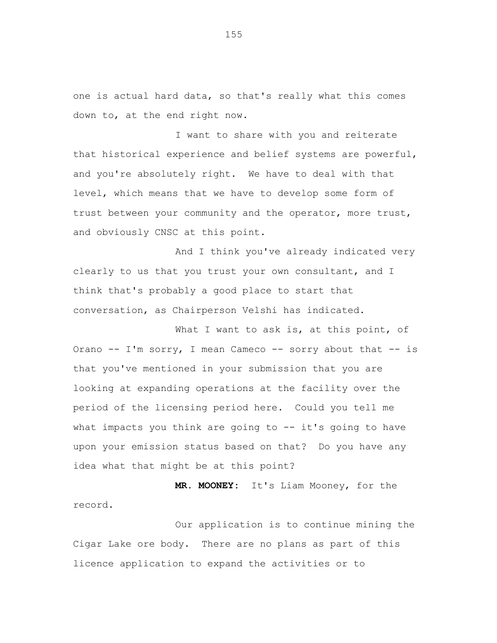one is actual hard data, so that's really what this comes down to, at the end right now.

I want to share with you and reiterate that historical experience and belief systems are powerful, and you're absolutely right. We have to deal with that level, which means that we have to develop some form of trust between your community and the operator, more trust, and obviously CNSC at this point.

And I think you've already indicated very clearly to us that you trust your own consultant, and I think that's probably a good place to start that conversation, as Chairperson Velshi has indicated.

What I want to ask is, at this point, of Orano  $-- I'm$  sorry, I mean Cameco  $--$  sorry about that  $--$  is that you've mentioned in your submission that you are looking at expanding operations at the facility over the period of the licensing period here. Could you tell me what impacts you think are going to -- it's going to have upon your emission status based on that? Do you have any idea what that might be at this point?

**MR. MOONEY:** It's Liam Mooney, for the record.

Our application is to continue mining the Cigar Lake ore body. There are no plans as part of this licence application to expand the activities or to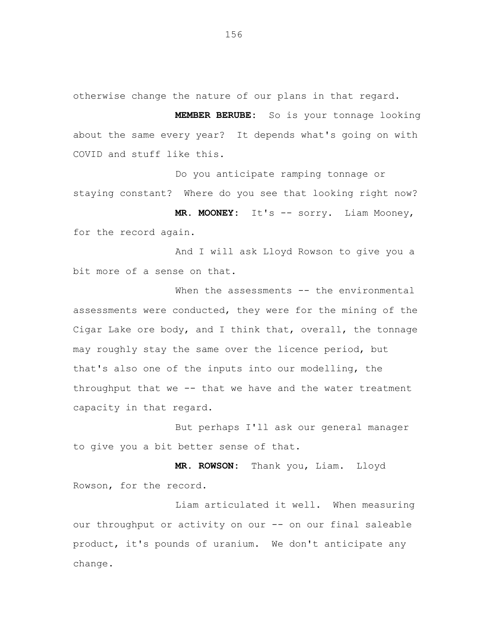otherwise change the nature of our plans in that regard.

**MEMBER BERUBE:** So is your tonnage looking about the same every year? It depends what's going on with COVID and stuff like this.

Do you anticipate ramping tonnage or staying constant? Where do you see that looking right now?

**MR. MOONEY:** It's -- sorry. Liam Mooney, for the record again.

And I will ask Lloyd Rowson to give you a bit more of a sense on that.

When the assessments -- the environmental assessments were conducted, they were for the mining of the Cigar Lake ore body, and I think that, overall, the tonnage may roughly stay the same over the licence period, but that's also one of the inputs into our modelling, the throughput that we -- that we have and the water treatment capacity in that regard.

But perhaps I'll ask our general manager to give you a bit better sense of that.

**MR. ROWSON:** Thank you, Liam. Lloyd Rowson, for the record.

Liam articulated it well. When measuring our throughput or activity on our -- on our final saleable product, it's pounds of uranium. We don't anticipate any change.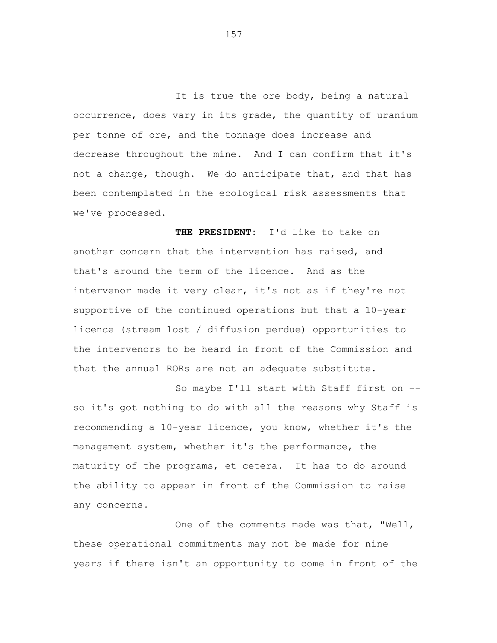It is true the ore body, being a natural occurrence, does vary in its grade, the quantity of uranium per tonne of ore, and the tonnage does increase and decrease throughout the mine. And I can confirm that it's not a change, though. We do anticipate that, and that has been contemplated in the ecological risk assessments that we've processed.

**THE PRESIDENT:** I'd like to take on another concern that the intervention has raised, and that's around the term of the licence. And as the intervenor made it very clear, it's not as if they're not supportive of the continued operations but that a 10-year licence (stream lost / diffusion perdue) opportunities to the intervenors to be heard in front of the Commission and that the annual RORs are not an adequate substitute.

So maybe I'll start with Staff first on - so it's got nothing to do with all the reasons why Staff is recommending a 10-year licence, you know, whether it's the management system, whether it's the performance, the maturity of the programs, et cetera. It has to do around the ability to appear in front of the Commission to raise any concerns.

One of the comments made was that, "Well, these operational commitments may not be made for nine years if there isn't an opportunity to come in front of the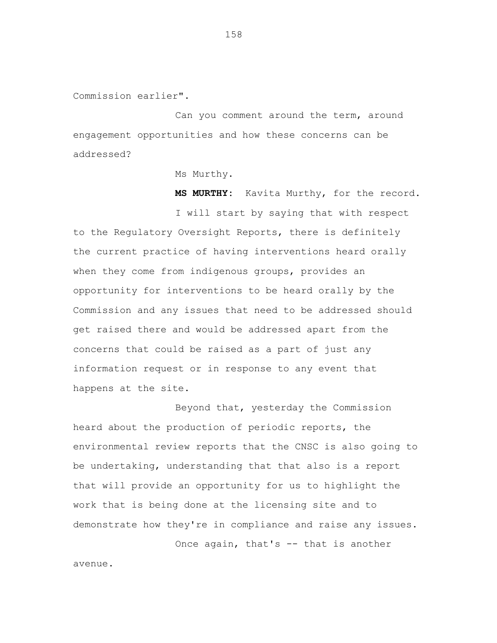Commission earlier".

Can you comment around the term, around engagement opportunities and how these concerns can be addressed?

Ms Murthy.

**MS MURTHY:** Kavita Murthy, for the record.

I will start by saying that with respect to the Regulatory Oversight Reports, there is definitely the current practice of having interventions heard orally when they come from indigenous groups, provides an opportunity for interventions to be heard orally by the Commission and any issues that need to be addressed should get raised there and would be addressed apart from the concerns that could be raised as a part of just any information request or in response to any event that happens at the site.

Beyond that, yesterday the Commission heard about the production of periodic reports, the environmental review reports that the CNSC is also going to be undertaking, understanding that that also is a report that will provide an opportunity for us to highlight the work that is being done at the licensing site and to demonstrate how they're in compliance and raise any issues.

Once again, that's -- that is another avenue.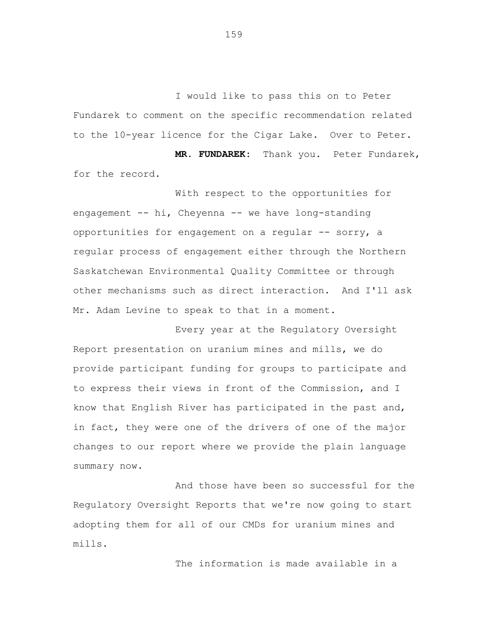I would like to pass this on to Peter Fundarek to comment on the specific recommendation related to the 10-year licence for the Cigar Lake. Over to Peter.

**MR. FUNDAREK:** Thank you. Peter Fundarek, for the record.

With respect to the opportunities for engagement -- hi, Cheyenna -- we have long-standing opportunities for engagement on a regular -- sorry, a regular process of engagement either through the Northern Saskatchewan Environmental Quality Committee or through other mechanisms such as direct interaction. And I'll ask Mr. Adam Levine to speak to that in a moment.

Every year at the Regulatory Oversight Report presentation on uranium mines and mills, we do provide participant funding for groups to participate and to express their views in front of the Commission, and I know that English River has participated in the past and, in fact, they were one of the drivers of one of the major changes to our report where we provide the plain language summary now.

And those have been so successful for the Regulatory Oversight Reports that we're now going to start adopting them for all of our CMDs for uranium mines and mills.

The information is made available in a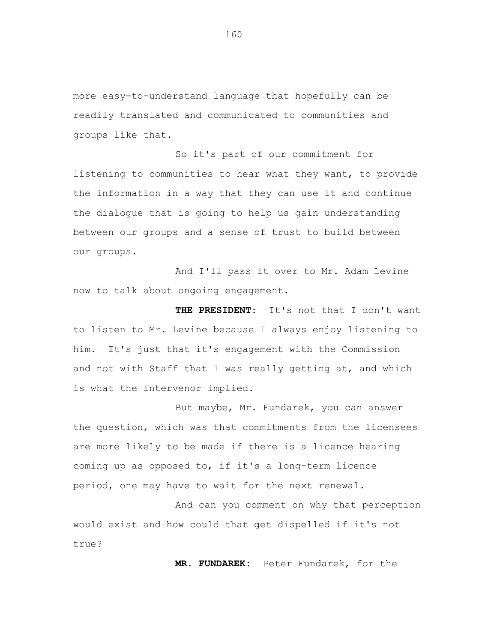more easy-to-understand language that hopefully can be readily translated and communicated to communities and groups like that.

So it's part of our commitment for listening to communities to hear what they want, to provide the information in a way that they can use it and continue the dialogue that is going to help us gain understanding between our groups and a sense of trust to build between our groups.

And I'll pass it over to Mr. Adam Levine now to talk about ongoing engagement.

**THE PRESIDENT:** It's not that I don't want to listen to Mr. Levine because I always enjoy listening to him. It's just that it's engagement with the Commission and not with Staff that I was really getting at, and which is what the intervenor implied.

But maybe, Mr. Fundarek, you can answer the question, which was that commitments from the licensees are more likely to be made if there is a licence hearing coming up as opposed to, if it's a long-term licence period, one may have to wait for the next renewal.

And can you comment on why that perception would exist and how could that get dispelled if it's not true?

**MR. FUNDAREK:** Peter Fundarek, for the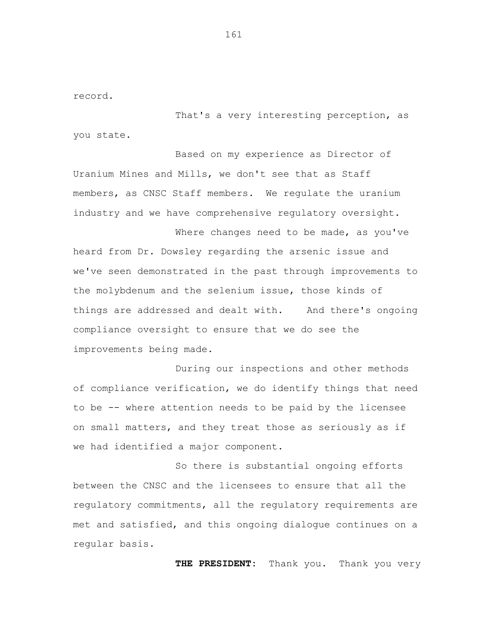record.

That's a very interesting perception, as you state.

Based on my experience as Director of Uranium Mines and Mills, we don't see that as Staff members, as CNSC Staff members. We regulate the uranium industry and we have comprehensive regulatory oversight.

Where changes need to be made, as you've heard from Dr. Dowsley regarding the arsenic issue and we've seen demonstrated in the past through improvements to the molybdenum and the selenium issue, those kinds of things are addressed and dealt with. And there's ongoing compliance oversight to ensure that we do see the improvements being made.

During our inspections and other methods of compliance verification, we do identify things that need to be -- where attention needs to be paid by the licensee on small matters, and they treat those as seriously as if we had identified a major component.

So there is substantial ongoing efforts between the CNSC and the licensees to ensure that all the regulatory commitments, all the regulatory requirements are met and satisfied, and this ongoing dialogue continues on a regular basis.

**THE PRESIDENT:** Thank you. Thank you very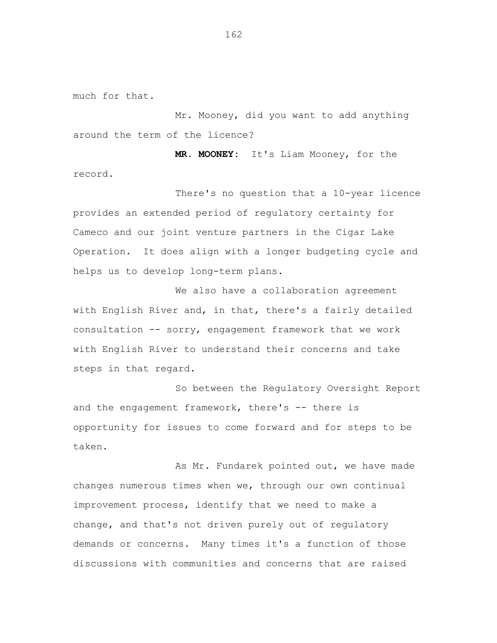much for that.

Mr. Mooney, did you want to add anything around the term of the licence?

**MR. MOONEY:** It's Liam Mooney, for the record.

There's no question that a 10-year licence provides an extended period of regulatory certainty for Cameco and our joint venture partners in the Cigar Lake Operation. It does align with a longer budgeting cycle and helps us to develop long-term plans.

We also have a collaboration agreement with English River and, in that, there's a fairly detailed consultation -- sorry, engagement framework that we work with English River to understand their concerns and take steps in that regard.

So between the Regulatory Oversight Report and the engagement framework, there's -- there is opportunity for issues to come forward and for steps to be taken.

As Mr. Fundarek pointed out, we have made changes numerous times when we, through our own continual improvement process, identify that we need to make a change, and that's not driven purely out of regulatory demands or concerns. Many times it's a function of those discussions with communities and concerns that are raised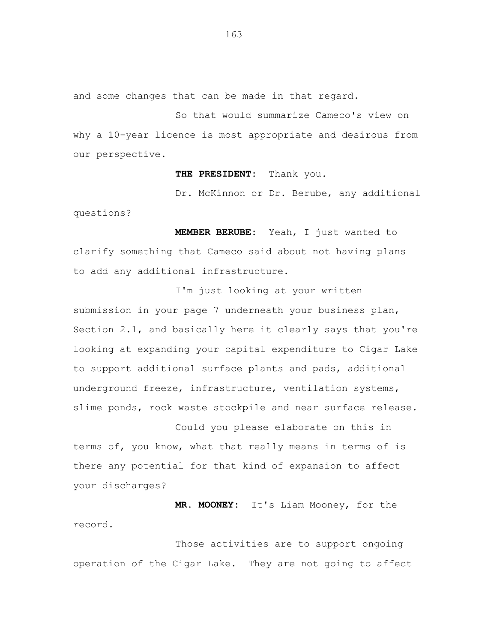and some changes that can be made in that regard.

So that would summarize Cameco's view on why a 10-year licence is most appropriate and desirous from our perspective.

**THE PRESIDENT:** Thank you.

Dr. McKinnon or Dr. Berube, any additional questions?

**MEMBER BERUBE:** Yeah, I just wanted to clarify something that Cameco said about not having plans to add any additional infrastructure.

I'm just looking at your written submission in your page 7 underneath your business plan, Section 2.1, and basically here it clearly says that you're looking at expanding your capital expenditure to Cigar Lake to support additional surface plants and pads, additional underground freeze, infrastructure, ventilation systems, slime ponds, rock waste stockpile and near surface release.

Could you please elaborate on this in terms of, you know, what that really means in terms of is there any potential for that kind of expansion to affect your discharges?

**MR. MOONEY:** It's Liam Mooney, for the record.

Those activities are to support ongoing operation of the Cigar Lake. They are not going to affect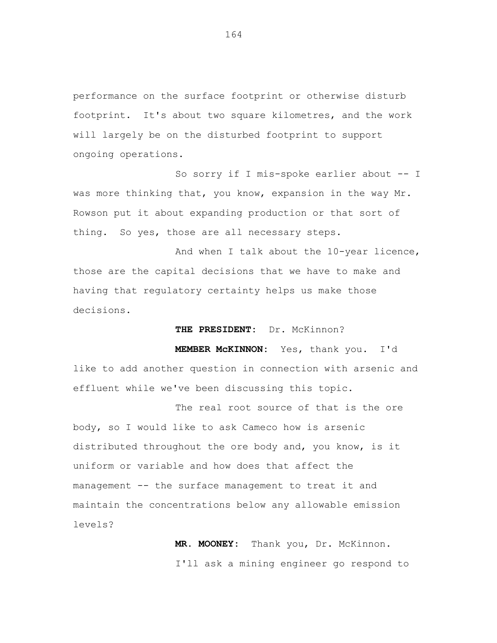performance on the surface footprint or otherwise disturb footprint. It's about two square kilometres, and the work will largely be on the disturbed footprint to support ongoing operations.

So sorry if I mis-spoke earlier about -- I was more thinking that, you know, expansion in the way Mr. Rowson put it about expanding production or that sort of thing. So yes, those are all necessary steps.

And when I talk about the 10-year licence, those are the capital decisions that we have to make and having that regulatory certainty helps us make those decisions.

## **THE PRESIDENT:** Dr. McKinnon?

**MEMBER McKINNON:** Yes, thank you. I'd like to add another question in connection with arsenic and effluent while we've been discussing this topic.

The real root source of that is the ore body, so I would like to ask Cameco how is arsenic distributed throughout the ore body and, you know, is it uniform or variable and how does that affect the management -- the surface management to treat it and maintain the concentrations below any allowable emission levels?

> **MR. MOONEY:** Thank you, Dr. McKinnon. I'll ask a mining engineer go respond to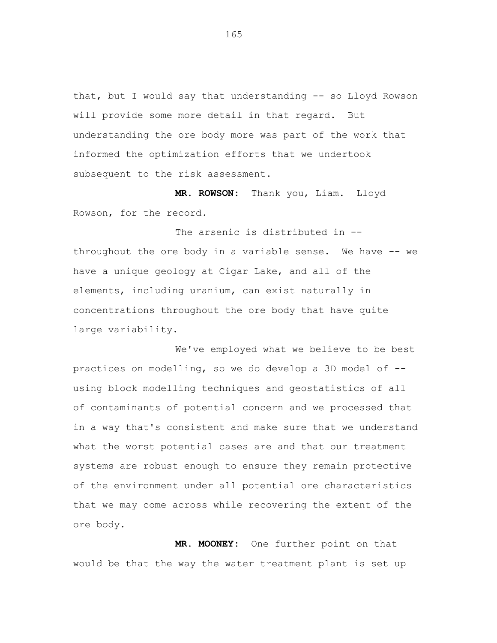that, but I would say that understanding -- so Lloyd Rowson will provide some more detail in that regard. But understanding the ore body more was part of the work that informed the optimization efforts that we undertook subsequent to the risk assessment.

**MR. ROWSON:** Thank you, Liam. Lloyd Rowson, for the record.

The arsenic is distributed in - throughout the ore body in a variable sense. We have -- we have a unique geology at Cigar Lake, and all of the elements, including uranium, can exist naturally in concentrations throughout the ore body that have quite large variability.

We've employed what we believe to be best practices on modelling, so we do develop a 3D model of - using block modelling techniques and geostatistics of all of contaminants of potential concern and we processed that in a way that's consistent and make sure that we understand what the worst potential cases are and that our treatment systems are robust enough to ensure they remain protective of the environment under all potential ore characteristics that we may come across while recovering the extent of the ore body.

**MR. MOONEY:** One further point on that would be that the way the water treatment plant is set up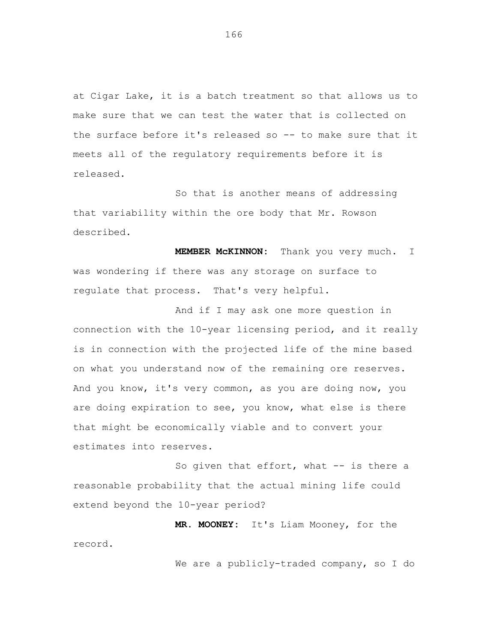at Cigar Lake, it is a batch treatment so that allows us to make sure that we can test the water that is collected on the surface before it's released so -- to make sure that it meets all of the regulatory requirements before it is released.

So that is another means of addressing that variability within the ore body that Mr. Rowson described.

**MEMBER McKINNON:** Thank you very much. I was wondering if there was any storage on surface to regulate that process. That's very helpful.

And if I may ask one more question in connection with the 10-year licensing period, and it really is in connection with the projected life of the mine based on what you understand now of the remaining ore reserves. And you know, it's very common, as you are doing now, you are doing expiration to see, you know, what else is there that might be economically viable and to convert your estimates into reserves.

So given that effort, what -- is there a reasonable probability that the actual mining life could extend beyond the 10-year period?

**MR. MOONEY:** It's Liam Mooney, for the record.

We are a publicly-traded company, so I do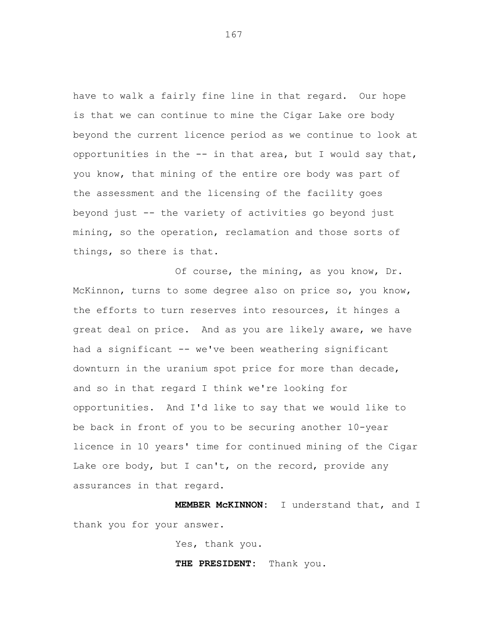have to walk a fairly fine line in that regard. Our hope is that we can continue to mine the Cigar Lake ore body beyond the current licence period as we continue to look at opportunities in the  $--$  in that area, but I would say that, you know, that mining of the entire ore body was part of the assessment and the licensing of the facility goes beyond just -- the variety of activities go beyond just mining, so the operation, reclamation and those sorts of things, so there is that.

Of course, the mining, as you know, Dr. McKinnon, turns to some degree also on price so, you know, the efforts to turn reserves into resources, it hinges a great deal on price. And as you are likely aware, we have had a significant -- we've been weathering significant downturn in the uranium spot price for more than decade, and so in that regard I think we're looking for opportunities. And I'd like to say that we would like to be back in front of you to be securing another 10-year licence in 10 years' time for continued mining of the Cigar Lake ore body, but I can't, on the record, provide any assurances in that regard.

**MEMBER McKINNON:** I understand that, and I thank you for your answer.

Yes, thank you.

**THE PRESIDENT:** Thank you.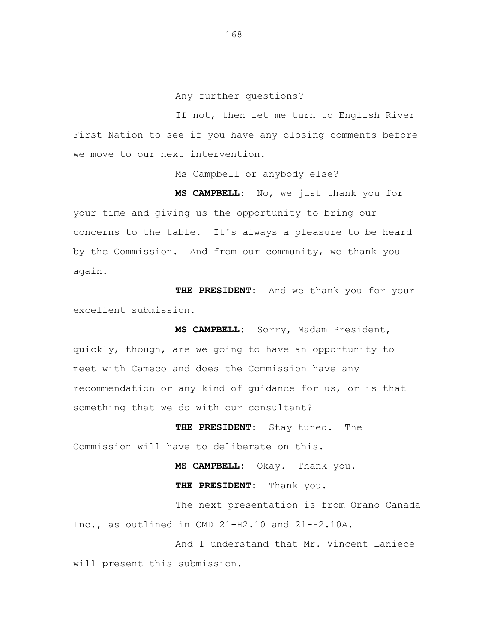Any further questions?

If not, then let me turn to English River First Nation to see if you have any closing comments before we move to our next intervention.

Ms Campbell or anybody else?

**MS CAMPBELL:** No, we just thank you for your time and giving us the opportunity to bring our concerns to the table. It's always a pleasure to be heard by the Commission. And from our community, we thank you again.

**THE PRESIDENT:** And we thank you for your excellent submission.

**MS CAMPBELL:** Sorry, Madam President, quickly, though, are we going to have an opportunity to meet with Cameco and does the Commission have any recommendation or any kind of guidance for us, or is that something that we do with our consultant?

**THE PRESIDENT:** Stay tuned. The Commission will have to deliberate on this.

> **MS CAMPBELL:** Okay. Thank you. **THE PRESIDENT:** Thank you.

The next presentation is from Orano Canada Inc., as outlined in CMD 21-H2.10 and 21-H2.10A.

And I understand that Mr. Vincent Laniece will present this submission.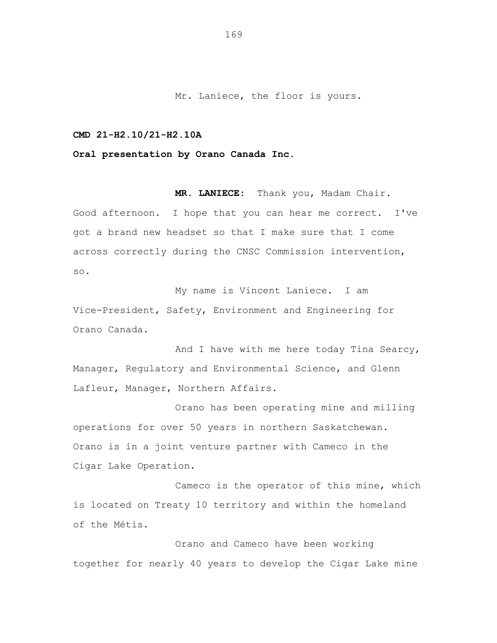Mr. Laniece, the floor is yours.

## **CMD 21-H2.10/21-H2.10A**

## **Oral presentation by Orano Canada Inc.**

**MR. LANIECE:** Thank you, Madam Chair. Good afternoon. I hope that you can hear me correct. I've got a brand new headset so that I make sure that I come across correctly during the CNSC Commission intervention, so.

My name is Vincent Laniece. I am Vice-President, Safety, Environment and Engineering for Orano Canada.

And I have with me here today Tina Searcy, Manager, Regulatory and Environmental Science, and Glenn Lafleur, Manager, Northern Affairs.

Orano has been operating mine and milling operations for over 50 years in northern Saskatchewan. Orano is in a joint venture partner with Cameco in the Cigar Lake Operation.

Cameco is the operator of this mine, which is located on Treaty 10 territory and within the homeland of the Métis.

Orano and Cameco have been working together for nearly 40 years to develop the Cigar Lake mine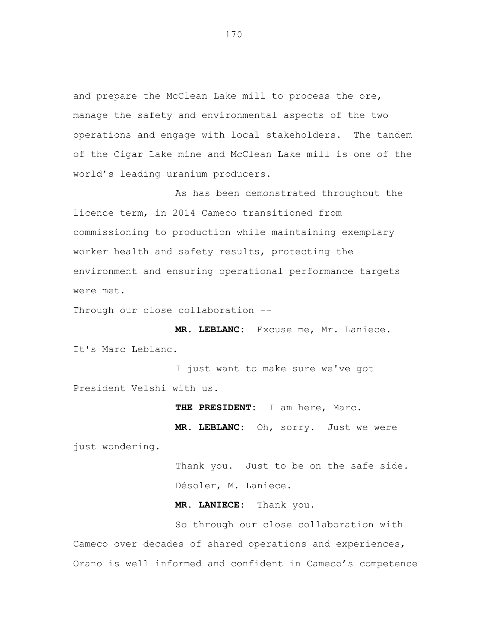and prepare the McClean Lake mill to process the ore, manage the safety and environmental aspects of the two operations and engage with local stakeholders. The tandem of the Cigar Lake mine and McClean Lake mill is one of the world's leading uranium producers.

As has been demonstrated throughout the licence term, in 2014 Cameco transitioned from commissioning to production while maintaining exemplary worker health and safety results, protecting the environment and ensuring operational performance targets were met.

Through our close collaboration --

**MR. LEBLANC:** Excuse me, Mr. Laniece. It's Marc Leblanc.

I just want to make sure we've got President Velshi with us.

**THE PRESIDENT:** I am here, Marc. **MR. LEBLANC:** Oh, sorry. Just we were

just wondering.

Thank you. Just to be on the safe side. Désoler, M. Laniece.

**MR. LANIECE:** Thank you.

So through our close collaboration with Cameco over decades of shared operations and experiences, Orano is well informed and confident in Cameco's competence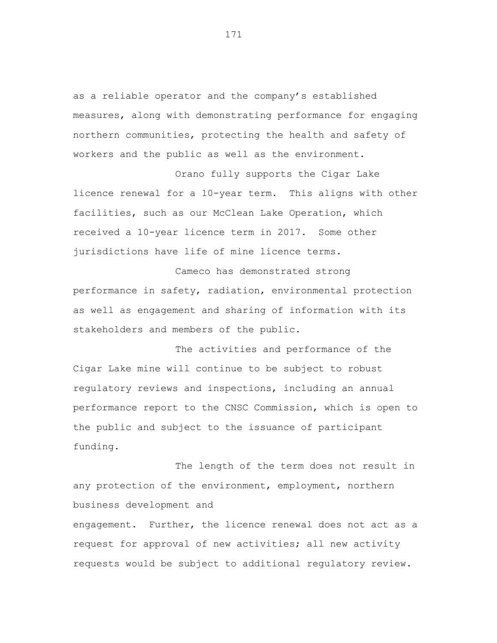as a reliable operator and the company's established measures, along with demonstrating performance for engaging northern communities, protecting the health and safety of workers and the public as well as the environment.

Orano fully supports the Cigar Lake licence renewal for a 10-year term. This aligns with other facilities, such as our McClean Lake Operation, which received a 10-year licence term in 2017. Some other jurisdictions have life of mine licence terms.

Cameco has demonstrated strong performance in safety, radiation, environmental protection as well as engagement and sharing of information with its stakeholders and members of the public.

The activities and performance of the Cigar Lake mine will continue to be subject to robust regulatory reviews and inspections, including an annual performance report to the CNSC Commission, which is open to the public and subject to the issuance of participant funding.

The length of the term does not result in any protection of the environment, employment, northern business development and engagement. Further, the licence renewal does not act as a

request for approval of new activities; all new activity requests would be subject to additional regulatory review.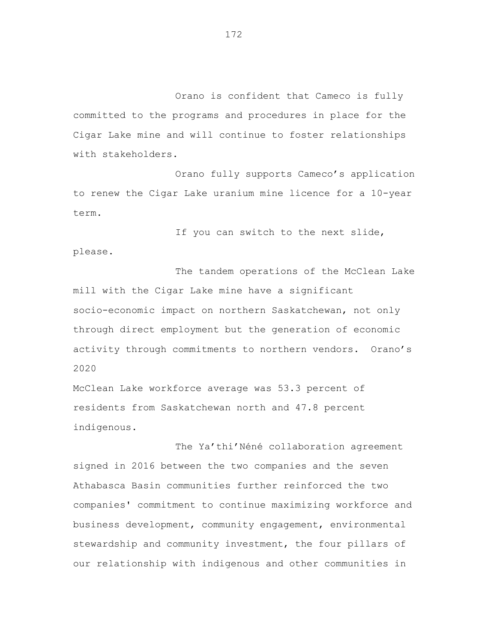Orano is confident that Cameco is fully committed to the programs and procedures in place for the Cigar Lake mine and will continue to foster relationships with stakeholders.

Orano fully supports Cameco's application to renew the Cigar Lake uranium mine licence for a 10-year term.

If you can switch to the next slide,

please.

The tandem operations of the McClean Lake mill with the Cigar Lake mine have a significant socio-economic impact on northern Saskatchewan, not only through direct employment but the generation of economic activity through commitments to northern vendors. Orano's 2020

McClean Lake workforce average was 53.3 percent of residents from Saskatchewan north and 47.8 percent indigenous.

The Ya'thi'Néné collaboration agreement signed in 2016 between the two companies and the seven Athabasca Basin communities further reinforced the two companies' commitment to continue maximizing workforce and business development, community engagement, environmental stewardship and community investment, the four pillars of our relationship with indigenous and other communities in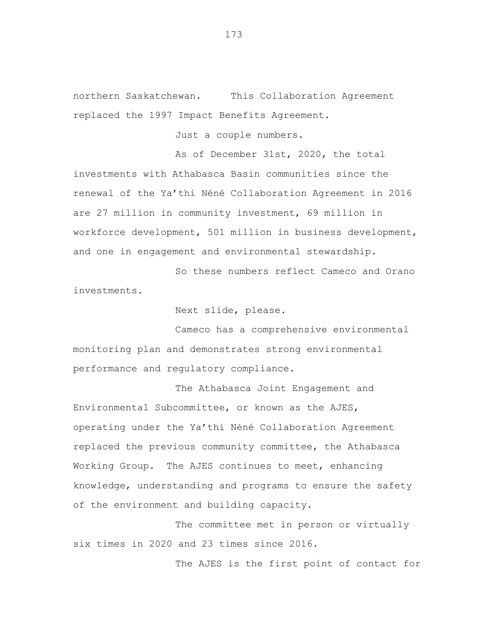northern Saskatchewan. This Collaboration Agreement replaced the 1997 Impact Benefits Agreement.

Just a couple numbers.

As of December 31st, 2020, the total investments with Athabasca Basin communities since the renewal of the Ya'thi Néné Collaboration Agreement in 2016 are 27 million in community investment, 69 million in workforce development, 501 million in business development, and one in engagement and environmental stewardship.

So these numbers reflect Cameco and Orano investments.

Next slide, please.

Cameco has a comprehensive environmental monitoring plan and demonstrates strong environmental performance and regulatory compliance.

The Athabasca Joint Engagement and Environmental Subcommittee, or known as the AJES, operating under the Ya'thi Néné Collaboration Agreement replaced the previous community committee, the Athabasca Working Group. The AJES continues to meet, enhancing knowledge, understanding and programs to ensure the safety of the environment and building capacity.

The committee met in person or virtually six times in 2020 and 23 times since 2016.

The AJES is the first point of contact for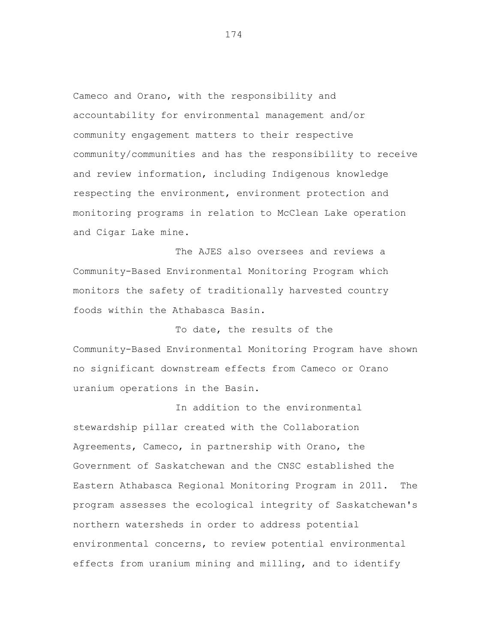Cameco and Orano, with the responsibility and accountability for environmental management and/or community engagement matters to their respective community/communities and has the responsibility to receive and review information, including Indigenous knowledge respecting the environment, environment protection and monitoring programs in relation to McClean Lake operation and Cigar Lake mine.

The AJES also oversees and reviews a Community-Based Environmental Monitoring Program which monitors the safety of traditionally harvested country foods within the Athabasca Basin.

To date, the results of the Community-Based Environmental Monitoring Program have shown no significant downstream effects from Cameco or Orano uranium operations in the Basin.

In addition to the environmental stewardship pillar created with the Collaboration Agreements, Cameco, in partnership with Orano, the Government of Saskatchewan and the CNSC established the Eastern Athabasca Regional Monitoring Program in 2011. The program assesses the ecological integrity of Saskatchewan's northern watersheds in order to address potential environmental concerns, to review potential environmental effects from uranium mining and milling, and to identify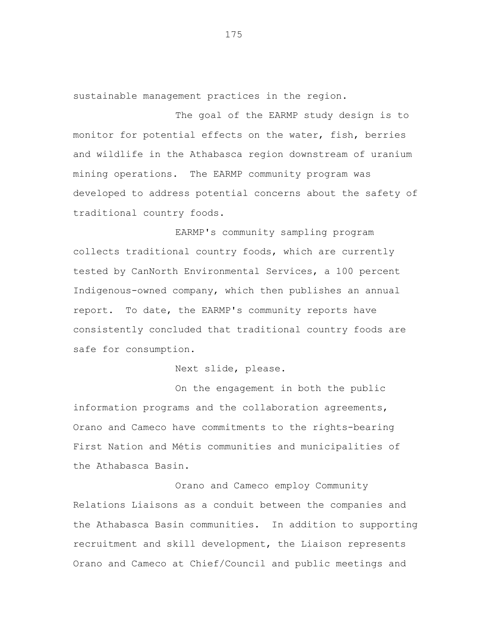sustainable management practices in the region.

The goal of the EARMP study design is to monitor for potential effects on the water, fish, berries and wildlife in the Athabasca region downstream of uranium mining operations. The EARMP community program was developed to address potential concerns about the safety of traditional country foods.

EARMP's community sampling program collects traditional country foods, which are currently tested by CanNorth Environmental Services, a 100 percent Indigenous-owned company, which then publishes an annual report. To date, the EARMP's community reports have consistently concluded that traditional country foods are safe for consumption.

Next slide, please.

On the engagement in both the public information programs and the collaboration agreements, Orano and Cameco have commitments to the rights-bearing First Nation and Métis communities and municipalities of the Athabasca Basin.

Orano and Cameco employ Community Relations Liaisons as a conduit between the companies and the Athabasca Basin communities. In addition to supporting recruitment and skill development, the Liaison represents Orano and Cameco at Chief/Council and public meetings and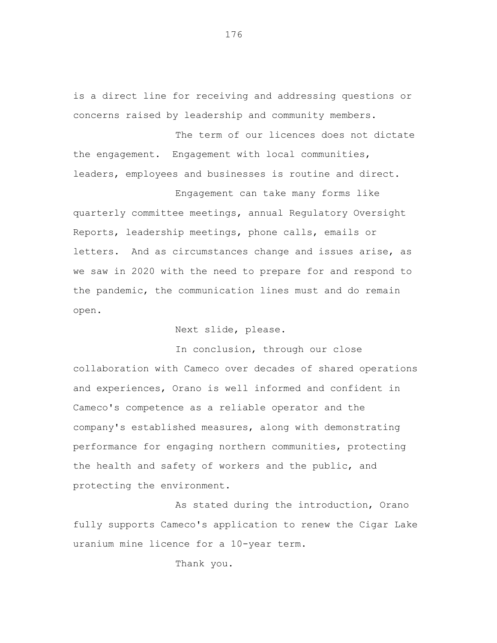is a direct line for receiving and addressing questions or concerns raised by leadership and community members.

The term of our licences does not dictate the engagement. Engagement with local communities, leaders, employees and businesses is routine and direct.

Engagement can take many forms like quarterly committee meetings, annual Regulatory Oversight Reports, leadership meetings, phone calls, emails or letters. And as circumstances change and issues arise, as we saw in 2020 with the need to prepare for and respond to the pandemic, the communication lines must and do remain open.

Next slide, please.

In conclusion, through our close collaboration with Cameco over decades of shared operations and experiences, Orano is well informed and confident in Cameco's competence as a reliable operator and the company's established measures, along with demonstrating performance for engaging northern communities, protecting the health and safety of workers and the public, and protecting the environment.

As stated during the introduction, Orano fully supports Cameco's application to renew the Cigar Lake uranium mine licence for a 10-year term.

Thank you.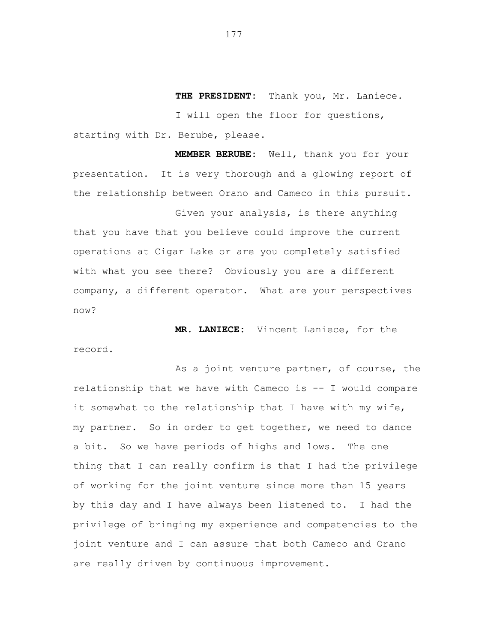**THE PRESIDENT:** Thank you, Mr. Laniece. I will open the floor for questions, starting with Dr. Berube, please.

**MEMBER BERUBE:** Well, thank you for your presentation. It is very thorough and a glowing report of the relationship between Orano and Cameco in this pursuit.

Given your analysis, is there anything that you have that you believe could improve the current operations at Cigar Lake or are you completely satisfied with what you see there? Obviously you are a different company, a different operator. What are your perspectives now?

**MR. LANIECE:** Vincent Laniece, for the record.

As a joint venture partner, of course, the relationship that we have with Cameco is -- I would compare it somewhat to the relationship that I have with my wife, my partner. So in order to get together, we need to dance a bit. So we have periods of highs and lows. The one thing that I can really confirm is that I had the privilege of working for the joint venture since more than 15 years by this day and I have always been listened to. I had the privilege of bringing my experience and competencies to the joint venture and I can assure that both Cameco and Orano are really driven by continuous improvement.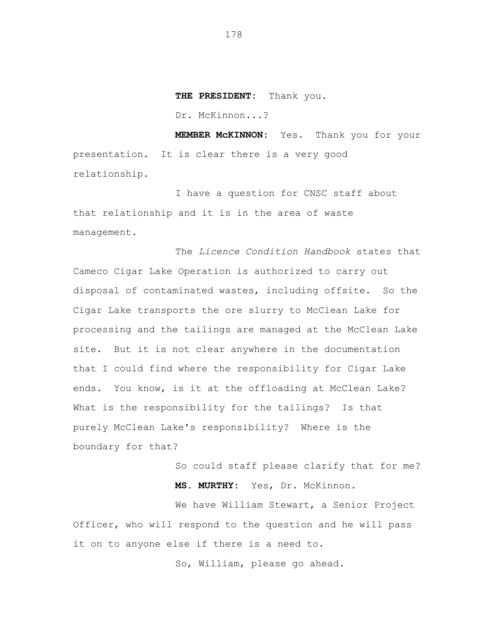**THE PRESIDENT:** Thank you.

Dr. McKinnon...?

**MEMBER McKINNON:** Yes. Thank you for your presentation. It is clear there is a very good relationship.

I have a question for CNSC staff about that relationship and it is in the area of waste management.

The *Licence Condition Handbook* states that Cameco Cigar Lake Operation is authorized to carry out disposal of contaminated wastes, including offsite. So the Cigar Lake transports the ore slurry to McClean Lake for processing and the tailings are managed at the McClean Lake site. But it is not clear anywhere in the documentation that I could find where the responsibility for Cigar Lake ends. You know, is it at the offloading at McClean Lake? What is the responsibility for the tailings? Is that purely McClean Lake's responsibility? Where is the boundary for that?

> So could staff please clarify that for me? **MS. MURTHY:** Yes, Dr. McKinnon.

We have William Stewart, a Senior Project Officer, who will respond to the question and he will pass it on to anyone else if there is a need to.

So, William, please go ahead.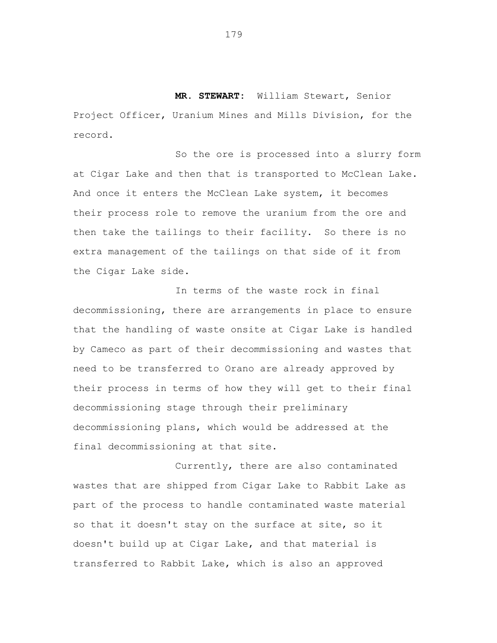**MR. STEWART:** William Stewart, Senior Project Officer, Uranium Mines and Mills Division, for the record.

So the ore is processed into a slurry form at Cigar Lake and then that is transported to McClean Lake. And once it enters the McClean Lake system, it becomes their process role to remove the uranium from the ore and then take the tailings to their facility. So there is no extra management of the tailings on that side of it from the Cigar Lake side.

In terms of the waste rock in final decommissioning, there are arrangements in place to ensure that the handling of waste onsite at Cigar Lake is handled by Cameco as part of their decommissioning and wastes that need to be transferred to Orano are already approved by their process in terms of how they will get to their final decommissioning stage through their preliminary decommissioning plans, which would be addressed at the final decommissioning at that site.

Currently, there are also contaminated wastes that are shipped from Cigar Lake to Rabbit Lake as part of the process to handle contaminated waste material so that it doesn't stay on the surface at site, so it doesn't build up at Cigar Lake, and that material is transferred to Rabbit Lake, which is also an approved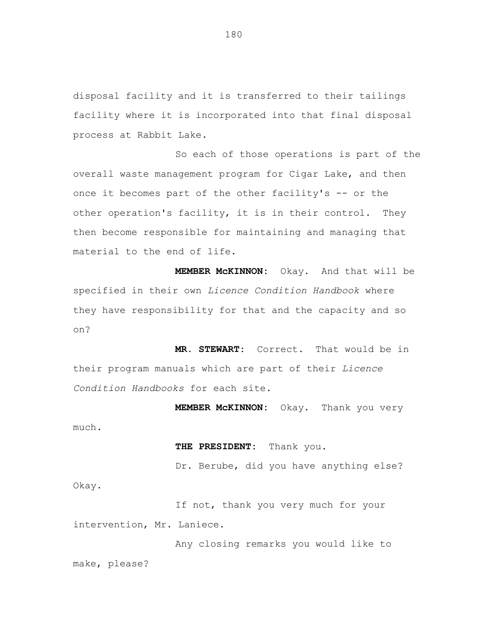disposal facility and it is transferred to their tailings facility where it is incorporated into that final disposal process at Rabbit Lake.

So each of those operations is part of the overall waste management program for Cigar Lake, and then once it becomes part of the other facility's -- or the other operation's facility, it is in their control. They then become responsible for maintaining and managing that material to the end of life.

**MEMBER McKINNON:** Okay. And that will be specified in their own *Licence Condition Handbook* where they have responsibility for that and the capacity and so on?

**MR. STEWART:** Correct. That would be in their program manuals which are part of their *Licence Condition Handbooks* for each site.

**MEMBER McKINNON:** Okay. Thank you very much.

**THE PRESIDENT:** Thank you.

Dr. Berube, did you have anything else? Okay.

If not, thank you very much for your intervention, Mr. Laniece.

Any closing remarks you would like to make, please?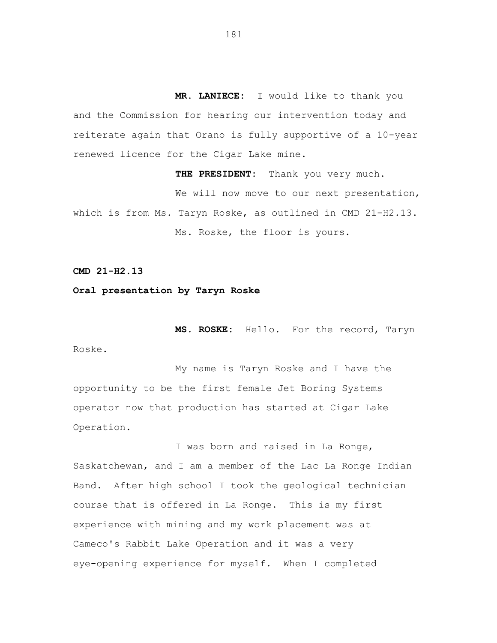**MR. LANIECE:** I would like to thank you and the Commission for hearing our intervention today and reiterate again that Orano is fully supportive of a 10-year renewed licence for the Cigar Lake mine.

**THE PRESIDENT:** Thank you very much. We will now move to our next presentation, which is from Ms. Taryn Roske, as outlined in CMD 21-H2.13. Ms. Roske, the floor is yours.

**CMD 21-H2.13**

**Oral presentation by Taryn Roske**

**MS. ROSKE:** Hello. For the record, Taryn Roske.

My name is Taryn Roske and I have the opportunity to be the first female Jet Boring Systems operator now that production has started at Cigar Lake Operation.

I was born and raised in La Ronge, Saskatchewan, and I am a member of the Lac La Ronge Indian Band. After high school I took the geological technician course that is offered in La Ronge. This is my first experience with mining and my work placement was at Cameco's Rabbit Lake Operation and it was a very eye-opening experience for myself. When I completed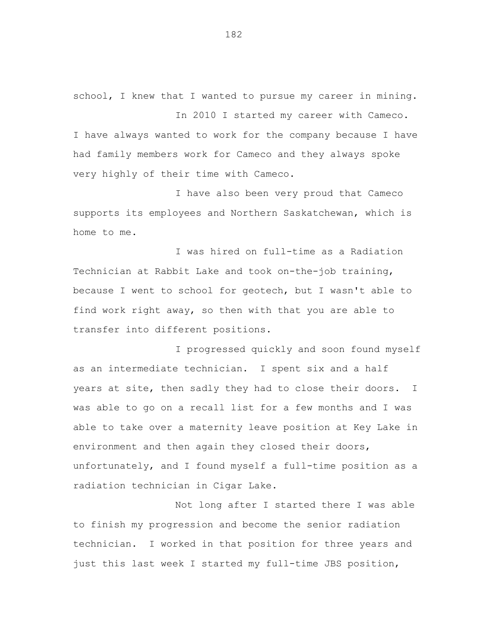school, I knew that I wanted to pursue my career in mining.

In 2010 I started my career with Cameco. I have always wanted to work for the company because I have had family members work for Cameco and they always spoke very highly of their time with Cameco.

I have also been very proud that Cameco supports its employees and Northern Saskatchewan, which is home to me.

I was hired on full-time as a Radiation Technician at Rabbit Lake and took on-the-job training, because I went to school for geotech, but I wasn't able to find work right away, so then with that you are able to transfer into different positions.

I progressed quickly and soon found myself as an intermediate technician. I spent six and a half years at site, then sadly they had to close their doors. I was able to go on a recall list for a few months and I was able to take over a maternity leave position at Key Lake in environment and then again they closed their doors, unfortunately, and I found myself a full-time position as a radiation technician in Cigar Lake.

Not long after I started there I was able to finish my progression and become the senior radiation technician. I worked in that position for three years and just this last week I started my full-time JBS position,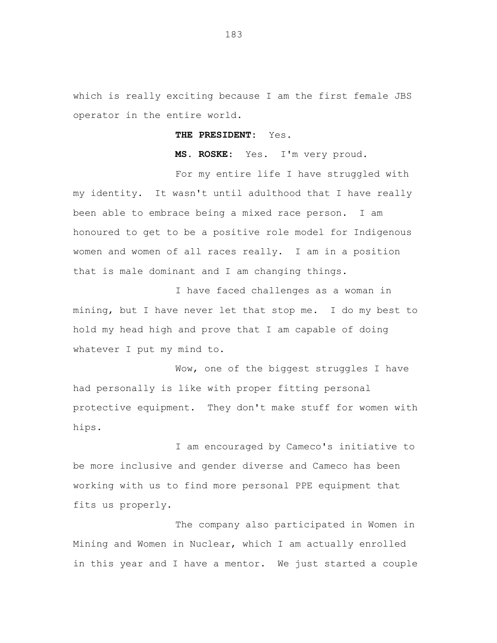which is really exciting because I am the first female JBS operator in the entire world.

**THE PRESIDENT:** Yes.

**MS. ROSKE:** Yes. I'm very proud.

For my entire life I have struggled with my identity. It wasn't until adulthood that I have really been able to embrace being a mixed race person. I am honoured to get to be a positive role model for Indigenous women and women of all races really. I am in a position that is male dominant and I am changing things.

I have faced challenges as a woman in mining, but I have never let that stop me. I do my best to hold my head high and prove that I am capable of doing whatever I put my mind to.

Wow, one of the biggest struggles I have had personally is like with proper fitting personal protective equipment. They don't make stuff for women with hips.

I am encouraged by Cameco's initiative to be more inclusive and gender diverse and Cameco has been working with us to find more personal PPE equipment that fits us properly.

The company also participated in Women in Mining and Women in Nuclear, which I am actually enrolled in this year and I have a mentor. We just started a couple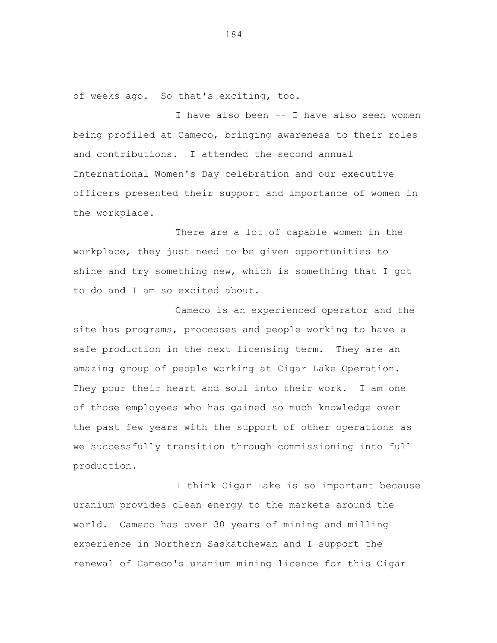of weeks ago. So that's exciting, too.

I have also been -- I have also seen women being profiled at Cameco, bringing awareness to their roles and contributions. I attended the second annual International Women's Day celebration and our executive officers presented their support and importance of women in the workplace.

There are a lot of capable women in the workplace, they just need to be given opportunities to shine and try something new, which is something that I got to do and I am so excited about.

Cameco is an experienced operator and the site has programs, processes and people working to have a safe production in the next licensing term. They are an amazing group of people working at Cigar Lake Operation. They pour their heart and soul into their work. I am one of those employees who has gained so much knowledge over the past few years with the support of other operations as we successfully transition through commissioning into full production.

I think Cigar Lake is so important because uranium provides clean energy to the markets around the world. Cameco has over 30 years of mining and milling experience in Northern Saskatchewan and I support the renewal of Cameco's uranium mining licence for this Cigar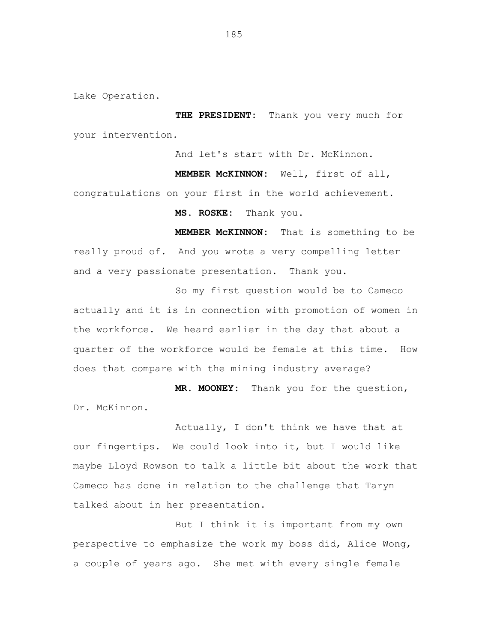Lake Operation.

**THE PRESIDENT:** Thank you very much for your intervention.

And let's start with Dr. McKinnon.

**MEMBER McKINNON:** Well, first of all, congratulations on your first in the world achievement.

**MS. ROSKE:** Thank you.

**MEMBER McKINNON:** That is something to be really proud of. And you wrote a very compelling letter and a very passionate presentation. Thank you.

So my first question would be to Cameco actually and it is in connection with promotion of women in the workforce. We heard earlier in the day that about a quarter of the workforce would be female at this time. How does that compare with the mining industry average?

**MR. MOONEY:** Thank you for the question, Dr. McKinnon.

Actually, I don't think we have that at our fingertips. We could look into it, but I would like maybe Lloyd Rowson to talk a little bit about the work that Cameco has done in relation to the challenge that Taryn talked about in her presentation.

But I think it is important from my own perspective to emphasize the work my boss did, Alice Wong, a couple of years ago. She met with every single female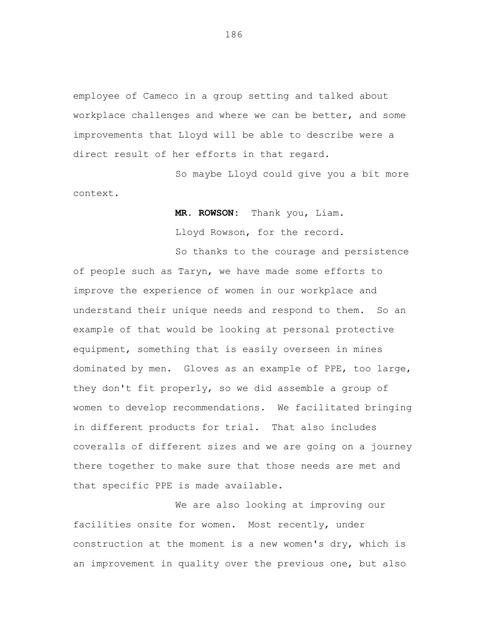employee of Cameco in a group setting and talked about workplace challenges and where we can be better, and some improvements that Lloyd will be able to describe were a direct result of her efforts in that regard.

So maybe Lloyd could give you a bit more context.

> **MR. ROWSON:** Thank you, Liam. Lloyd Rowson, for the record.

So thanks to the courage and persistence of people such as Taryn, we have made some efforts to improve the experience of women in our workplace and understand their unique needs and respond to them. So an example of that would be looking at personal protective equipment, something that is easily overseen in mines dominated by men. Gloves as an example of PPE, too large, they don't fit properly, so we did assemble a group of women to develop recommendations. We facilitated bringing in different products for trial. That also includes coveralls of different sizes and we are going on a journey there together to make sure that those needs are met and that specific PPE is made available.

We are also looking at improving our facilities onsite for women. Most recently, under construction at the moment is a new women's dry, which is an improvement in quality over the previous one, but also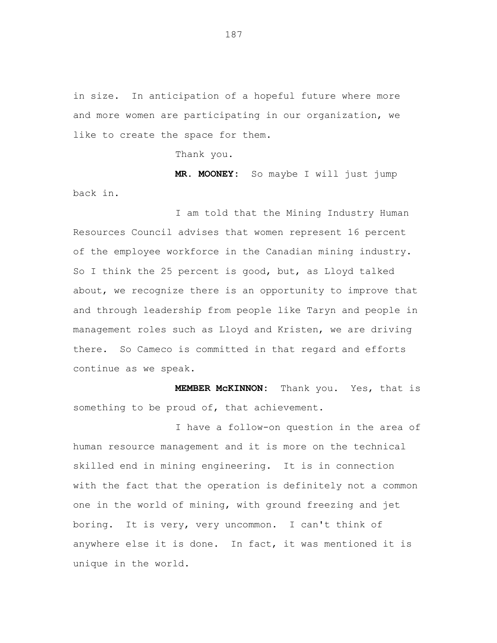in size. In anticipation of a hopeful future where more and more women are participating in our organization, we like to create the space for them.

Thank you.

**MR. MOONEY:** So maybe I will just jump back in.

I am told that the Mining Industry Human Resources Council advises that women represent 16 percent of the employee workforce in the Canadian mining industry. So I think the 25 percent is good, but, as Lloyd talked about, we recognize there is an opportunity to improve that and through leadership from people like Taryn and people in management roles such as Lloyd and Kristen, we are driving there. So Cameco is committed in that regard and efforts continue as we speak.

**MEMBER McKINNON:** Thank you. Yes, that is something to be proud of, that achievement.

I have a follow-on question in the area of human resource management and it is more on the technical skilled end in mining engineering. It is in connection with the fact that the operation is definitely not a common one in the world of mining, with ground freezing and jet boring. It is very, very uncommon. I can't think of anywhere else it is done. In fact, it was mentioned it is unique in the world.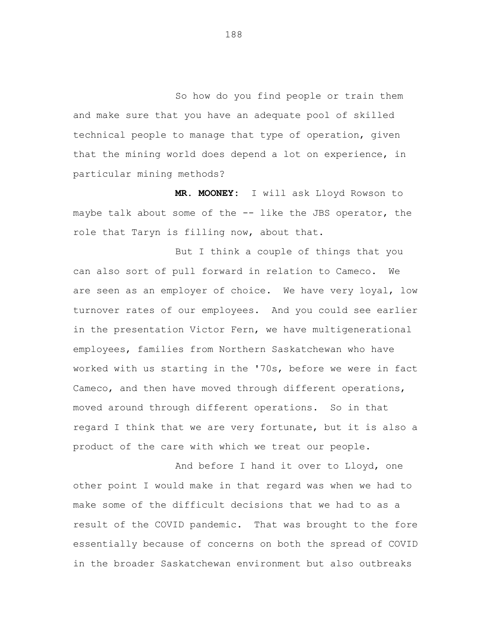So how do you find people or train them and make sure that you have an adequate pool of skilled technical people to manage that type of operation, given that the mining world does depend a lot on experience, in particular mining methods?

**MR. MOONEY:** I will ask Lloyd Rowson to maybe talk about some of the -- like the JBS operator, the role that Taryn is filling now, about that.

But I think a couple of things that you can also sort of pull forward in relation to Cameco. We are seen as an employer of choice. We have very loyal, low turnover rates of our employees. And you could see earlier in the presentation Victor Fern, we have multigenerational employees, families from Northern Saskatchewan who have worked with us starting in the '70s, before we were in fact Cameco, and then have moved through different operations, moved around through different operations. So in that regard I think that we are very fortunate, but it is also a product of the care with which we treat our people.

And before I hand it over to Lloyd, one other point I would make in that regard was when we had to make some of the difficult decisions that we had to as a result of the COVID pandemic. That was brought to the fore essentially because of concerns on both the spread of COVID in the broader Saskatchewan environment but also outbreaks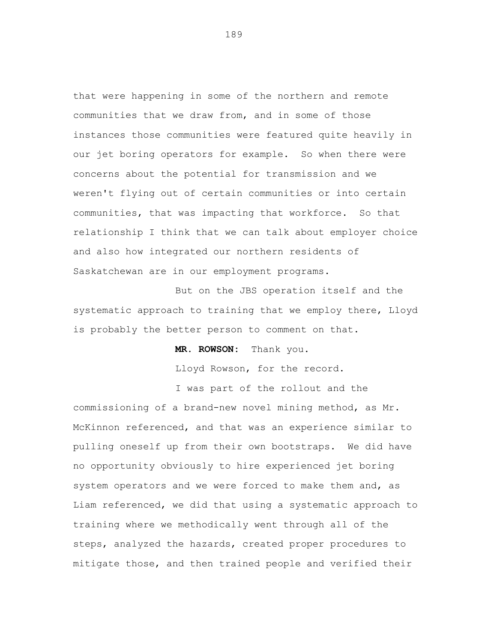that were happening in some of the northern and remote communities that we draw from, and in some of those instances those communities were featured quite heavily in our jet boring operators for example. So when there were concerns about the potential for transmission and we weren't flying out of certain communities or into certain communities, that was impacting that workforce. So that relationship I think that we can talk about employer choice and also how integrated our northern residents of Saskatchewan are in our employment programs.

But on the JBS operation itself and the systematic approach to training that we employ there, Lloyd is probably the better person to comment on that.

**MR. ROWSON:** Thank you.

Lloyd Rowson, for the record.

I was part of the rollout and the commissioning of a brand-new novel mining method, as Mr. McKinnon referenced, and that was an experience similar to pulling oneself up from their own bootstraps. We did have no opportunity obviously to hire experienced jet boring system operators and we were forced to make them and, as Liam referenced, we did that using a systematic approach to training where we methodically went through all of the steps, analyzed the hazards, created proper procedures to mitigate those, and then trained people and verified their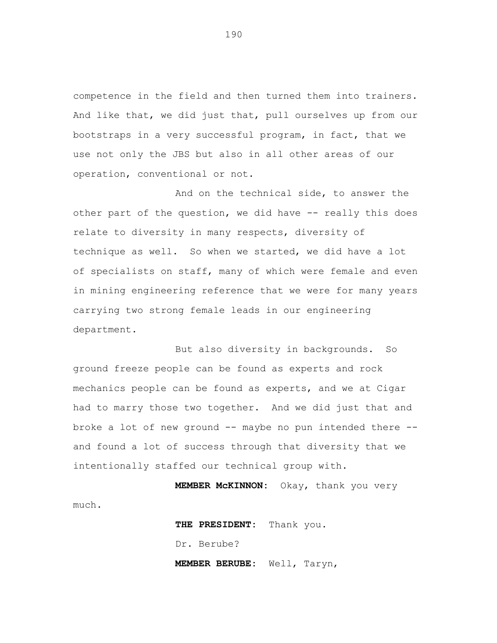competence in the field and then turned them into trainers. And like that, we did just that, pull ourselves up from our bootstraps in a very successful program, in fact, that we use not only the JBS but also in all other areas of our operation, conventional or not.

And on the technical side, to answer the other part of the question, we did have -- really this does relate to diversity in many respects, diversity of technique as well. So when we started, we did have a lot of specialists on staff, many of which were female and even in mining engineering reference that we were for many years carrying two strong female leads in our engineering department.

But also diversity in backgrounds. So ground freeze people can be found as experts and rock mechanics people can be found as experts, and we at Cigar had to marry those two together. And we did just that and broke a lot of new ground -- maybe no pun intended there - and found a lot of success through that diversity that we intentionally staffed our technical group with.

> **MEMBER McKINNON:** Okay, thank you very **THE PRESIDENT:** Thank you.

> > Dr. Berube?

much.

**MEMBER BERUBE:** Well, Taryn,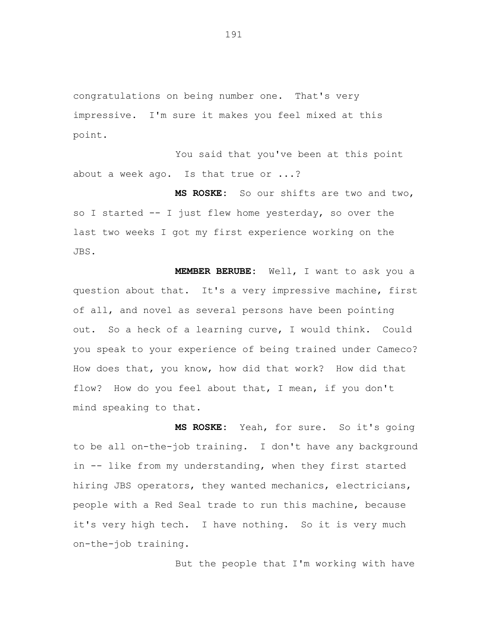congratulations on being number one. That's very impressive. I'm sure it makes you feel mixed at this point.

You said that you've been at this point about a week ago. Is that true or ...?

**MS ROSKE:** So our shifts are two and two, so I started -- I just flew home yesterday, so over the last two weeks I got my first experience working on the JBS.

**MEMBER BERUBE:** Well, I want to ask you a question about that. It's a very impressive machine, first of all, and novel as several persons have been pointing out. So a heck of a learning curve, I would think. Could you speak to your experience of being trained under Cameco? How does that, you know, how did that work? How did that flow? How do you feel about that, I mean, if you don't mind speaking to that.

**MS ROSKE:** Yeah, for sure. So it's going to be all on-the-job training. I don't have any background in -- like from my understanding, when they first started hiring JBS operators, they wanted mechanics, electricians, people with a Red Seal trade to run this machine, because it's very high tech. I have nothing. So it is very much on-the-job training.

But the people that I'm working with have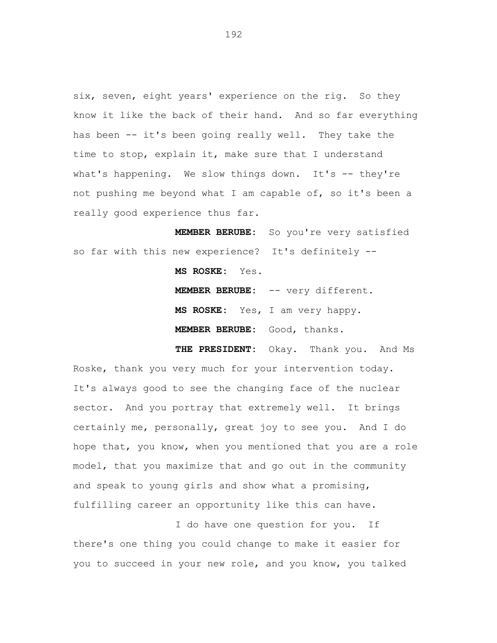six, seven, eight years' experience on the rig. So they know it like the back of their hand. And so far everything has been -- it's been going really well. They take the time to stop, explain it, make sure that I understand what's happening. We slow things down. It's -- they're not pushing me beyond what I am capable of, so it's been a really good experience thus far.

**MEMBER BERUBE:** So you're very satisfied so far with this new experience? It's definitely --

**MS ROSKE:** Yes.

**MEMBER BERUBE:** -- very different. **MS ROSKE:** Yes, I am very happy. **MEMBER BERUBE:** Good, thanks.

**THE PRESIDENT:** Okay. Thank you. And Ms Roske, thank you very much for your intervention today. It's always good to see the changing face of the nuclear sector. And you portray that extremely well. It brings certainly me, personally, great joy to see you. And I do hope that, you know, when you mentioned that you are a role model, that you maximize that and go out in the community and speak to young girls and show what a promising, fulfilling career an opportunity like this can have.

I do have one question for you. If there's one thing you could change to make it easier for you to succeed in your new role, and you know, you talked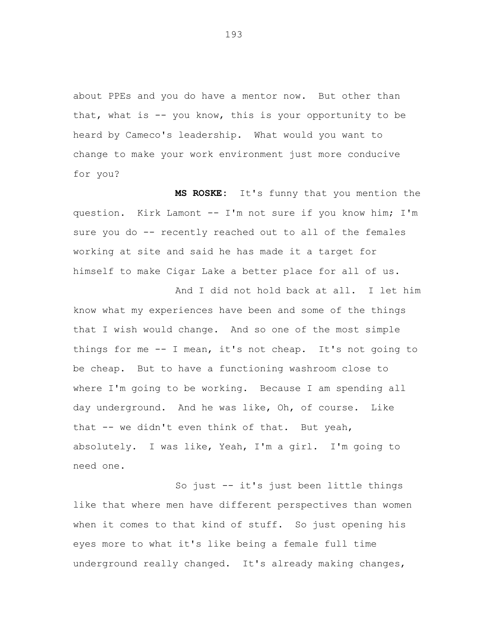about PPEs and you do have a mentor now. But other than that, what is -- you know, this is your opportunity to be heard by Cameco's leadership. What would you want to change to make your work environment just more conducive for you?

**MS ROSKE:** It's funny that you mention the question. Kirk Lamont -- I'm not sure if you know him; I'm sure you do -- recently reached out to all of the females working at site and said he has made it a target for himself to make Cigar Lake a better place for all of us.

And I did not hold back at all. I let him know what my experiences have been and some of the things that I wish would change. And so one of the most simple things for me -- I mean, it's not cheap. It's not going to be cheap. But to have a functioning washroom close to where I'm going to be working. Because I am spending all day underground. And he was like, Oh, of course. Like that -- we didn't even think of that. But yeah, absolutely. I was like, Yeah, I'm a girl. I'm going to need one.

So just -- it's just been little things like that where men have different perspectives than women when it comes to that kind of stuff. So just opening his eyes more to what it's like being a female full time underground really changed. It's already making changes,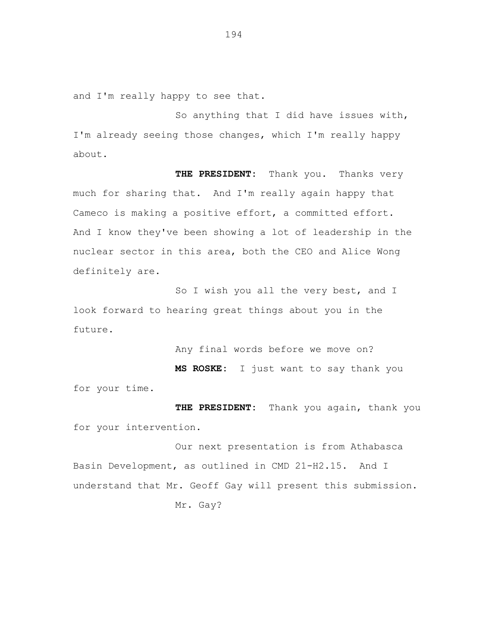and I'm really happy to see that.

So anything that I did have issues with, I'm already seeing those changes, which I'm really happy about.

**THE PRESIDENT:** Thank you. Thanks very much for sharing that. And I'm really again happy that Cameco is making a positive effort, a committed effort. And I know they've been showing a lot of leadership in the nuclear sector in this area, both the CEO and Alice Wong definitely are.

So I wish you all the very best, and I look forward to hearing great things about you in the future.

Any final words before we move on?

**MS ROSKE:** I just want to say thank you

for your time.

**THE PRESIDENT:** Thank you again, thank you for your intervention.

Our next presentation is from Athabasca Basin Development, as outlined in CMD 21-H2.15. And I understand that Mr. Geoff Gay will present this submission. Mr. Gay?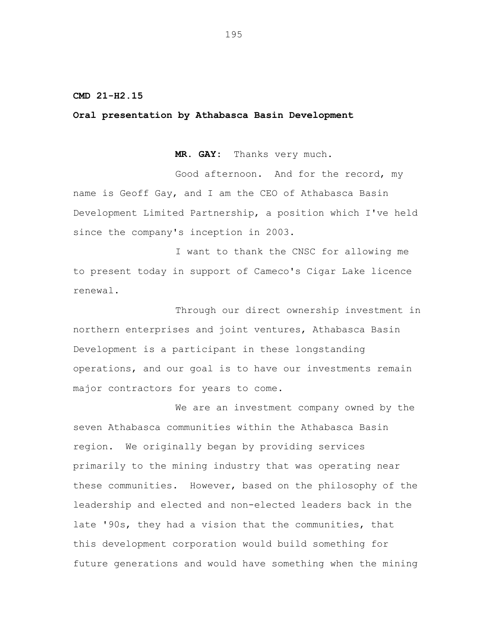## **CMD 21-H2.15**

## **Oral presentation by Athabasca Basin Development**

**MR. GAY:** Thanks very much.

Good afternoon. And for the record, my name is Geoff Gay, and I am the CEO of Athabasca Basin Development Limited Partnership, a position which I've held since the company's inception in 2003.

I want to thank the CNSC for allowing me to present today in support of Cameco's Cigar Lake licence renewal.

Through our direct ownership investment in northern enterprises and joint ventures, Athabasca Basin Development is a participant in these longstanding operations, and our goal is to have our investments remain major contractors for years to come.

We are an investment company owned by the seven Athabasca communities within the Athabasca Basin region. We originally began by providing services primarily to the mining industry that was operating near these communities. However, based on the philosophy of the leadership and elected and non-elected leaders back in the late '90s, they had a vision that the communities, that this development corporation would build something for future generations and would have something when the mining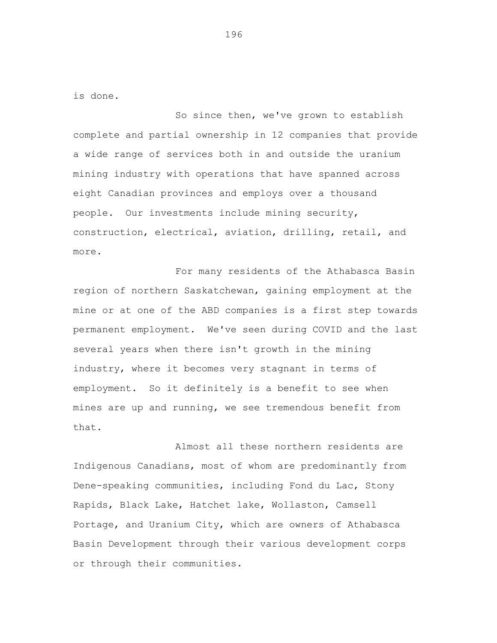is done.

So since then, we've grown to establish complete and partial ownership in 12 companies that provide a wide range of services both in and outside the uranium mining industry with operations that have spanned across eight Canadian provinces and employs over a thousand people. Our investments include mining security, construction, electrical, aviation, drilling, retail, and more.

For many residents of the Athabasca Basin region of northern Saskatchewan, gaining employment at the mine or at one of the ABD companies is a first step towards permanent employment. We've seen during COVID and the last several years when there isn't growth in the mining industry, where it becomes very stagnant in terms of employment. So it definitely is a benefit to see when mines are up and running, we see tremendous benefit from that.

Almost all these northern residents are Indigenous Canadians, most of whom are predominantly from Dene-speaking communities, including Fond du Lac, Stony Rapids, Black Lake, Hatchet lake, Wollaston, Camsell Portage, and Uranium City, which are owners of Athabasca Basin Development through their various development corps or through their communities.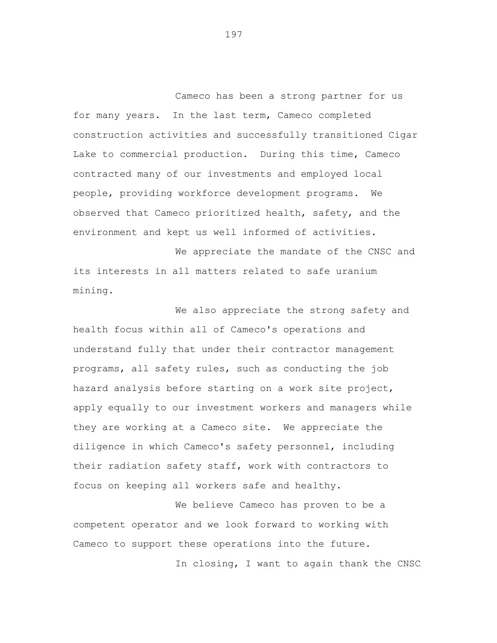Cameco has been a strong partner for us for many years. In the last term, Cameco completed construction activities and successfully transitioned Cigar Lake to commercial production. During this time, Cameco contracted many of our investments and employed local people, providing workforce development programs. We observed that Cameco prioritized health, safety, and the environment and kept us well informed of activities.

We appreciate the mandate of the CNSC and its interests in all matters related to safe uranium mining.

We also appreciate the strong safety and health focus within all of Cameco's operations and understand fully that under their contractor management programs, all safety rules, such as conducting the job hazard analysis before starting on a work site project, apply equally to our investment workers and managers while they are working at a Cameco site. We appreciate the diligence in which Cameco's safety personnel, including their radiation safety staff, work with contractors to focus on keeping all workers safe and healthy.

We believe Cameco has proven to be a competent operator and we look forward to working with Cameco to support these operations into the future.

In closing, I want to again thank the CNSC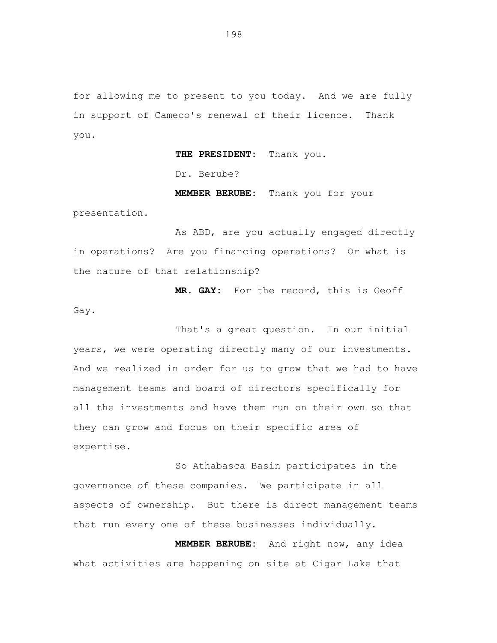for allowing me to present to you today. And we are fully in support of Cameco's renewal of their licence. Thank you.

**THE PRESIDENT:** Thank you.

Dr. Berube?

**MEMBER BERUBE:** Thank you for your

presentation.

As ABD, are you actually engaged directly in operations? Are you financing operations? Or what is the nature of that relationship?

**MR. GAY:** For the record, this is Geoff Gay.

That's a great question. In our initial years, we were operating directly many of our investments. And we realized in order for us to grow that we had to have management teams and board of directors specifically for all the investments and have them run on their own so that they can grow and focus on their specific area of expertise.

So Athabasca Basin participates in the governance of these companies. We participate in all aspects of ownership. But there is direct management teams that run every one of these businesses individually.

**MEMBER BERUBE:** And right now, any idea what activities are happening on site at Cigar Lake that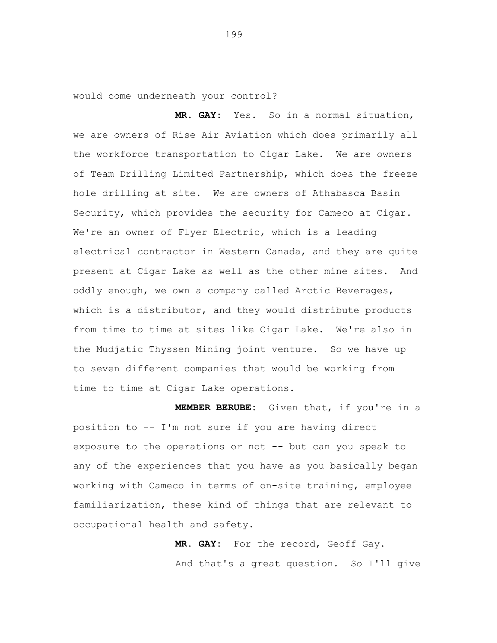would come underneath your control?

**MR. GAY:** Yes. So in a normal situation, we are owners of Rise Air Aviation which does primarily all the workforce transportation to Cigar Lake. We are owners of Team Drilling Limited Partnership, which does the freeze hole drilling at site. We are owners of Athabasca Basin Security, which provides the security for Cameco at Cigar. We're an owner of Flyer Electric, which is a leading electrical contractor in Western Canada, and they are quite present at Cigar Lake as well as the other mine sites. And oddly enough, we own a company called Arctic Beverages, which is a distributor, and they would distribute products from time to time at sites like Cigar Lake. We're also in the Mudjatic Thyssen Mining joint venture. So we have up to seven different companies that would be working from time to time at Cigar Lake operations.

**MEMBER BERUBE:** Given that, if you're in a position to -- I'm not sure if you are having direct exposure to the operations or not -- but can you speak to any of the experiences that you have as you basically began working with Cameco in terms of on-site training, employee familiarization, these kind of things that are relevant to occupational health and safety.

> **MR. GAY:** For the record, Geoff Gay. And that's a great question. So I'll give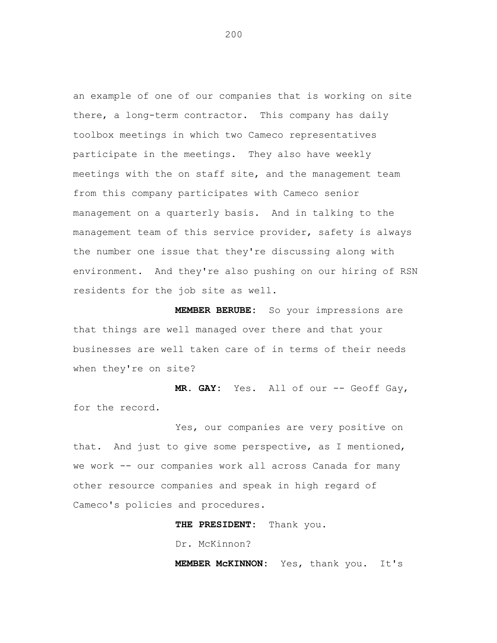an example of one of our companies that is working on site there, a long-term contractor. This company has daily toolbox meetings in which two Cameco representatives participate in the meetings. They also have weekly meetings with the on staff site, and the management team from this company participates with Cameco senior management on a quarterly basis. And in talking to the management team of this service provider, safety is always the number one issue that they're discussing along with environment. And they're also pushing on our hiring of RSN residents for the job site as well.

**MEMBER BERUBE:** So your impressions are that things are well managed over there and that your businesses are well taken care of in terms of their needs when they're on site?

**MR. GAY:** Yes. All of our -- Geoff Gay, for the record.

Yes, our companies are very positive on that. And just to give some perspective, as I mentioned, we work -- our companies work all across Canada for many other resource companies and speak in high regard of Cameco's policies and procedures.

**THE PRESIDENT:** Thank you.

Dr. McKinnon?

**MEMBER McKINNON:** Yes, thank you. It's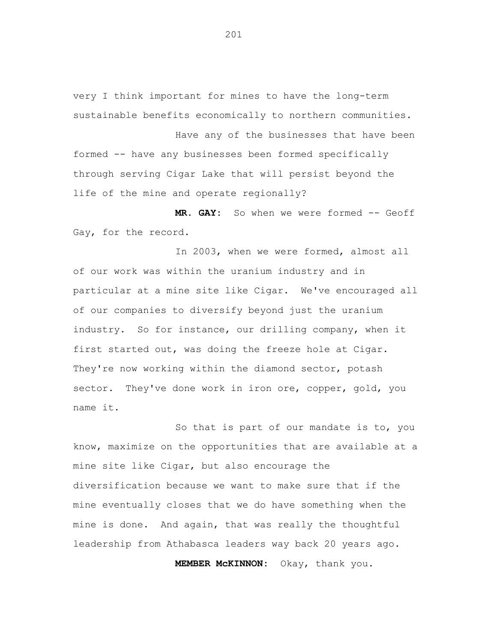very I think important for mines to have the long-term sustainable benefits economically to northern communities.

Have any of the businesses that have been formed -- have any businesses been formed specifically through serving Cigar Lake that will persist beyond the life of the mine and operate regionally?

MR. GAY: So when we were formed -- Geoff Gay, for the record.

In 2003, when we were formed, almost all of our work was within the uranium industry and in particular at a mine site like Cigar. We've encouraged all of our companies to diversify beyond just the uranium industry. So for instance, our drilling company, when it first started out, was doing the freeze hole at Cigar. They're now working within the diamond sector, potash sector. They've done work in iron ore, copper, gold, you name it.

So that is part of our mandate is to, you know, maximize on the opportunities that are available at a mine site like Cigar, but also encourage the diversification because we want to make sure that if the mine eventually closes that we do have something when the mine is done. And again, that was really the thoughtful leadership from Athabasca leaders way back 20 years ago.

**MEMBER McKINNON:** Okay, thank you.